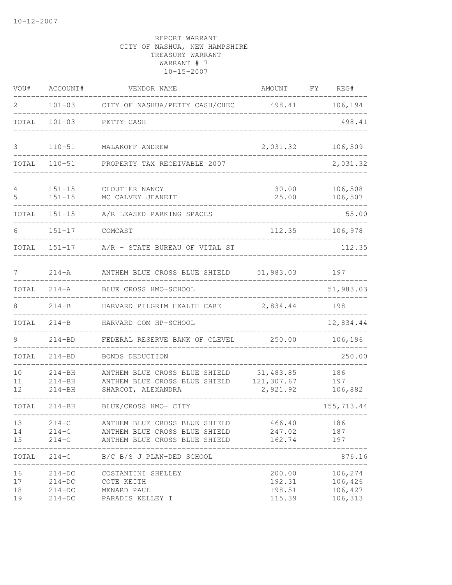| VOU#                 | ACCOUNT#                                     | VENDOR NAME                                                                                     | AMOUNT FY                                                      | REG#                                     |
|----------------------|----------------------------------------------|-------------------------------------------------------------------------------------------------|----------------------------------------------------------------|------------------------------------------|
| 2                    |                                              | 101-03 CITY OF NASHUA/PETTY CASH/CHEC 498.41 106,194                                            |                                                                |                                          |
| TOTAL                | $101 - 03$                                   | PETTY CASH                                                                                      |                                                                | 498.41                                   |
| 3                    | $110 - 51$                                   | MALAKOFF ANDREW                                                                                 | 2,031.32                                                       | 106,509                                  |
| TOTAL                | $110 - 51$                                   | PROPERTY TAX RECEIVABLE 2007                                                                    |                                                                | 2,031.32                                 |
| 4<br>5               | $151 - 15$<br>$151 - 15$                     | CLOUTIER NANCY<br>MC CALVEY JEANETT                                                             | 30.00<br>25.00                                                 | 106,508<br>106,507                       |
| TOTAL                | $151 - 15$                                   | A/R LEASED PARKING SPACES                                                                       |                                                                | 55.00                                    |
| 6                    | $151 - 17$                                   | COMCAST                                                                                         | 112.35                                                         | 106,978                                  |
| TOTAL                |                                              | 151-17 A/R - STATE BUREAU OF VITAL ST                                                           |                                                                | 112.35                                   |
| 7                    | $214 - A$                                    | ANTHEM BLUE CROSS BLUE SHIELD 51,983.03                                                         |                                                                | 197                                      |
| TOTAL                | $214 - A$                                    | BLUE CROSS HMO-SCHOOL                                                                           |                                                                | 51,983.03                                |
| 8                    | $214 - B$                                    | HARVARD PILGRIM HEALTH CARE 12,834.44                                                           |                                                                | 198                                      |
| TOTAL                | $214 - B$                                    | HARVARD COM HP-SCHOOL                                                                           |                                                                | 12,834.44                                |
| 9                    | $214 - BD$                                   | FEDERAL RESERVE BANK OF CLEVEL                                                                  | 250.00                                                         | 106,196                                  |
| TOTAL                | $214 - BD$                                   | BONDS DEDUCTION                                                                                 |                                                                | 250.00                                   |
| 10<br>11<br>12       | $214 - BH$<br>$214 - BH$<br>$214 - BH$       | ANTHEM BLUE CROSS BLUE SHIELD<br>ANTHEM BLUE CROSS BLUE SHIELD<br>SHARCOT, ALEXANDRA            | 31,483.85<br>121,307.67<br>2,921.92                            | 186<br>197<br>106,882                    |
| TOTAL                | $214 - BH$                                   | BLUE/CROSS HMO- CITY                                                                            |                                                                | 155,713.44                               |
| 13<br>14<br>15       | $214 - C$<br>$214-C$<br>$214-C$              | ANTHEM BLUE CROSS BLUE SHIELD<br>ANTHEM BLUE CROSS BLUE SHIELD<br>ANTHEM BLUE CROSS BLUE SHIELD | --------------------------------<br>466.40<br>247.02<br>162.74 | 186<br>187<br>197                        |
| TOTAL                | $214 - C$                                    | B/C B/S J PLAN-DED SCHOOL                                                                       |                                                                | 876.16                                   |
| 16<br>17<br>18<br>19 | $214-DC$<br>$214-DC$<br>$214-DC$<br>$214-DC$ | COSTANTINI SHELLEY<br>COTE KEITH<br>MENARD PAUL<br>PARADIS KELLEY I                             | 200.00<br>192.31<br>198.51<br>115.39                           | 106,274<br>106,426<br>106,427<br>106,313 |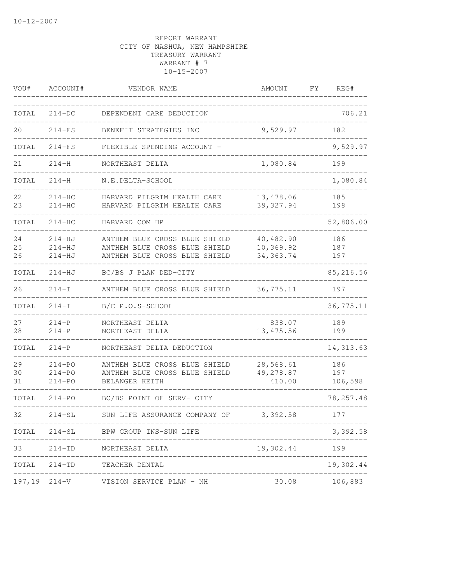| VOU#           | ACCOUNT#                               | VENDOR NAME                                                                                     | AMOUNT                                | FΥ | REG#                  |
|----------------|----------------------------------------|-------------------------------------------------------------------------------------------------|---------------------------------------|----|-----------------------|
| TOTAL          | $214-DC$                               | DEPENDENT CARE DEDUCTION                                                                        |                                       |    | 706.21                |
| 20             | $214-FS$                               | BENEFIT STRATEGIES INC                                                                          | 9,529.97                              |    | 182                   |
| TOTAL          | $214-FS$                               | FLEXIBLE SPENDING ACCOUNT -                                                                     |                                       |    | 9,529.97              |
| 21             | $214 - H$                              | NORTHEAST DELTA                                                                                 | 1,080.84                              |    | 199                   |
| TOTAL          | $214 - H$                              | N.E.DELTA-SCHOOL                                                                                |                                       |    | 1,080.84              |
| 22<br>23       | $214-HC$<br>$214-HC$                   | HARVARD PILGRIM HEALTH CARE<br>HARVARD PILGRIM HEALTH CARE                                      | 13,478.06<br>39, 327.94               |    | 185<br>198            |
| TOTAL          | $214-HC$                               | HARVARD COM HP                                                                                  |                                       |    | 52,806.00             |
| 24<br>25<br>26 | $214-HJ$<br>$214-HJ$<br>214-HJ         | ANTHEM BLUE CROSS BLUE SHIELD<br>ANTHEM BLUE CROSS BLUE SHIELD<br>ANTHEM BLUE CROSS BLUE SHIELD | 40,482.90<br>10,369.92<br>34, 363. 74 |    | 186<br>187<br>197     |
| TOTAL          | 214-HJ                                 | BC/BS J PLAN DED-CITY                                                                           |                                       |    | 85,216.56             |
| 26             | $214-I$                                | ANTHEM BLUE CROSS BLUE SHIELD                                                                   | 36,775.11                             |    | 197                   |
| TOTAL          | $214-I$                                | B/C P.O.S-SCHOOL                                                                                |                                       |    | 36,775.11             |
| 27<br>28       | $214-P$<br>$214 - P$                   | NORTHEAST DELTA<br>NORTHEAST DELTA                                                              | 838.07<br>13, 475.56                  |    | 189<br>199            |
| TOTAL          | $214 - P$                              | NORTHEAST DELTA DEDUCTION                                                                       |                                       |    | 14, 313.63            |
| 29<br>30<br>31 | $214 - PQ$<br>$214 - PQ$<br>$214 - PQ$ | ANTHEM BLUE CROSS BLUE SHIELD<br>ANTHEM BLUE CROSS BLUE SHIELD<br>BELANGER KEITH                | 28,568.61<br>49,278.87<br>410.00      |    | 186<br>197<br>106,598 |
| TOTAL          | $214 - PO$                             | BC/BS POINT OF SERV- CITY                                                                       |                                       |    | 78, 257.48            |
| 32.            | $214 - SL$                             | SUN LIFE ASSURANCE COMPANY OF                                                                   | 3,392.58                              |    | 177                   |
|                |                                        | TOTAL 214-SL BPW GROUP INS-SUN LIFE                                                             |                                       |    | 3,392.58              |
| 33             |                                        | 214-TD NORTHEAST DELTA                                                                          | 19,302.44                             |    | 199                   |
| TOTAL          |                                        | 214-TD TEACHER DENTAL                                                                           |                                       |    | 19,302.44             |
|                | $197, 19$ $214-V$                      | VISION SERVICE PLAN - NH                                                                        | 30.08                                 |    | 106,883               |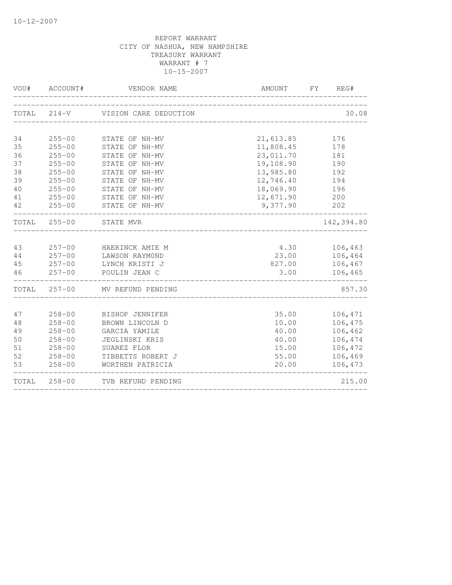|          | VOU# ACCOUNT#<br>__________ | VENDOR NAME<br>--------------     |                | AMOUNT FY REG#     |
|----------|-----------------------------|-----------------------------------|----------------|--------------------|
|          |                             | TOTAL 214-V VISION CARE DEDUCTION |                | 30.08              |
|          |                             |                                   |                |                    |
| 34       | $255 - 00$                  | STATE OF NH-MV                    | 21,613.85      | 176                |
| 35       | $255 - 00$                  | STATE OF NH-MV                    | 11,808.45      | 178                |
| 36       | $255 - 00$                  | STATE OF NH-MV                    | 23,011.70      | 181                |
| 37       | $255 - 00$                  | STATE OF NH-MV                    | 19,108.90      | 190                |
| 38       | $255 - 00$                  | STATE OF NH-MV                    | 13,985.80      | 192                |
| 39       | $255 - 00$                  | STATE OF NH-MV                    | 12,746.40      | 194                |
| 40       | $255 - 00$                  | STATE OF NH-MV                    | 18,069.90      | 196                |
| 41       | $255 - 00$                  | STATE OF NH-MV                    | 12,671.90      | 200                |
| 42       | $255 - 00$                  | STATE OF NH-MV                    | 9,377.90       | 202                |
|          | TOTAL 255-00                | STATE MVR                         |                | 142,394.80         |
|          |                             |                                   |                |                    |
| 43       | $257 - 00$                  | HAERINCK AMIE M                   | 4.30           | 106,463            |
| 44       | $257 - 00$                  | LAWSON RAYMOND                    | 23.00          | 106,464            |
| 45       | $257 - 00$                  | LYNCH KRISTI J                    | 827.00         | 106,467            |
| 46       | $257 - 00$                  | POULIN JEAN C                     | 3.00           | 106,465            |
|          | TOTAL 257-00                | MV REFUND PENDING                 |                | 857.30             |
|          |                             |                                   |                |                    |
| 47       | $258 - 00$                  | BISHOP JENNIFER                   | 35.00          | 106,471            |
| 48       | $258 - 00$                  | BROWN LINCOLN D                   | 10.00          | 106,475            |
| 49       | $258 - 00$                  | GARCIA YAMILE                     | 40.00          | 106,462            |
| 50       | $258 - 00$                  | <b>JEGLINSKI KRIS</b>             | 40.00          | 106,474            |
| 51<br>52 | $258 - 00$<br>$258 - 00$    | SUAREZ FLOR<br>TIBBETTS ROBERT J  | 15.00          | 106,472<br>106,469 |
| 53       | $258 - 00$                  | WORTHEN PATRICIA                  | 55.00<br>20.00 | 106,473            |
|          |                             |                                   |                |                    |
|          | TOTAL 258-00                | TVB REFUND PENDING                |                | 215.00             |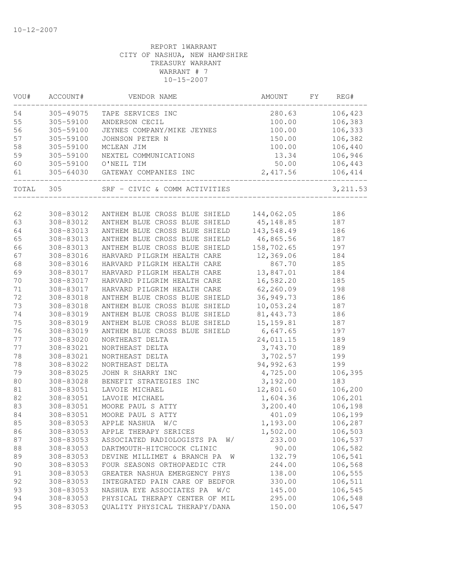| VOU#   | ACCOUNT#  | VENDOR NAME                              | AMOUNT     | FY | REG#         |
|--------|-----------|------------------------------------------|------------|----|--------------|
| 54     | 305-49075 | TAPE SERVICES INC                        | 280.63     |    | 106,423      |
| 55     | 305-59100 | ANDERSON CECIL                           | 100.00     |    | 106,383      |
| 56     | 305-59100 | JEYNES COMPANY/MIKE JEYNES               | 100.00     |    | 106,333      |
| 57     | 305-59100 | JOHNSON PETER N                          | 150.00     |    | 106,382      |
| 58     | 305-59100 | MCLEAN JIM                               | 100.00     |    | 106,440      |
| 59     | 305-59100 | NEXTEL COMMUNICATIONS                    | 13.34      |    | 106,946      |
| 60     |           | 305-59100 O'NEIL TIM                     | 50.00      |    | 106,443      |
| 61     |           |                                          |            |    | 106,414<br>. |
|        |           | TOTAL 305 SRF - CIVIC & COMM ACTIVITIES  |            |    | 3, 211.53    |
|        |           |                                          |            |    |              |
| 62     | 308-83012 | ANTHEM BLUE CROSS BLUE SHIELD 144,062.05 |            |    | 186          |
| 63     | 308-83012 | ANTHEM BLUE CROSS BLUE SHIELD 45,148.85  |            |    | 187          |
| 64     | 308-83013 | ANTHEM BLUE CROSS BLUE SHIELD            | 143,548.49 |    | 186          |
| 65     | 308-83013 | ANTHEM BLUE CROSS BLUE SHIELD            | 46,865.56  |    | 187          |
| 66     | 308-83013 | ANTHEM BLUE CROSS BLUE SHIELD            | 158,702.65 |    | 197          |
| 67     | 308-83016 | HARVARD PILGRIM HEALTH CARE              | 12,369.06  |    | 184          |
| 68     | 308-83016 | HARVARD PILGRIM HEALTH CARE              | 867.70     |    | 185          |
| 69     | 308-83017 | HARVARD PILGRIM HEALTH CARE              | 13,847.01  |    | 184          |
| 70     | 308-83017 | HARVARD PILGRIM HEALTH CARE              | 16,582.20  |    | 185          |
| $7\,1$ | 308-83017 | HARVARD PILGRIM HEALTH CARE              | 62,260.09  |    | 198          |
| 72     | 308-83018 | ANTHEM BLUE CROSS BLUE SHIELD            | 36,949.73  |    | 186          |
| 73     | 308-83018 | ANTHEM BLUE CROSS BLUE SHIELD            | 10,053.24  |    | 187          |
| 74     | 308-83019 | ANTHEM BLUE CROSS BLUE SHIELD            | 81,443.73  |    | 186          |
| 75     | 308-83019 | ANTHEM BLUE CROSS BLUE SHIELD            | 15, 159.81 |    | 187          |
| 76     | 308-83019 | ANTHEM BLUE CROSS BLUE SHIELD            | 6,647.65   |    | 197          |
| 77     | 308-83020 | NORTHEAST DELTA                          | 24,011.15  |    | 189          |
| 77     | 308-83021 | NORTHEAST DELTA                          | 3,743.70   |    | 189          |
| 78     | 308-83021 | NORTHEAST DELTA                          | 3,702.57   |    | 199          |
| 78     | 308-83022 | NORTHEAST DELTA                          | 94,992.63  |    | 199          |
| 79     | 308-83025 | JOHN R SHARRY INC                        | 4,725.00   |    | 106,395      |
| 80     | 308-83028 | BENEFIT STRATEGIES INC                   | 3,192.00   |    | 183          |
| 81     | 308-83051 | LAVOIE MICHAEL                           | 12,801.60  |    | 106,200      |
| 82     | 308-83051 | LAVOIE MICHAEL                           | 1,604.36   |    | 106,201      |
| 83     | 308-83051 | MOORE PAUL S ATTY                        | 3,200.40   |    | 106,198      |
| 84     | 308-83051 | MOORE PAUL S ATTY                        | 401.09     |    | 106,199      |
| 85     | 308-83053 | APPLE NASHUA W/C                         | 1,193.00   |    | 106,287      |
| 86     | 308-83053 | APPLE THERAPY SERICES                    | 1,502.00   |    | 106,503      |
| 87     | 308-83053 | ASSOCIATED RADIOLOGISTS PA<br>W/         | 233.00     |    | 106,537      |
| 88     | 308-83053 | DARTMOUTH-HITCHCOCK CLINIC               | 90.00      |    | 106,582      |
| 89     | 308-83053 | DEVINE MILLIMET & BRANCH PA<br>W         | 132.79     |    | 106,541      |
| 90     | 308-83053 | FOUR SEASONS ORTHOPAEDIC CTR             | 244.00     |    | 106,568      |
| 91     | 308-83053 | GREATER NASHUA EMERGENCY PHYS            | 138.00     |    | 106,555      |
| 92     | 308-83053 | INTEGRATED PAIN CARE OF BEDFOR           | 330.00     |    | 106,511      |
| 93     | 308-83053 | NASHUA EYE ASSOCIATES PA<br>W/C          | 145.00     |    | 106,545      |
| 94     | 308-83053 | PHYSICAL THERAPY CENTER OF MIL           | 295.00     |    | 106,548      |
| 95     | 308-83053 | QUALITY PHYSICAL THERAPY/DANA            | 150.00     |    | 106,547      |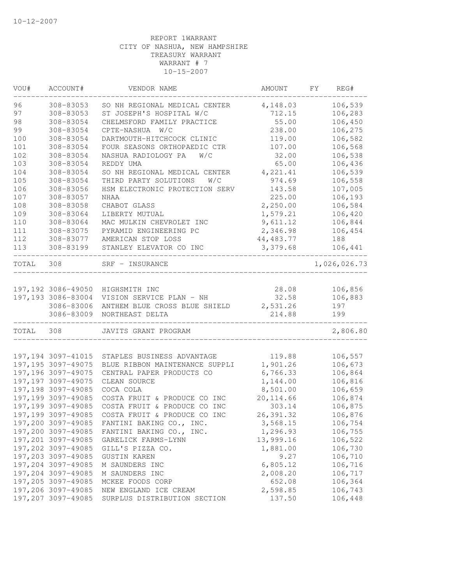| VOU#  | ACCOUNT#                                 | VENDOR NAME                      | AMOUNT             | FY. | REG#         |
|-------|------------------------------------------|----------------------------------|--------------------|-----|--------------|
| 96    | 308-83053                                | SO NH REGIONAL MEDICAL CENTER    | 4,148.03           |     | 106,539      |
| 97    | 308-83053                                | ST JOSEPH'S HOSPITAL W/C         | 712.15             |     | 106,283      |
| 98    | 308-83054                                | CHELMSFORD FAMILY PRACTICE       | 55.00              |     | 106,450      |
| 99    | 308-83054                                | CPTE-NASHUA<br>W/C               | 238.00             |     | 106,275      |
| 100   | 308-83054                                | DARTMOUTH-HITCHCOCK CLINIC       | 119.00             |     | 106,582      |
| 101   | 308-83054                                | FOUR SEASONS ORTHOPAEDIC CTR     | 107.00             |     | 106,568      |
| 102   | 308-83054                                | NASHUA RADIOLOGY PA<br>W/C       | 32.00              |     | 106,538      |
| 103   | 308-83054                                | REDDY UMA                        | 65.00              |     | 106,436      |
| 104   | 308-83054                                | SO NH REGIONAL MEDICAL CENTER    | 4,221.41           |     | 106,539      |
| 105   | 308-83054                                | THIRD PARTY SOLUTIONS<br>W/C     | 974.69             |     | 106,558      |
| 106   | 308-83056                                | HSM ELECTRONIC PROTECTION SERV   | 143.58             |     | 107,005      |
| 107   | 308-83057                                | <b>NHAA</b>                      | 225.00             |     | 106,193      |
| 108   | 308-83058                                | CHABOT GLASS                     | 2,250.00           |     | 106,584      |
| 109   | 308-83064                                | LIBERTY MUTUAL                   | 1,579.21           |     | 106,420      |
| 110   | 308-83064                                | MAC MULKIN CHEVROLET INC         | 9,611.12           |     | 106,844      |
| 111   | 308-83075                                | PYRAMID ENGINEERING PC           | 2,346.98           |     | 106,454      |
| 112   | 308-83077                                | AMERICAN STOP LOSS               | 44, 483.77         |     | 188          |
| 113   | 308-83199                                | STANLEY ELEVATOR CO INC          | 3,379.68           |     | 106,441      |
| TOTAL | 308                                      | SRF - INSURANCE                  |                    |     | 1,026,026.73 |
|       |                                          |                                  |                    |     |              |
|       |                                          | 197,192 3086-49050 HIGHSMITH INC | 28.08              |     | 106,856      |
|       | 197,193 3086-83004                       | VISION SERVICE PLAN - NH         | 32.58              |     | 106,883      |
|       | 3086-83006                               | ANTHEM BLUE CROSS BLUE SHIELD    | 2,531.26           |     | 197          |
|       | 3086-83009                               | NORTHEAST DELTA                  | 214.88             |     | 199          |
| TOTAL | 308                                      | JAVITS GRANT PROGRAM             |                    |     | 2,806.80     |
|       | 197, 194 3097-41015                      | STAPLES BUSINESS ADVANTAGE       | 119.88             |     | 106,557      |
|       | 197, 195 3097-49075                      | BLUE RIBBON MAINTENANCE SUPPLI   | 1,901.26           |     | 106,673      |
|       | 197, 196 3097-49075                      | CENTRAL PAPER PRODUCTS CO        | 6,766.33           |     | 106,864      |
|       | 197, 197 3097-49075                      | CLEAN SOURCE                     | 1,144.00           |     | 106,816      |
|       | 197,198 3097-49085                       | COCA COLA                        | 8,501.00           |     | 106,659      |
|       | 197,199 3097-49085                       | COSTA FRUIT & PRODUCE CO INC     | 20, 114.66         |     | 106,874      |
|       | 197,199 3097-49085                       | COSTA FRUIT & PRODUCE CO INC     | 303.14             |     | 106,875      |
|       | 197,199 3097-49085                       | COSTA FRUIT & PRODUCE CO INC     | 26,391.32          |     | 106,876      |
|       | 197,200 3097-49085                       | FANTINI BAKING CO., INC.         | 3,568.15           |     | 106,754      |
|       | 197,200 3097-49085                       | FANTINI BAKING CO., INC.         | 1,296.93           |     | 106,755      |
|       | 197,201 3097-49085                       | GARELICK FARMS-LYNN              | 13,999.16          |     | 106,522      |
|       | 197,202 3097-49085                       | GILL'S PIZZA CO.                 | 1,881.00           |     | 106,730      |
|       | 197,203 3097-49085                       | GUSTIN KAREN                     | 9.27               |     | 106,710      |
|       | 197,204 3097-49085                       |                                  | 6,805.12           |     | 106,716      |
|       |                                          | M SAUNDERS INC<br>M SAUNDERS INC |                    |     | 106,717      |
|       | 197,204 3097-49085<br>197,205 3097-49085 | MCKEE FOODS CORP                 | 2,008.20<br>652.08 |     | 106,364      |
|       | 197,206 3097-49085                       | NEW ENGLAND ICE CREAM            | 2,598.85           |     | 106,743      |
|       | 197,207 3097-49085                       | SURPLUS DISTRIBUTION SECTION     | 137.50             |     | 106,448      |
|       |                                          |                                  |                    |     |              |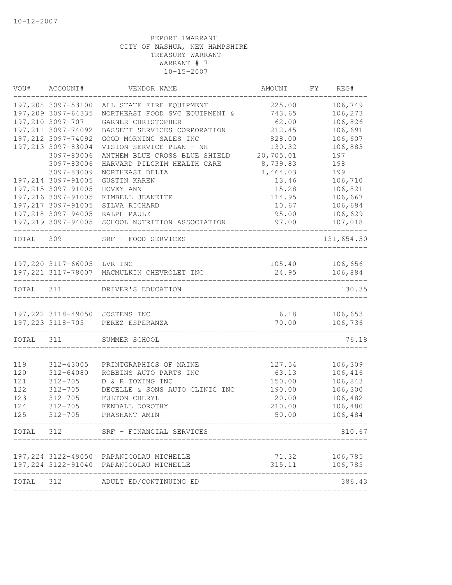| VOU#       | ACCOUNT#                   | VENDOR NAME                                                                       | AMOUNT                | FY | REG#               |
|------------|----------------------------|-----------------------------------------------------------------------------------|-----------------------|----|--------------------|
|            |                            | 197,208 3097-53100 ALL STATE FIRE EQUIPMENT                                       | 225.00                |    | 106,749            |
|            | 197,209 3097-64335         | NORTHEAST FOOD SVC EQUIPMENT &                                                    | 743.65                |    | 106,273            |
|            | 197,210 3097-707           | GARNER CHRISTOPHER                                                                | 62.00                 |    | 106,826            |
|            | 197, 211 3097-74092        | BASSETT SERVICES CORPORATION                                                      | 212.45                |    | 106,691            |
|            | 197, 212 3097-74092        | GOOD MORNING SALES INC                                                            | 828.00                |    | 106,607            |
|            | 197,213 3097-83004         | VISION SERVICE PLAN - NH                                                          | 130.32                |    | 106,883            |
|            | 3097-83006                 | ANTHEM BLUE CROSS BLUE SHIELD<br>HARVARD PILGRIM HEALTH CARE                      | 20,705.01<br>8,739.83 |    | 197                |
|            | 3097-83006<br>3097-83009   | NORTHEAST DELTA                                                                   | 1,464.03              |    | 198<br>199         |
|            | 197,214 3097-91005         | <b>GUSTIN KAREN</b>                                                               | 13.46                 |    | 106,710            |
|            | 197, 215 3097-91005        | HOVEY ANN                                                                         | 15.28                 |    | 106,821            |
|            | 197,216 3097-91005         | KIMBELL JEANETTE                                                                  | 114.95                |    | 106,667            |
|            | 197, 217 3097-91005        | SILVA RICHARD                                                                     | 10.67                 |    | 106,684            |
|            |                            | 197,218 3097-94005 RALPH PAULE                                                    | 95.00                 |    | 106,629            |
|            |                            | 197,219 3097-94005 SCHOOL NUTRITION ASSOCIATION                                   | 97.00                 |    | 107,018            |
| TOTAL 309  |                            | SRF - FOOD SERVICES<br>_____________________________                              |                       |    | 131,654.50         |
|            |                            |                                                                                   |                       |    |                    |
|            | 197,220 3117-66005 LVR INC |                                                                                   |                       |    | 105.40 106,656     |
|            |                            | 197,221 3117-78007 MACMULKIN CHEVROLET INC<br>----------------------------------- | 24.95                 |    | 106,884            |
| TOTAL 311  |                            | DRIVER'S EDUCATION                                                                |                       |    | 130.35             |
|            |                            | 197,222 3118-49050 JOSTENS INC                                                    | 6.18                  |    | 106,653            |
|            |                            | 197, 223 3118-705 PEREZ ESPERANZA                                                 | 70.00                 |    | 106,736            |
| TOTAL 311  |                            | SUMMER SCHOOL                                                                     |                       |    | 76.18              |
|            |                            |                                                                                   |                       |    |                    |
| 119        | 312-43005                  | PRINTGRAPHICS OF MAINE                                                            | 127.54<br>63.13       |    | 106,309            |
| 120<br>121 | 312-64080<br>$312 - 705$   | ROBBINS AUTO PARTS INC<br>D & R TOWING INC                                        | 150.00                |    | 106,416<br>106,843 |
| 122        | $312 - 705$                | DECELLE & SONS AUTO CLINIC INC                                                    | 190.00                |    | 106,300            |
| 123        | $312 - 705$                | FULTON CHERYL                                                                     | 20.00                 |    | 106,482            |
| 124        | $312 - 705$                | KENDALL DOROTHY                                                                   | 210.00                |    | 106,480            |
| 125        | $312 - 705$                | PRASHANT AMIN                                                                     | 50.00                 |    | 106,484            |
|            |                            | TOTAL 312 SRF - FINANCIAL SERVICES                                                |                       |    | 810.67             |
|            |                            | 197,224 3122-49050 PAPANICOLAU MICHELLE                                           | 71.32                 |    | 106,785            |
|            |                            | 197, 224 3122-91040 PAPANICOLAU MICHELLE                                          | 315.11                |    | 106,785            |
| TOTAL      | 312                        | ADULT ED/CONTINUING ED                                                            |                       |    | 386.43             |
|            |                            |                                                                                   |                       |    |                    |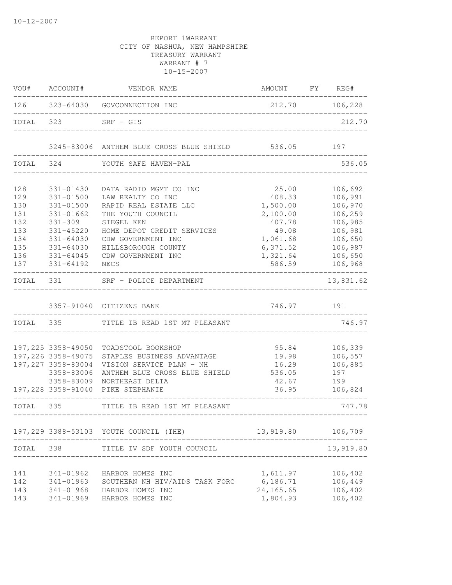| VOU#                                                               | ACCOUNT#                                                                                                                                     | VENDOR NAME                                                                                                                                                                                                             | AMOUNT FY REG#                                                                                           |                                                                                                            |
|--------------------------------------------------------------------|----------------------------------------------------------------------------------------------------------------------------------------------|-------------------------------------------------------------------------------------------------------------------------------------------------------------------------------------------------------------------------|----------------------------------------------------------------------------------------------------------|------------------------------------------------------------------------------------------------------------|
| 126                                                                |                                                                                                                                              | 323-64030 GOVCONNECTION INC                                                                                                                                                                                             | 212.70 106,228                                                                                           |                                                                                                            |
| TOTAL                                                              | 323                                                                                                                                          | $SRF - GIS$                                                                                                                                                                                                             |                                                                                                          | 212.70                                                                                                     |
|                                                                    |                                                                                                                                              | 3245-83006 ANTHEM BLUE CROSS BLUE SHIELD                                                                                                                                                                                | 536.05                                                                                                   | 197                                                                                                        |
| TOTAL                                                              | 324                                                                                                                                          | YOUTH SAFE HAVEN-PAL                                                                                                                                                                                                    |                                                                                                          | 536.05                                                                                                     |
| 128<br>129<br>130<br>131<br>132<br>133<br>134<br>135<br>136<br>137 | 331-01430<br>331-01500<br>$331 - 01500$<br>331-01662<br>$331 - 309$<br>331-45220<br>$331 - 64030$<br>$331 - 64030$<br>331-64045<br>331-64192 | DATA RADIO MGMT CO INC<br>LAW REALTY CO INC<br>RAPID REAL ESTATE LLC<br>THE YOUTH COUNCIL<br>SIEGEL KEN<br>HOME DEPOT CREDIT SERVICES<br>CDW GOVERNMENT INC<br>HILLSBOROUGH COUNTY<br>CDW GOVERNMENT INC<br><b>NECS</b> | 25.00<br>408.33<br>1,500.00<br>2,100.00<br>407.78<br>49.08<br>1,061.68<br>6,371.52<br>1,321.64<br>586.59 | 106,692<br>106,991<br>106,970<br>106,259<br>106,985<br>106,981<br>106,650<br>106,987<br>106,650<br>106,968 |
| TOTAL                                                              | 331                                                                                                                                          | SRF - POLICE DEPARTMENT                                                                                                                                                                                                 |                                                                                                          | 13,831.62                                                                                                  |
|                                                                    |                                                                                                                                              | 3357-91040 CITIZENS BANK                                                                                                                                                                                                | 746.97                                                                                                   | 191                                                                                                        |
| TOTAL 335                                                          |                                                                                                                                              | TITLE IB READ 1ST MT PLEASANT                                                                                                                                                                                           |                                                                                                          | 746.97                                                                                                     |
|                                                                    | 197,225 3358-49050<br>197,226 3358-49075<br>197, 227 3358-83004<br>3358-83006<br>3358-83009<br>197,228 3358-91040                            | TOADSTOOL BOOKSHOP<br>STAPLES BUSINESS ADVANTAGE<br>VISION SERVICE PLAN - NH<br>ANTHEM BLUE CROSS BLUE SHIELD<br>NORTHEAST DELTA<br>PIKE STEPHANIE                                                                      | 95.84<br>19.98<br>16.29<br>536.05<br>42.67<br>36.95                                                      | 106,339<br>106,557<br>106,885<br>197<br>199<br>106,824                                                     |
| TOTAL 335                                                          | __________________________                                                                                                                   | TITLE IB READ 1ST MT PLEASANT                                                                                                                                                                                           | -----------------------------                                                                            | 747.78                                                                                                     |
|                                                                    |                                                                                                                                              | 197,229 3388-53103 YOUTH COUNCIL (THE)                                                                                                                                                                                  | 13,919.80                                                                                                | 106,709                                                                                                    |
| TOTAL                                                              | 338                                                                                                                                          | TITLE IV SDF YOUTH COUNCIL                                                                                                                                                                                              |                                                                                                          | 13,919.80                                                                                                  |
| 141<br>142<br>143<br>143                                           | 341-01962<br>341-01963<br>341-01968<br>341-01969                                                                                             | HARBOR HOMES INC<br>SOUTHERN NH HIV/AIDS TASK FORC<br>HARBOR HOMES INC<br>HARBOR HOMES INC                                                                                                                              | 1,611.97<br>6,186.71<br>24, 165.65<br>1,804.93                                                           | 106,402<br>106,449<br>106,402<br>106,402                                                                   |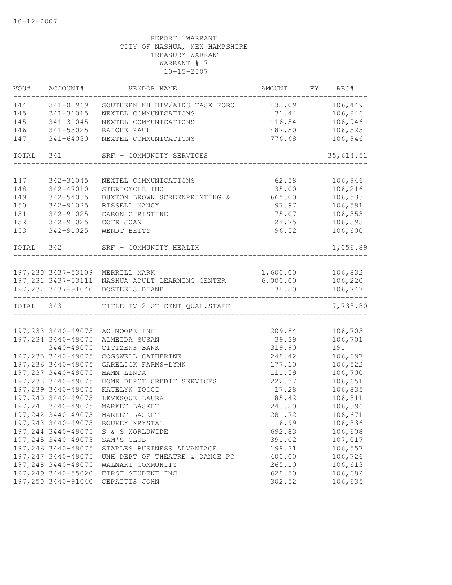| VOU#      | ACCOUNT#               | VENDOR NAME                                     | AMOUNT   | FY REG#            |
|-----------|------------------------|-------------------------------------------------|----------|--------------------|
| 144       | 341-01969              | SOUTHERN NH HIV/AIDS TASK FORC                  | 433.09   | 106,449            |
| 145       | 341-31015              | NEXTEL COMMUNICATIONS                           | 31.44    | 106,946            |
| 145       | 341-31045              | NEXTEL COMMUNICATIONS                           | 116.54   | 106,946            |
| 146       | 341-53025              | RAICHE PAUL                                     | 487.50   | 106,525            |
| 147       | 341-64030              | NEXTEL COMMUNICATIONS                           | 776.68   | 106,946            |
| TOTAL 341 |                        | SRF - COMMUNITY SERVICES                        |          | 35,614.51          |
|           |                        |                                                 |          |                    |
| 147       | 342-31045<br>342-47010 | NEXTEL COMMUNICATIONS<br>STERICYCLE INC         | 62.58    | 106,946<br>106,216 |
| 148       | 342-54035              |                                                 | 35.00    |                    |
| 149       |                        | BUXTON BROWN SCREENPRINTING &                   | 665.00   | 106,533            |
| 150       | 342-91025              | BISSELL NANCY                                   | 97.97    | 106,591            |
| 151       | 342-91025              | CARON CHRISTINE                                 | 75.07    | 106,353            |
| 152       | 342-91025              | COTE JOAN                                       | 24.75    | 106,393            |
| 153       | 342-91025              | WENDT BETTY                                     | 96.52    | 106,600            |
| TOTAL 342 |                        | SRF - COMMUNITY HEALTH                          |          | 1,056.89           |
|           |                        |                                                 |          |                    |
|           |                        | 197,230 3437-53109 MERRILL MARK                 |          | 1,600.00 106,832   |
|           |                        | 197,231 3437-53111 NASHUA ADULT LEARNING CENTER | 6,000.00 | 106,220            |
|           |                        | 197,232 3437-91040 BOSTEELS DIANE               | 138.80   | 106,747            |
| TOTAL 343 |                        | TITLE IV 21ST CENT QUAL. STAFF                  |          | 7,738.80           |
|           |                        |                                                 |          |                    |
|           | 197,233 3440-49075     | AC MOORE INC                                    | 209.84   | 106,705            |
|           | 197,234 3440-49075     | ALMEIDA SUSAN                                   | 39.39    | 106,701            |
|           | 3440-49075             | CITIZENS BANK                                   | 319.90   | 191                |
|           | 197, 235 3440-49075    | COGSWELL CATHERINE                              | 248.42   | 106,697            |
|           | 197,236 3440-49075     | GARELICK FARMS-LYNN                             | 177.10   | 106,522            |
|           | 197, 237 3440-49075    | HAMM LINDA                                      | 111.59   | 106,700            |
|           | 197,238 3440-49075     | HOME DEPOT CREDIT SERVICES                      | 222.57   | 106,651            |
|           | 197,239 3440-49075     | KATELYN TOCCI                                   | 17.28    | 106,835            |
|           | 197,240 3440-49075     | LEVESQUE LAURA                                  | 85.42    | 106,811            |
|           | 197,241 3440-49075     | MARKET BASKET                                   | 243.80   | 106,396            |
|           | 197,242 3440-49075     | MARKET BASKET                                   | 281.72   | 106,671            |
|           | 197,243 3440-49075     | ROUKEY KRYSTAL                                  | 6.99     | 106,836            |
|           | 197,244 3440-49075     | S & S WORLDWIDE                                 | 692.83   | 106,608            |
|           | 197, 245 3440-49075    | SAM'S CLUB                                      | 391.02   | 107,017            |
|           | 197,246 3440-49075     | STAPLES BUSINESS ADVANTAGE                      | 198.31   | 106,557            |
|           | 197, 247 3440-49075    | UNH DEPT OF THEATRE & DANCE PC                  | 400.00   | 106,726            |
|           | 197,248 3440-49075     | WALMART COMMUNITY                               | 265.10   | 106,613            |
|           | 197,249 3440-55020     | FIRST STUDENT INC                               | 628.50   | 106,682            |
|           | 197,250 3440-91040     | CEPAITIS JOHN                                   | 302.52   | 106,635            |
|           |                        |                                                 |          |                    |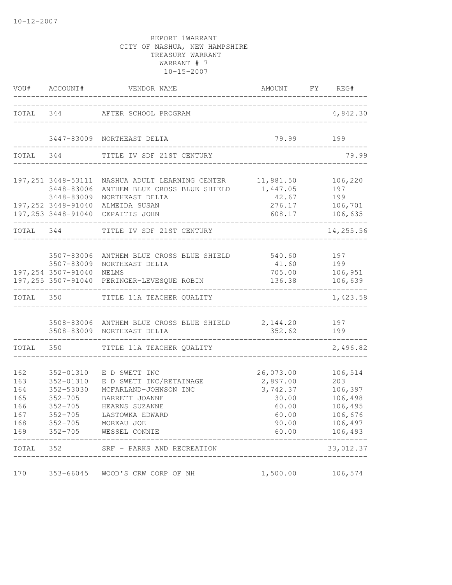|                                                      | VOU# ACCOUNT#                                                                                                  | VENDOR NAME                                                                                                                                             |                                                                                | AMOUNT FY REG#                                                                   |
|------------------------------------------------------|----------------------------------------------------------------------------------------------------------------|---------------------------------------------------------------------------------------------------------------------------------------------------------|--------------------------------------------------------------------------------|----------------------------------------------------------------------------------|
|                                                      |                                                                                                                | TOTAL 344 AFTER SCHOOL PROGRAM                                                                                                                          | ________________________________                                               | 4,842.30                                                                         |
|                                                      |                                                                                                                | 3447-83009 NORTHEAST DELTA                                                                                                                              | 79.99<br>_________________________________                                     | 199                                                                              |
| TOTAL 344                                            |                                                                                                                | TITLE IV SDF 21ST CENTURY                                                                                                                               |                                                                                | 79.99                                                                            |
|                                                      | 3448-83006<br>3448-83009                                                                                       | 197,251 3448-53111 NASHUA ADULT LEARNING CENTER 11,881.50<br>ANTHEM BLUE CROSS BLUE SHIELD<br>NORTHEAST DELTA                                           | 1,447.05<br>42.67                                                              | 106,220<br>197<br>199                                                            |
|                                                      |                                                                                                                | 197,252 3448-91040 ALMEIDA SUSAN<br>197,253 3448-91040 CEPAITIS JOHN                                                                                    | 276.17<br>608.17                                                               | 106,701<br>106,635                                                               |
| TOTAL 344                                            |                                                                                                                | TITLE IV SDF 21ST CENTURY                                                                                                                               |                                                                                | 14,255.56                                                                        |
|                                                      | 3507-83006<br>3507-83009<br>197,254 3507-91040                                                                 | ANTHEM BLUE CROSS BLUE SHIELD<br>NORTHEAST DELTA<br><b>NELMS</b><br>197,255 3507-91040 PERINGER-LEVESQUE ROBIN                                          | 41.60<br>705.00<br>136.38                                                      | 540.60 197<br>199<br>106,951<br>106,639                                          |
| TOTAL 350                                            |                                                                                                                | TITLE 11A TEACHER QUALITY                                                                                                                               |                                                                                | 1,423.58                                                                         |
|                                                      |                                                                                                                | 3508-83006 ANTHEM BLUE CROSS BLUE SHIELD 2, 144.20 197<br>3508-83009 NORTHEAST DELTA                                                                    | 352.62                                                                         | 199                                                                              |
| TOTAL 350                                            | ---------------                                                                                                | TITLE 11A TEACHER QUALITY                                                                                                                               |                                                                                | 2,496.82                                                                         |
| 162<br>163<br>164<br>165<br>166<br>167<br>168<br>169 | 352-01310<br>352-01310<br>352-53030<br>$352 - 705$<br>$352 - 705$<br>$352 - 705$<br>$352 - 705$<br>$352 - 705$ | E D SWETT INC<br>E D SWETT INC/RETAINAGE<br>MCFARLAND-JOHNSON INC<br>BARRETT JOANNE<br>HEARNS SUZANNE<br>LASTOWKA EDWARD<br>MOREAU JOE<br>WESSEL CONNIE | 26,073.00<br>2,897.00<br>3,742.37<br>30.00<br>60.00<br>60.00<br>90.00<br>60.00 | 106,514<br>203<br>106,397<br>106,498<br>106,495<br>106,676<br>106,497<br>106,493 |
| TOTAL                                                | 352                                                                                                            | SRF - PARKS AND RECREATION                                                                                                                              |                                                                                | 33,012.37                                                                        |
| 170                                                  | 353-66045                                                                                                      | WOOD'S CRW CORP OF NH                                                                                                                                   | 1,500.00                                                                       | 106,574                                                                          |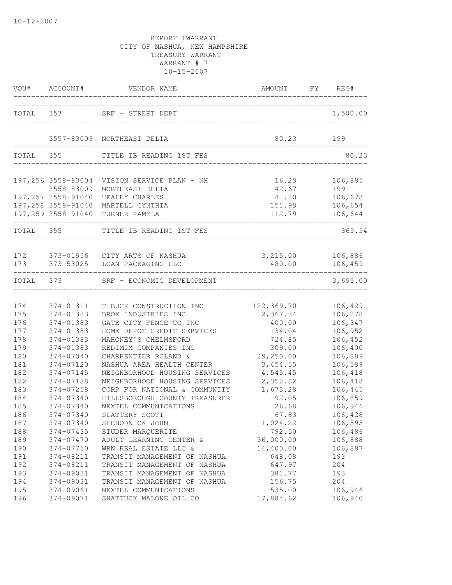| VOU#                     | ACCOUNT#                                                                                           | VENDOR NAME                                                                                                     | AMOUNT FY REG#                              |                                                 |
|--------------------------|----------------------------------------------------------------------------------------------------|-----------------------------------------------------------------------------------------------------------------|---------------------------------------------|-------------------------------------------------|
|                          |                                                                                                    | TOTAL 353 SRF - STREET DEPT                                                                                     |                                             | 1,500.00                                        |
|                          |                                                                                                    | 3557-83009 NORTHEAST DELTA                                                                                      | 80.23                                       | 199                                             |
| TOTAL 355                |                                                                                                    | TITLE IB READING 1ST FES                                                                                        |                                             | 80.23                                           |
|                          | 197,256 3558-83004<br>3558-83009<br>197,257 3558-91040<br>197,258 3558-91040<br>197,259 3558-91040 | VISION SERVICE PLAN - NH<br>NORTHEAST DELTA<br>HEALEY CHARLES<br>MARTELL CYNTHIA<br>TURNER PAMELA               | 16.29<br>42.67<br>41.80<br>151.99<br>112.79 | 106,885<br>199<br>106,678<br>106,654<br>106,644 |
| TOTAL 355                |                                                                                                    | TITLE IB READING 1ST FES                                                                                        |                                             | 365.54                                          |
| 172<br>173               | 373-01956                                                                                          | CITY ARTS OF NASHUA<br>373-53025 LOAN PACKAGING LLC                                                             | 3,215.00<br>480.00                          | 106,886<br>106,459                              |
| TOTAL                    | 373                                                                                                | SRF - ECONOMIC DEVELOPMENT                                                                                      |                                             | 3,695.00                                        |
| 174<br>175<br>176        | 374-01311<br>374-01383<br>374-01383                                                                | T BUCK CONSTRUCTION INC<br>BROX INDUSTRIES INC<br>GATE CITY FENCE CO INC                                        | 122,369.70<br>2,367.84<br>400.00            | 106,429<br>106,278<br>106,347                   |
| 177<br>178<br>179<br>180 | 374-01383<br>374-01383<br>374-01383<br>$374 - 07040$                                               | HOME DEPOT CREDIT SERVICES<br>MAHONEY'S CHELMSFORD<br>REDIMIX COMPANIES INC<br>CHARPENTIER ROLAND &             | 134.04<br>724.85<br>309.00<br>29,250.00     | 106,952<br>106,452<br>106,400<br>106,889        |
| 181<br>182<br>182        | 374-07120<br>374-07145<br>374-07188                                                                | NASHUA AREA HEALTH CENTER<br>NEIGHBORHOOD HOUSING SERVICES<br>NEIGHBORHOOD HOUSING SERVICES                     | 3,454.55<br>4,545.45<br>2,352.82            | 106,599<br>106,418<br>106,418                   |
| 183<br>184<br>185<br>186 | 374-07258<br>374-07340<br>374-07340<br>374-07340                                                   | CORP FOR NATIONAL & COMMUNITY<br>HILLSBOROUGH COUNTY TREASURER<br>NEXTEL COMMUNICATIONS<br>SLATTERY SCOTT       | 1,673.28<br>92.05<br>26.68<br>67.83         | 106,445<br>106,859<br>106,946<br>106,428        |
| 187<br>188<br>189        | 374-07340<br>374-07435<br>374-07470                                                                | SLEBODNICK JOHN<br>STUDER MARQUERITE<br>ADULT LEARNING CENTER &                                                 | 1,024.22<br>792.50<br>36,000.00             | 106,595<br>106,486<br>106,888                   |
| 190<br>191<br>192        | 374-07750<br>374-08211<br>374-08211                                                                | WRN REAL ESTATE LLC &<br>TRANSIT MANAGEMENT OF NASHUA<br>TRANSIT MANAGEMENT OF NASHUA                           | 14,400.00<br>648.08<br>647.97               | 106,887<br>193<br>204                           |
| 193<br>194<br>195<br>196 | 374-09031<br>374-09031<br>374-09061<br>374-09071                                                   | TRANSIT MANAGEMENT OF NASHUA<br>TRANSIT MANAGEMENT OF NASHUA<br>NEXTEL COMMUNICATIONS<br>SHATTUCK MALONE OIL CO | 381.77<br>156.75<br>535.00<br>17,884.62     | 193<br>204<br>106,946<br>106,940                |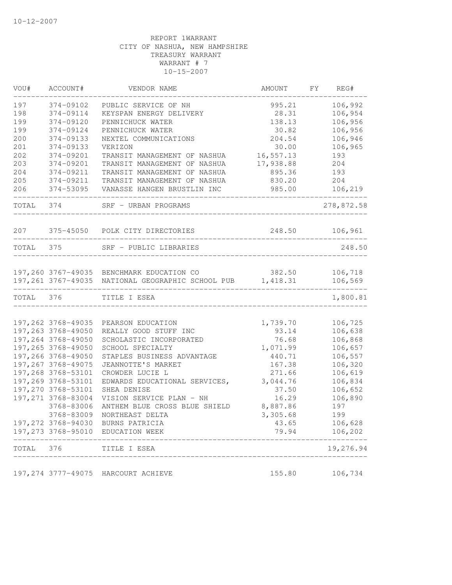| VOU#      | ACCOUNT#                                  | VENDOR NAME                                                | AMOUNT         | FΥ | REG#               |
|-----------|-------------------------------------------|------------------------------------------------------------|----------------|----|--------------------|
| 197       | 374-09102                                 | PUBLIC SERVICE OF NH                                       | 995.21         |    | 106,992            |
| 198       | 374-09114                                 | KEYSPAN ENERGY DELIVERY                                    | 28.31          |    | 106,954            |
| 199       | 374-09120                                 | PENNICHUCK WATER                                           | 138.13         |    | 106,956            |
| 199       | 374-09124                                 | PENNICHUCK WATER                                           | 30.82          |    | 106,956            |
| 200       | 374-09133                                 | NEXTEL COMMUNICATIONS                                      | 204.54         |    | 106,946            |
| 201       | 374-09133                                 | VERIZON                                                    | 30.00          |    | 106,965            |
| 202       | 374-09201                                 | TRANSIT MANAGEMENT OF NASHUA                               | 16,557.13      |    | 193                |
| 203       | 374-09201                                 | TRANSIT MANAGEMENT OF NASHUA                               | 17,938.88      |    | 204                |
| 204       | 374-09211                                 | TRANSIT MANAGEMENT OF NASHUA                               | 895.36         |    | 193                |
| 205       | 374-09211                                 | TRANSIT MANAGEMENT OF NASHUA                               | 830.20         |    | 204                |
| 206       | 374-53095                                 | VANASSE HANGEN BRUSTLIN INC                                | 985.00         |    | 106,219            |
| TOTAL 374 |                                           | SRF - URBAN PROGRAMS<br>_______________________            |                |    | 278,872.58         |
|           |                                           | 207 375-45050 POLK CITY DIRECTORIES                        |                |    | 248.50 106,961     |
| TOTAL 375 |                                           | SRF - PUBLIC LIBRARIES                                     |                |    | 248.50             |
|           |                                           |                                                            |                |    |                    |
|           |                                           | 197,260 3767-49035 BENCHMARK EDUCATION CO                  | 382.50         |    | 106,718            |
|           |                                           | 197,261 3767-49035 NATIONAL GEOGRAPHIC SCHOOL PUB 1,418.31 |                |    | 106,569            |
| TOTAL 376 |                                           | TITLE I ESEA                                               |                |    | 1,800.81           |
|           |                                           |                                                            |                |    |                    |
|           | 197,262 3768-49035                        | PEARSON EDUCATION                                          | 1,739.70       |    | 106,725            |
|           | 197,263 3768-49050                        | REALLY GOOD STUFF INC                                      | 93.14          |    | 106,638            |
|           | 197,264 3768-49050                        | SCHOLASTIC INCORPORATED                                    | 76.68          |    | 106,868            |
|           | 197,265 3768-49050                        | SCHOOL SPECIALTY                                           | 1,071.99       |    | 106,657            |
|           | 197,266 3768-49050                        | STAPLES BUSINESS ADVANTAGE                                 | 440.71         |    | 106,557            |
|           | 197, 267 3768-49075                       | JEANNOTTE'S MARKET                                         | 167.38         |    | 106,320            |
|           | 197,268 3768-53101                        | CROWDER LUCIE L                                            | 271.66         |    | 106,619            |
|           | 197,269 3768-53101                        | EDWARDS EDUCATIONAL SERVICES,                              | 3,044.76       |    | 106,834            |
|           | 197,270 3768-53101                        | SHEA DENISE                                                | 37.50          |    | 106,652            |
|           | 197,271 3768-83004                        | VISION SERVICE PLAN - NH                                   | 16.29          |    | 106,890            |
|           | 3768-83006                                | ANTHEM BLUE CROSS BLUE SHIELD                              | 8,887.86       |    | 197                |
|           | 3768-83009                                | NORTHEAST DELTA                                            | 3,305.68       |    | 199                |
|           | 197,272 3768-94030<br>197, 273 3768-95010 | BURNS PATRICIA<br>EDUCATION WEEK                           | 43.65<br>79.94 |    | 106,628<br>106,202 |
| TOTAL     | 376                                       | TITLE I ESEA                                               |                |    | 19,276.94          |
|           |                                           |                                                            |                |    |                    |
|           | 197, 274 3777-49075                       | HARCOURT ACHIEVE                                           | 155.80         |    | 106,734            |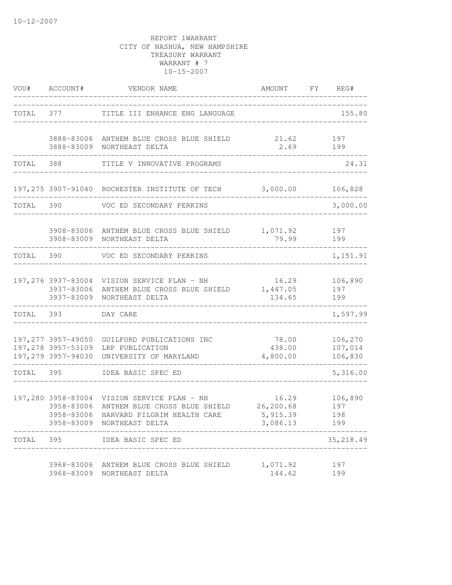| VOU#      | ACCOUNT#                               | VENDOR NAME                                                                                                                    | AMOUNT                                     | FY | REG#                          |
|-----------|----------------------------------------|--------------------------------------------------------------------------------------------------------------------------------|--------------------------------------------|----|-------------------------------|
| TOTAL     | 377                                    | TITLE III ENHANCE ENG LANGUAGE                                                                                                 |                                            |    | 155.80                        |
|           | 3888-83009                             | 3888-83006 ANTHEM BLUE CROSS BLUE SHIELD<br>NORTHEAST DELTA                                                                    | 21.62<br>2.69                              |    | 197<br>199                    |
| TOTAL     | 388                                    | TITLE V INNOVATIVE PROGRAMS                                                                                                    |                                            |    | 24.31                         |
|           |                                        | 197,275 3907-91040 ROCHESTER INSTITUTE OF TECH                                                                                 | 3,000.00                                   |    | 106,828                       |
| TOTAL     | 390                                    | VOC ED SECONDARY PERKINS                                                                                                       |                                            |    | 3,000.00                      |
|           |                                        | 3908-83006 ANTHEM BLUE CROSS BLUE SHIELD<br>3908-83009 NORTHEAST DELTA                                                         | 1,071.92<br>79.99                          |    | 197<br>199                    |
| TOTAL     | 390                                    | VOC ED SECONDARY PERKINS                                                                                                       |                                            |    | 1,151.91                      |
|           | 3937-83006<br>3937-83009               | 197,276 3937-83004 VISION SERVICE PLAN - NH<br>ANTHEM BLUE CROSS BLUE SHIELD 1,447.05<br>NORTHEAST DELTA                       | 16.29<br>134.65                            |    | 106,890<br>197<br>199         |
| TOTAL 393 |                                        | DAY CARE                                                                                                                       |                                            |    | 1,597.99                      |
|           | 197,279 3957-94030                     | 197,277 3957-49050 GUILFORD PUBLICATIONS INC<br>197,278 3957-53109 LRP PUBLICATION<br>UNIVERSITY OF MARYLAND                   | 78.00<br>438.00<br>4,800.00                |    | 106,270<br>107,014<br>106,830 |
| TOTAL 395 |                                        | IDEA BASIC SPEC ED                                                                                                             |                                            |    | 5,316.00                      |
|           | 3958-83006<br>3958-83006<br>3958-83009 | 197,280 3958-83004 VISION SERVICE PLAN - NH<br>ANTHEM BLUE CROSS BLUE SHIELD<br>HARVARD PILGRIM HEALTH CARE<br>NORTHEAST DELTA | 16.29<br>26,200.68<br>5,915.39<br>3,086.13 |    | 106,890<br>197<br>198<br>199  |
| TOTAL     | 395                                    | IDEA BASIC SPEC ED                                                                                                             |                                            |    | 35, 218.49                    |
|           | 3968-83009                             | 3968-83006 ANTHEM BLUE CROSS BLUE SHIELD<br>NORTHEAST DELTA                                                                    | 1,071.92<br>144.62                         |    | 197<br>199                    |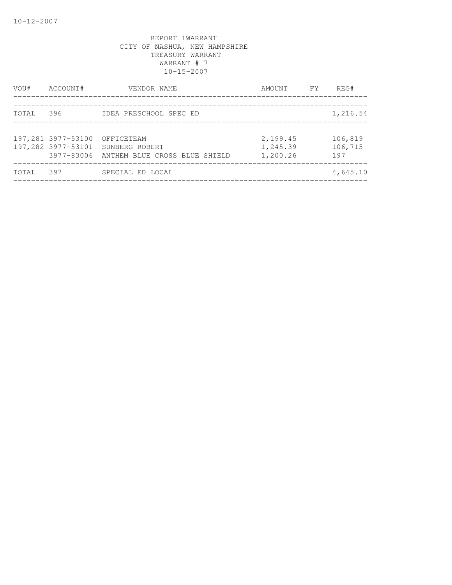| VOU#  | ACCOUNT#           | VENDOR NAME                                                                                 | AMOUNT                           | <b>EXECUTE</b> | REG#                      |
|-------|--------------------|---------------------------------------------------------------------------------------------|----------------------------------|----------------|---------------------------|
| TOTAL | 396                | IDEA PRESCHOOL SPEC ED                                                                      |                                  |                | 1,216.54                  |
|       | 197,281 3977-53100 | OFFICETEAM<br>197,282 3977-53101 SUNBERG ROBERT<br>3977-83006 ANTHEM BLUE CROSS BLUE SHIELD | 2,199.45<br>1,245.39<br>1,200.26 |                | 106,819<br>106,715<br>197 |
| TOTAL | 397                | SPECIAL ED LOCAL                                                                            |                                  |                | 4,645.10                  |
|       |                    |                                                                                             |                                  |                |                           |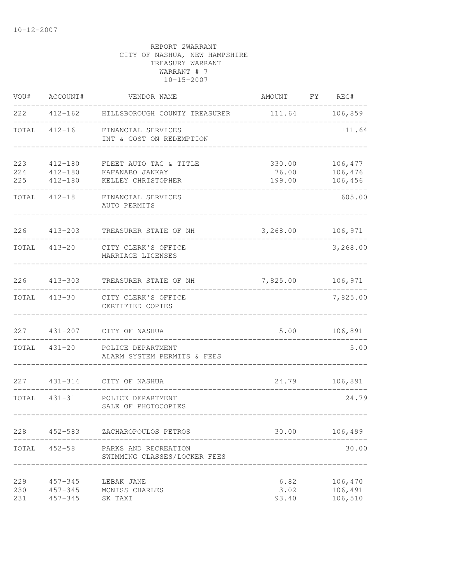| VOU#              | ACCOUNT#                                  | VENDOR NAME                                                     | AMOUNT FY REG#            |                               |
|-------------------|-------------------------------------------|-----------------------------------------------------------------|---------------------------|-------------------------------|
|                   |                                           | 222  412-162  HILLSBOROUGH COUNTY TREASURER  111.64  106,859    |                           |                               |
|                   |                                           | TOTAL 412-16 FINANCIAL SERVICES<br>INT & COST ON REDEMPTION     |                           | 111.64                        |
| 223<br>224<br>225 | $412 - 180$<br>$412 - 180$<br>412-180     | FLEET AUTO TAG & TITLE<br>KAFANABO JANKAY<br>KELLEY CHRISTOPHER | 330.00<br>76.00<br>199.00 | 106,477<br>106,476<br>106,456 |
|                   | TOTAL 412-18                              | FINANCIAL SERVICES<br>AUTO PERMITS                              |                           | 605.00                        |
|                   | 226 413-203                               | TREASURER STATE OF NH                                           | 3,268.00                  | 106,971                       |
|                   | TOTAL 413-20                              | CITY CLERK'S OFFICE<br>MARRIAGE LICENSES                        |                           | 3,268.00                      |
| 226               |                                           | 413-303 TREASURER STATE OF NH                                   | 7,825.00 106,971          |                               |
|                   |                                           | TOTAL 413-30 CITY CLERK'S OFFICE<br>CERTIFIED COPIES            |                           | 7,825.00                      |
| 227               |                                           | 431-207 CITY OF NASHUA                                          | 5.00                      | 106,891                       |
|                   |                                           | TOTAL 431-20 POLICE DEPARTMENT<br>ALARM SYSTEM PERMITS & FEES   |                           | 5.00                          |
|                   |                                           | 227 431-314 CITY OF NASHUA                                      |                           | 24.79 106,891                 |
|                   | TOTAL 431-31                              | POLICE DEPARTMENT<br>SALE OF PHOTOCOPIES                        |                           | 24.79                         |
| 228               | 452-583                                   | ZACHAROPOULOS PETROS                                            | 30.00                     | 106,499                       |
| TOTAL             | $452 - 58$                                | PARKS AND RECREATION<br>SWIMMING CLASSES/LOCKER FEES            |                           | 30.00                         |
| 229<br>230<br>231 | $457 - 345$<br>$457 - 345$<br>$457 - 345$ | LEBAK JANE<br>MCNISS CHARLES<br>SK TAXI                         | 6.82<br>3.02<br>93.40     | 106,470<br>106,491<br>106,510 |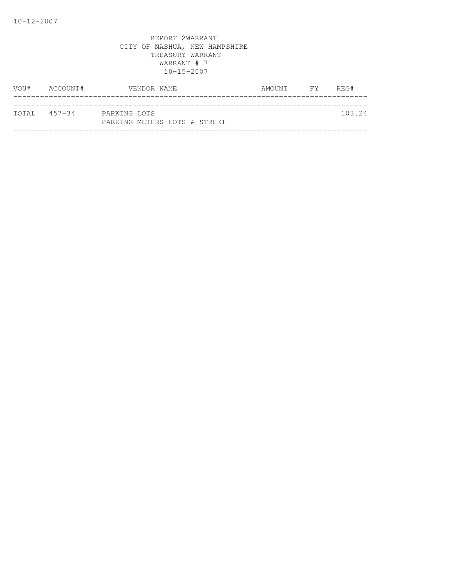| VOU# | ACCOUNT#     | VENDOR NAME                                  | AMOUNT FY | REG#   |
|------|--------------|----------------------------------------------|-----------|--------|
|      |              |                                              |           |        |
|      | TOTAL 457-34 | PARKING LOTS<br>PARKING METERS-LOTS & STREET |           | 103.24 |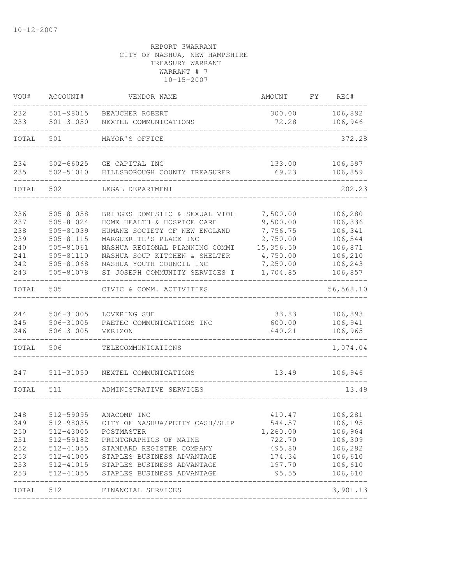| VOU#                                                 | ACCOUNT#                                                                                             | VENDOR NAME                                                                                                                                                                                                                                              | AMOUNT                                                                                        | FY | REG#                                                                                              |
|------------------------------------------------------|------------------------------------------------------------------------------------------------------|----------------------------------------------------------------------------------------------------------------------------------------------------------------------------------------------------------------------------------------------------------|-----------------------------------------------------------------------------------------------|----|---------------------------------------------------------------------------------------------------|
| 232<br>233                                           | 501-98015<br>$501 - 31050$                                                                           | BEAUCHER ROBERT<br>NEXTEL COMMUNICATIONS                                                                                                                                                                                                                 | 300.00<br>72.28                                                                               |    | 106,892<br>106,946                                                                                |
| TOTAL                                                | 501                                                                                                  | MAYOR'S OFFICE                                                                                                                                                                                                                                           |                                                                                               |    | 372.28                                                                                            |
| 234<br>235                                           | 502-66025<br>502-51010                                                                               | GE CAPITAL INC<br>HILLSBOROUGH COUNTY TREASURER                                                                                                                                                                                                          | 133.00<br>69.23                                                                               |    | 106,597<br>106,859                                                                                |
| TOTAL                                                | 502                                                                                                  | LEGAL DEPARTMENT                                                                                                                                                                                                                                         |                                                                                               |    | 202.23                                                                                            |
| 236<br>237<br>238<br>239<br>240<br>241<br>242<br>243 | 505-81058<br>505-81024<br>505-81039<br>505-81115<br>505-81061<br>505-81110<br>505-81068<br>505-81078 | BRIDGES DOMESTIC & SEXUAL VIOL<br>HOME HEALTH & HOSPICE CARE<br>HUMANE SOCIETY OF NEW ENGLAND<br>MARGUERITE'S PLACE INC<br>NASHUA REGIONAL PLANNING COMMI<br>NASHUA SOUP KITCHEN & SHELTER<br>NASHUA YOUTH COUNCIL INC<br>ST JOSEPH COMMUNITY SERVICES I | 7,500.00<br>9,500.00<br>7,756.75<br>2,750.00<br>15,356.50<br>4,750.00<br>7,250.00<br>1,704.85 |    | 106,280<br>106,336<br>106,341<br>106,544<br>106,871<br>106,210<br>106,243<br>106,857              |
| TOTAL                                                | 505                                                                                                  | CIVIC & COMM. ACTIVITIES                                                                                                                                                                                                                                 |                                                                                               |    | 56,568.10                                                                                         |
| 244<br>245<br>246                                    | 506-31005<br>506-31005<br>506-31005                                                                  | LOVERING SUE<br>PAETEC COMMUNICATIONS INC<br>VERIZON                                                                                                                                                                                                     | 33.83<br>600.00<br>440.21                                                                     |    | 106,893<br>106,941<br>106,965                                                                     |
| TOTAL                                                | 506                                                                                                  | TELECOMMUNICATIONS                                                                                                                                                                                                                                       |                                                                                               |    | 1,074.04                                                                                          |
| 247                                                  | $511 - 31050$                                                                                        | NEXTEL COMMUNICATIONS                                                                                                                                                                                                                                    | 13.49                                                                                         |    | 106,946                                                                                           |
| TOTAL                                                | 511                                                                                                  | ADMINISTRATIVE SERVICES                                                                                                                                                                                                                                  |                                                                                               |    | 13.49                                                                                             |
| 248<br>249<br>250<br>251<br>252<br>253<br>253<br>253 | 512-59095<br>512-98035<br>512-43005<br>512-41055                                                     | ANACOMP INC<br>CITY OF NASHUA/PETTY CASH/SLIP<br>POSTMASTER<br>512-59182 PRINTGRAPHICS OF MAINE<br>512-41055 STANDARD REGISTER COMPANY<br>512-41005 STAPLES BUSINESS ADVANTAGE<br>512-41015 STAPLES BUSINESS ADVANTAGE<br>STAPLES BUSINESS ADVANTAGE     | 410.47<br>544.57<br>1,260.00<br>722.70<br>495.80<br>174.34<br>197.70<br>95.55                 |    | 106,281<br>106, 195<br>106,964<br>106,309<br>106,282<br>106,610<br>106,610<br>106,610<br>-------- |
| TOTAL 512                                            |                                                                                                      | FINANCIAL SERVICES                                                                                                                                                                                                                                       |                                                                                               |    | 3,901.13                                                                                          |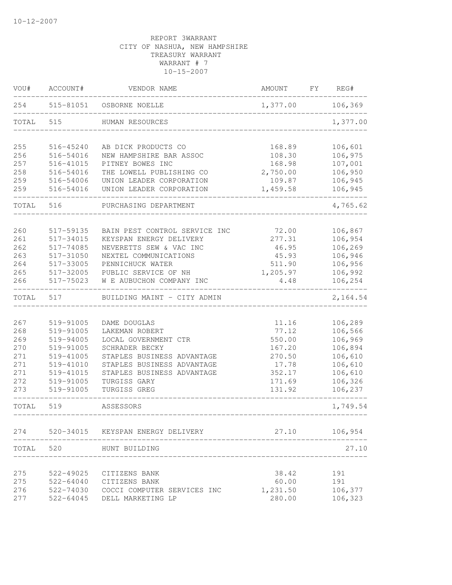| VOU#  | ACCOUNT#  | VENDOR NAME                           | AMOUNT   | FΥ | REG#     |
|-------|-----------|---------------------------------------|----------|----|----------|
| 254   | 515-81051 | OSBORNE NOELLE                        | 1,377.00 |    | 106,369  |
| TOTAL | 515       | HUMAN RESOURCES                       |          |    | 1,377.00 |
| 255   | 516-45240 | AB DICK PRODUCTS CO                   | 168.89   |    | 106,601  |
| 256   | 516-54016 | NEW HAMPSHIRE BAR ASSOC               | 108.30   |    | 106,975  |
| 257   | 516-41015 | PITNEY BOWES INC                      | 168.98   |    | 107,001  |
| 258   | 516-54016 | THE LOWELL PUBLISHING CO              | 2,750.00 |    | 106,950  |
| 259   | 516-54006 | UNION LEADER CORPORATION              | 109.87   |    | 106,945  |
| 259   | 516-54016 | UNION LEADER CORPORATION              | 1,459.58 |    | 106,945  |
| TOTAL | 516       | PURCHASING DEPARTMENT                 |          |    | 4,765.62 |
| 260   | 517-59135 | BAIN PEST CONTROL SERVICE INC         | 72.00    |    | 106,867  |
| 261   | 517-34015 | KEYSPAN ENERGY DELIVERY               | 277.31   |    | 106,954  |
| 262   | 517-74085 | NEVERETTS SEW & VAC INC               | 46.95    |    | 106,269  |
| 263   | 517-31050 | NEXTEL COMMUNICATIONS                 | 45.93    |    | 106,946  |
| 264   | 517-33005 | PENNICHUCK WATER                      | 511.90   |    | 106,956  |
| 265   | 517-32005 | PUBLIC SERVICE OF NH                  | 1,205.97 |    | 106,992  |
| 266   | 517-75023 | W E AUBUCHON COMPANY INC              | 4.48     |    | 106,254  |
| TOTAL | 517       | BUILDING MAINT - CITY ADMIN           |          |    | 2,164.54 |
|       |           |                                       |          |    |          |
| 267   | 519-91005 | DAME DOUGLAS                          | 11.16    |    | 106,289  |
| 268   | 519-91005 | LAKEMAN ROBERT                        | 77.12    |    | 106,566  |
| 269   | 519-94005 | LOCAL GOVERNMENT CTR                  | 550.00   |    | 106,969  |
| 270   | 519-91005 | SCHRADER BECKY                        | 167.20   |    | 106,894  |
| 271   | 519-41005 | STAPLES BUSINESS ADVANTAGE            | 270.50   |    | 106,610  |
| 271   | 519-41010 | STAPLES BUSINESS ADVANTAGE            | 17.78    |    | 106,610  |
| 271   | 519-41015 | STAPLES BUSINESS ADVANTAGE            | 352.17   |    | 106,610  |
| 272   | 519-91005 | TURGISS GARY                          | 171.69   |    | 106,326  |
| 273   | 519-91005 | TURGISS GREG                          | 131.92   |    | 106,237  |
| TOTAL | 519       | ASSESSORS                             |          |    | 1,749.54 |
|       |           | 274 520-34015 KEYSPAN ENERGY DELIVERY | 27.10    |    | 106,954  |
| TOTAL | 520       | HUNT BUILDING                         |          |    | 27.10    |
|       |           |                                       |          |    |          |
| 275   | 522-49025 | CITIZENS BANK                         | 38.42    |    | 191      |
| 275   |           | 522-64040 CITIZENS BANK               | 60.00    |    | 191      |
| 276   |           | 522-74030 COCCI COMPUTER SERVICES INC | 1,231.50 |    | 106,377  |
| 277   |           | 522-64045 DELL MARKETING LP           | 280.00   |    | 106,323  |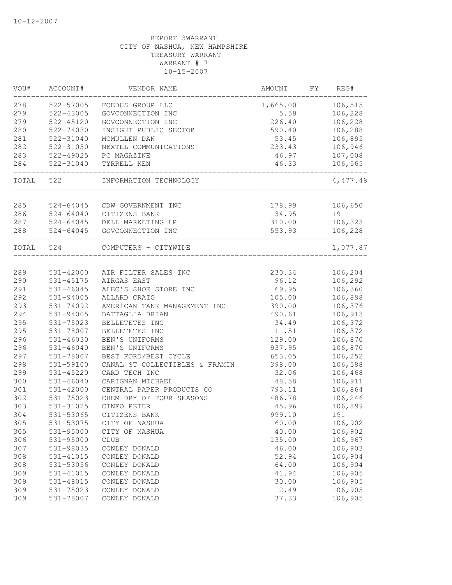| VOU#  | ACCOUNT#      | VENDOR NAME                    | AMOUNT   | FΥ | REG#     |
|-------|---------------|--------------------------------|----------|----|----------|
| 278   | 522-57005     | FOEDUS GROUP LLC               | 1,665.00 |    | 106,515  |
| 279   | 522-43005     | GOVCONNECTION INC              | 5.58     |    | 106,228  |
| 279   | 522-45120     | GOVCONNECTION INC              | 226.40   |    | 106,228  |
| 280   | 522-74030     | INSIGHT PUBLIC SECTOR          | 590.40   |    | 106,288  |
| 281   | 522-31040     | MCMULLEN DAN                   | 53.45    |    | 106,895  |
| 282   | 522-31050     | NEXTEL COMMUNICATIONS          | 233.43   |    | 106,946  |
| 283   | 522-49025     | PC MAGAZINE                    | 46.97    |    | 107,008  |
| 284   | 522-31040     | TYRRELL KEN                    | 46.33    |    | 106,565  |
| TOTAL | 522           | INFORMATION TECHNOLOGY         |          |    | 4,477.48 |
| 285   | $524 - 64045$ | CDW GOVERNMENT INC             | 178.99   |    | 106,650  |
| 286   | $524 - 64040$ | CITIZENS BANK                  | 34.95    |    | 191      |
| 287   | $524 - 64045$ | DELL MARKETING LP              | 310.00   |    | 106,323  |
| 288   | $524 - 64045$ | GOVCONNECTION INC              | 553.93   |    | 106,228  |
| TOTAL | 524           | COMPUTERS - CITYWIDE           |          |    | 1,077.87 |
|       |               |                                |          |    |          |
| 289   | 531-42000     | AIR FILTER SALES INC           | 230.34   |    | 106,204  |
| 290   | 531-45175     | AIRGAS EAST                    | 96.12    |    | 106,292  |
| 291   | $531 - 46045$ | ALEC'S SHOE STORE INC          | 69.95    |    | 106,360  |
| 292   | $531 - 94005$ | ALLARD CRAIG                   | 105.00   |    | 106,898  |
| 293   | 531-74092     | AMERICAN TANK MANAGEMENT INC   | 390.00   |    | 106,376  |
| 294   | 531-94005     | BATTAGLIA BRIAN                | 490.61   |    | 106,913  |
| 295   | 531-75023     | BELLETETES INC                 | 34.49    |    | 106,372  |
| 295   | 531-78007     | BELLETETES INC                 | 11.51    |    | 106,372  |
| 296   | $531 - 46030$ | BEN'S UNIFORMS                 | 129.00   |    | 106,870  |
| 296   | $531 - 46040$ | BEN'S UNIFORMS                 | 937.95   |    | 106,870  |
| 297   | 531-78007     | BEST FORD/BEST CYCLE           | 653.05   |    | 106,252  |
| 298   | 531-59100     | CANAL ST COLLECTIBLES & FRAMIN | 398.00   |    | 106,588  |
| 299   | 531-45220     | CARD TECH INC                  | 32.06    |    | 106,468  |
| 300   | $531 - 46040$ | CARIGNAN MICHAEL               | 48.58    |    | 106,911  |
| 301   | 531-42000     | CENTRAL PAPER PRODUCTS CO      | 793.11   |    | 106,864  |
| 302   | 531-75023     | CHEM-DRY OF FOUR SEASONS       | 486.78   |    | 106,246  |
| 303   | 531-31025     | CINFO PETER                    | 45.96    |    | 106,899  |
| 304   | 531-53065     | CITIZENS BANK                  | 999.10   |    | 191      |
| 305   | 531-53075     | CITY OF NASHUA                 | 60.00    |    | 106,902  |
| 305   | $531 - 95000$ | CITY OF NASHUA                 | 40.00    |    | 106,902  |
| 306   | 531-95000     | <b>CLUB</b>                    | 135.00   |    | 106,967  |
| 307   | 531-98035     | CONLEY DONALD                  | 46.00    |    | 106,903  |
| 308   | 531-41015     | CONLEY DONALD                  | 52.94    |    | 106,904  |
| 308   | 531-53056     | CONLEY DONALD                  | 64.00    |    | 106,904  |
| 309   | 531-41015     | CONLEY DONALD                  | 41.94    |    | 106,905  |
| 309   | 531-48015     | CONLEY DONALD                  | 30.00    |    | 106,905  |
| 309   | 531-75023     | CONLEY DONALD                  | 2.49     |    | 106,905  |
| 309   | 531-78007     | CONLEY DONALD                  | 37.33    |    | 106,905  |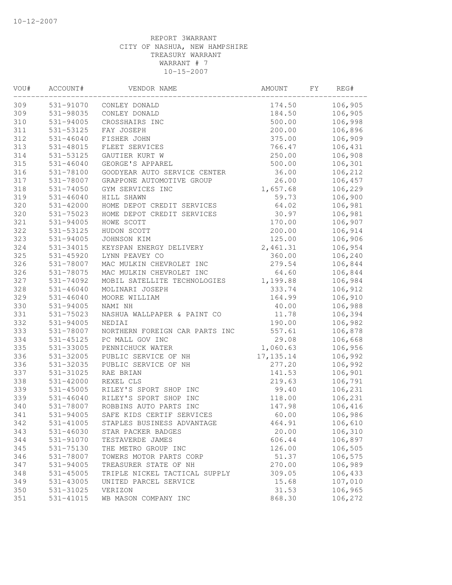| VOU#       | ACCOUNT#               | VENDOR NAME                    | AMOUNT          | FY | REG#    |
|------------|------------------------|--------------------------------|-----------------|----|---------|
| 309        | 531-91070              | CONLEY DONALD                  | 174.50          |    | 106,905 |
| 309        | 531-98035              | CONLEY DONALD                  | 184.50          |    | 106,905 |
| 310        | 531-94005              | CROSSHAIRS INC                 | 500.00          |    | 106,998 |
| 311        | 531-53125              | FAY JOSEPH                     | 200.00          |    | 106,896 |
| 312        | $531 - 46040$          | FISHER JOHN                    | 375.00          |    | 106,909 |
| 313        | 531-48015              | FLEET SERVICES                 | 766.47          |    | 106,431 |
| 314        | 531-53125              | GAUTIER KURT W                 | 250.00          |    | 106,908 |
| 315        | $531 - 46040$          | GEORGE'S APPAREL               | 500.00          |    | 106,301 |
| 316        | 531-78100              | GOODYEAR AUTO SERVICE CENTER   | 36.00           |    | 106,212 |
| 317        | 531-78007              | GRAPPONE AUTOMOTIVE GROUP      | 26.00           |    | 106,457 |
| 318        | $531 - 74050$          | GYM SERVICES INC               | 1,657.68        |    | 106,229 |
| 319        | $531 - 46040$          | HILL SHAWN                     | 59.73           |    | 106,900 |
| 320        | 531-42000              | HOME DEPOT CREDIT SERVICES     | 64.02           |    | 106,981 |
| 320        | 531-75023              | HOME DEPOT CREDIT SERVICES     | 30.97           |    | 106,981 |
| 321        | 531-94005              | HOWE SCOTT                     | 170.00          |    | 106,907 |
| 322        | 531-53125              | HUDON SCOTT                    | 200.00          |    | 106,914 |
| 323        | 531-94005              | JOHNSON KIM                    | 125.00          |    | 106,906 |
| 324        | 531-34015              | KEYSPAN ENERGY DELIVERY        | 2,461.31        |    | 106,954 |
| 325        | $531 - 45920$          | LYNN PEAVEY CO                 | 360.00          |    | 106,240 |
| 326        | 531-78007              | MAC MULKIN CHEVROLET INC       | 279.54          |    | 106,844 |
| 326        | 531-78075              | MAC MULKIN CHEVROLET INC       | 64.60           |    | 106,844 |
| 327        | 531-74092              | MOBIL SATELLITE TECHNOLOGIES   | 1,199.88        |    | 106,984 |
| 328        | $531 - 46040$          | MOLINARI JOSEPH                | 333.74          |    | 106,912 |
| 329        | $531 - 46040$          | MOORE WILLIAM                  | 164.99          |    | 106,910 |
| 330        | 531-94005              | NAMI NH                        | 40.00           |    | 106,988 |
| 331        | 531-75023              | NASHUA WALLPAPER & PAINT CO    | 11.78           |    | 106,394 |
| 332        | 531-94005              | NEDIAI                         | 190.00          |    | 106,982 |
| 333        | 531-78007              | NORTHERN FOREIGN CAR PARTS INC | 557.61          |    | 106,878 |
| 334        | 531-45125              | PC MALL GOV INC                | 29.08           |    | 106,668 |
| 335        | 531-33005              | PENNICHUCK WATER               | 1,060.63        |    | 106,956 |
| 336        | 531-32005              | PUBLIC SERVICE OF NH           | 17, 135.14      |    | 106,992 |
| 336        | 531-32035              | PUBLIC SERVICE OF NH           | 277.20          |    | 106,992 |
| 337        | 531-31025              | RAE BRIAN                      | 141.53          |    | 106,901 |
| 338        | 531-42000              | REXEL CLS                      | 219.63          |    | 106,791 |
| 339        | $531 - 45005$          | RILEY'S SPORT SHOP INC         | 99.40           |    | 106,231 |
| 339        | $531 - 46040$          | RILEY'S SPORT SHOP INC         | 118.00          |    | 106,231 |
| 340        | 531-78007              | ROBBINS AUTO PARTS INC         | 147.98          |    | 106,416 |
| 341        | 531-94005              | SAFE KIDS CERTIF SERVICES      | 60.00           |    | 106,986 |
| 342        | 531-41005              | STAPLES BUSINESS ADVANTAGE     | 464.91          |    | 106,610 |
| 343        | $531 - 46030$          | STAR PACKER BADGES             | 20.00           |    | 106,310 |
| 344        | 531-91070              | TESTAVERDE JAMES               | 606.44          |    | 106,897 |
| 345        | 531-75130              | THE METRO GROUP INC            | 126.00          |    | 106,505 |
| 346        | 531-78007              | TOWERS MOTOR PARTS CORP        | 51.37           |    | 106,575 |
| 347        | 531-94005              | TREASURER STATE OF NH          | 270.00          |    | 106,989 |
| 348        | $531 - 45005$          | TRIPLE NICKEL TACTICAL SUPPLY  | 309.05          |    | 106,433 |
| 349<br>350 | 531-43005              | UNITED PARCEL SERVICE          | 15.68           |    | 107,010 |
|            | 531-31025<br>531-41015 | VERIZON                        | 31.53<br>868.30 |    | 106,965 |
| 351        |                        | WB MASON COMPANY INC           |                 |    | 106,272 |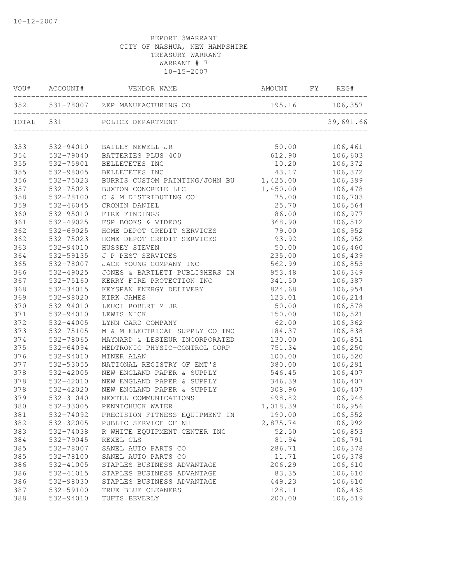| VOU#  | ACCOUNT#  | VENDOR NAME                                               | AMOUNT         | FY | REG#      |
|-------|-----------|-----------------------------------------------------------|----------------|----|-----------|
| 352   |           | 531-78007 ZEP MANUFACTURING CO                            | 195.16 106,357 |    |           |
| TOTAL | 531       | POLICE DEPARTMENT<br><br>________________________________ |                |    | 39,691.66 |
| 353   | 532-94010 | BAILEY NEWELL JR                                          | 50.00          |    | 106,461   |
| 354   | 532-79040 | BATTERIES PLUS 400                                        | 612.90         |    | 106,603   |
| 355   | 532-75901 | BELLETETES INC                                            | 10.20          |    | 106,372   |
| 355   | 532-98005 | BELLETETES INC                                            | 43.17          |    | 106,372   |
| 356   | 532-75023 | BURRIS CUSTOM PAINTING/JOHN BU 1,425.00                   |                |    | 106,399   |
| 357   | 532-75023 | BUXTON CONCRETE LLC                                       | 1,450.00       |    | 106,478   |
| 358   | 532-78100 | C & M DISTRIBUTING CO                                     | 75.00          |    | 106,703   |
| 359   | 532-46045 | CRONIN DANIEL                                             | 25.70          |    | 106,564   |
| 360   | 532-95010 | FIRE FINDINGS                                             | 86.00          |    | 106,977   |
| 361   | 532-49025 | FSP BOOKS & VIDEOS                                        | 368.90         |    | 106,512   |
| 362   | 532-69025 | HOME DEPOT CREDIT SERVICES                                | 79.00          |    | 106,952   |
| 362   | 532-75023 | HOME DEPOT CREDIT SERVICES                                | 93.92          |    | 106,952   |
| 363   | 532-94010 | HUSSEY STEVEN                                             | 50.00          |    | 106,460   |
| 364   | 532-59135 | J P PEST SERVICES                                         | 235.00         |    | 106,439   |
| 365   | 532-78007 | JACK YOUNG COMPANY INC                                    | 562.99         |    | 106,855   |
| 366   | 532-49025 | JONES & BARTLETT PUBLISHERS IN                            | 953.48         |    | 106,349   |
| 367   | 532-75160 | KERRY FIRE PROTECTION INC                                 | 341.50         |    | 106,387   |
| 368   | 532-34015 | KEYSPAN ENERGY DELIVERY                                   | 824.68         |    | 106,954   |
| 369   | 532-98020 | KIRK JAMES                                                | 123.01         |    | 106,214   |
| 370   | 532-94010 | LEUCI ROBERT M JR                                         | 50.00          |    | 106,578   |
| 371   | 532-94010 | LEWIS NICK                                                | 150.00         |    | 106,521   |
| 372   | 532-44005 | LYNN CARD COMPANY                                         | 62.00          |    | 106,362   |
| 373   | 532-75105 | M & M ELECTRICAL SUPPLY CO INC                            | 184.37         |    | 106,838   |
| 374   | 532-78065 | MAYNARD & LESIEUR INCORPORATED                            | 130.00         |    | 106,851   |
| 375   | 532-64094 | MEDTRONIC PHYSIO-CONTROL CORP                             | 751.34         |    | 106,250   |
| 376   | 532-94010 | MINER ALAN                                                | 100.00         |    | 106,520   |
| 377   | 532-53055 | NATIONAL REGISTRY OF EMT'S                                | 380.00         |    | 106,291   |
| 378   | 532-42005 | NEW ENGLAND PAPER & SUPPLY                                | 546.45         |    | 106,407   |
| 378   | 532-42010 | NEW ENGLAND PAPER & SUPPLY                                | 346.39         |    | 106,407   |
| 378   | 532-42020 | NEW ENGLAND PAPER & SUPPLY                                | 308.96         |    | 106,407   |
| 379   | 532-31040 | NEXTEL COMMUNICATIONS                                     | 498.82         |    | 106,946   |
| 380   | 532-33005 | PENNICHUCK WATER                                          | 1,018.39       |    | 106,956   |
| 381   | 532-74092 | PRECISION FITNESS EQUIPMENT IN                            | 190.00         |    | 106,552   |
| 382   | 532-32005 | PUBLIC SERVICE OF NH                                      | 2,875.74       |    | 106,992   |
| 383   | 532-74038 | R WHITE EQUIPMENT CENTER INC                              | 52.50          |    | 106,853   |
| 384   | 532-79045 | REXEL CLS                                                 | 81.94          |    | 106,791   |
| 385   | 532-78007 | SANEL AUTO PARTS CO                                       | 286.71         |    | 106,378   |
| 385   | 532-78100 | SANEL AUTO PARTS CO                                       | 11.71          |    | 106,378   |
| 386   | 532-41005 | STAPLES BUSINESS ADVANTAGE                                | 206.29         |    | 106,610   |
| 386   | 532-41015 | STAPLES BUSINESS ADVANTAGE                                | 83.35          |    | 106,610   |
| 386   | 532-98030 | STAPLES BUSINESS ADVANTAGE                                | 449.23         |    | 106,610   |
| 387   | 532-59100 | TRUE BLUE CLEANERS                                        | 128.11         |    | 106,435   |
| 388   | 532-94010 | TUFTS BEVERLY                                             | 200.00         |    | 106,519   |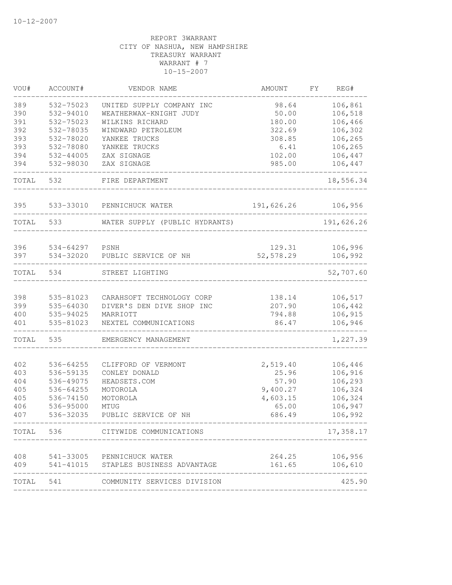| VOU#      | ACCOUNT#  | VENDOR NAME                          | AMOUNT     | FY. | REG#       |
|-----------|-----------|--------------------------------------|------------|-----|------------|
| 389       | 532-75023 | UNITED SUPPLY COMPANY INC            | 98.64      |     | 106,861    |
| 390       | 532-94010 | WEATHERWAX-KNIGHT JUDY               | 50.00      |     | 106,518    |
| 391       | 532-75023 | WILKINS RICHARD                      | 180.00     |     | 106,466    |
| 392       | 532-78035 | WINDWARD PETROLEUM                   | 322.69     |     | 106,302    |
| 393       | 532-78020 | YANKEE TRUCKS                        | 308.85     |     | 106,265    |
| 393       | 532-78080 | YANKEE TRUCKS                        | 6.41       |     | 106,265    |
| 394       | 532-44005 | ZAX SIGNAGE                          | 102.00     |     | 106,447    |
| 394       | 532-98030 | ZAX SIGNAGE                          | 985.00     |     | 106,447    |
| TOTAL     | 532       | FIRE DEPARTMENT                      |            |     | 18,556.34  |
| 395       | 533-33010 | PENNICHUCK WATER                     | 191,626.26 |     | 106,956    |
| TOTAL     | 533       | WATER SUPPLY (PUBLIC HYDRANTS)       |            |     | 191,626.26 |
|           |           |                                      |            |     |            |
| 396       | 534-64297 | PSNH                                 | 129.31     |     | 106,996    |
| 397       | 534-32020 | PUBLIC SERVICE OF NH                 | 52,578.29  |     | 106,992    |
| TOTAL     | 534       | STREET LIGHTING                      |            |     | 52,707.60  |
| 398       | 535-81023 | CARAHSOFT TECHNOLOGY CORP            | 138.14     |     | 106,517    |
| 399       | 535-64030 | DIVER'S DEN DIVE SHOP INC            | 207.90     |     | 106,442    |
| 400       | 535-94025 | MARRIOTT                             | 794.88     |     | 106,915    |
| 401       | 535-81023 | NEXTEL COMMUNICATIONS                | 86.47      |     | 106,946    |
| TOTAL     | 535       | EMERGENCY MANAGEMENT                 |            |     | 1,227.39   |
| 402       | 536-64255 | CLIFFORD OF VERMONT                  | 2,519.40   |     | 106,446    |
| 403       | 536-59135 | CONLEY DONALD                        | 25.96      |     | 106,916    |
| 404       | 536-49075 | HEADSETS.COM                         | 57.90      |     | 106,293    |
| 405       | 536-64255 | MOTOROLA                             | 9,400.27   |     | 106,324    |
| 405       | 536-74150 | MOTOROLA                             | 4,603.15   |     | 106,324    |
| 406       | 536-95000 | MTUG                                 | 65.00      |     | 106,947    |
| 407       | 536-32035 | PUBLIC SERVICE OF NH                 | 686.49     |     | 106,992    |
|           |           | TOTAL 536 CITYWIDE COMMUNICATIONS    |            |     | 17,358.17  |
| 408       |           | 541-33005 PENNICHUCK WATER           | 264.25     |     | 106,956    |
| 409       |           | 541-41015 STAPLES BUSINESS ADVANTAGE | 161.65     |     | 106,610    |
| TOTAL 541 |           | COMMUNITY SERVICES DIVISION          |            |     | 425.90     |
|           |           |                                      |            |     |            |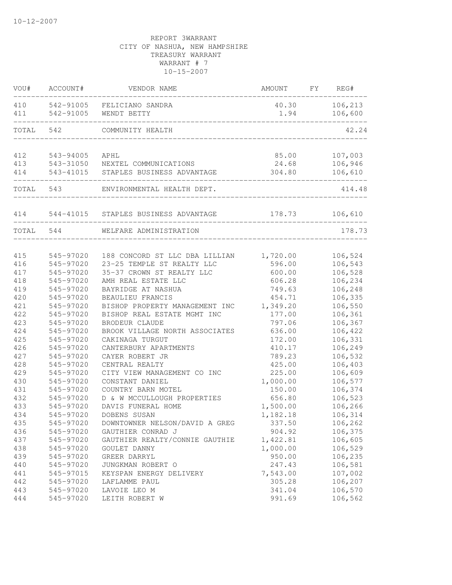| VOU#      | ACCOUNT#  | VENDOR NAME                    | AMOUNT   | FΥ | REG#    |
|-----------|-----------|--------------------------------|----------|----|---------|
| 410       | 542-91005 | FELICIANO SANDRA               | 40.30    |    | 106,213 |
| 411       | 542-91005 | WENDT BETTY                    | 1.94     |    | 106,600 |
| TOTAL     | 542       | COMMUNITY HEALTH               |          |    | 42.24   |
|           |           |                                |          |    |         |
| 412       | 543-94005 | APHL                           | 85.00    |    | 107,003 |
| 413       | 543-31050 | NEXTEL COMMUNICATIONS          | 24.68    |    | 106,946 |
| 414       | 543-41015 | STAPLES BUSINESS ADVANTAGE     | 304.80   |    | 106,610 |
| TOTAL     | 543       | ENVIRONMENTAL HEALTH DEPT.     |          |    | 414.48  |
| 414       | 544-41015 | STAPLES BUSINESS ADVANTAGE     | 178.73   |    | 106,610 |
| TOTAL 544 |           | WELFARE ADMINISTRATION         |          |    | 178.73  |
|           |           |                                |          |    |         |
| 415       | 545-97020 | 188 CONCORD ST LLC DBA LILLIAN | 1,720.00 |    | 106,524 |
| 416       | 545-97020 | 23-25 TEMPLE ST REALTY LLC     | 596.00   |    | 106,543 |
| 417       | 545-97020 | 35-37 CROWN ST REALTY LLC      | 600.00   |    | 106,528 |
| 418       | 545-97020 | AMH REAL ESTATE LLC            | 606.28   |    | 106,234 |
| 419       | 545-97020 | BAYRIDGE AT NASHUA             | 749.63   |    | 106,248 |
| 420       | 545-97020 | BEAULIEU FRANCIS               | 454.71   |    | 106,335 |
| 421       | 545-97020 | BISHOP PROPERTY MANAGEMENT INC | 1,349.20 |    | 106,550 |
| 422       | 545-97020 | BISHOP REAL ESTATE MGMT INC    | 177.00   |    | 106,361 |
| 423       | 545-97020 | BRODEUR CLAUDE                 | 797.06   |    | 106,367 |
| 424       | 545-97020 | BROOK VILLAGE NORTH ASSOCIATES | 636.00   |    | 106,422 |
| 425       | 545-97020 | CAKINAGA TURGUT                | 172.00   |    | 106,331 |
| 426       | 545-97020 | CANTERBURY APARTMENTS          | 410.17   |    | 106,249 |
| 427       | 545-97020 | CAYER ROBERT JR                | 789.23   |    | 106,532 |
| 428       | 545-97020 | CENTRAL REALTY                 | 425.00   |    | 106,403 |
| 429       | 545-97020 | CITY VIEW MANAGEMENT CO INC    | 225.00   |    | 106,609 |
| 430       | 545-97020 | CONSTANT DANIEL                | 1,000.00 |    | 106,577 |
| 431       | 545-97020 | COUNTRY BARN MOTEL             | 150.00   |    | 106,374 |
| 432       | 545-97020 | D & W MCCULLOUGH PROPERTIES    | 656.80   |    | 106,523 |
| 433       | 545-97020 | DAVIS FUNERAL HOME             | 1,500.00 |    | 106,266 |
| 434       | 545-97020 | DOBENS SUSAN                   | 1,182.18 |    | 106,314 |
| 435       | 545-97020 | DOWNTOWNER NELSON/DAVID A GREG | 337.50   |    | 106,262 |
| 436       | 545-97020 | GAUTHIER CONRAD J              | 904.92   |    | 106,375 |
| 437       | 545-97020 | GAUTHIER REALTY/CONNIE GAUTHIE | 1,422.81 |    | 106,605 |
| 438       | 545-97020 | GOULET DANNY                   | 1,000.00 |    | 106,529 |
| 439       | 545-97020 | GREER DARRYL                   | 950.00   |    | 106,235 |
| 440       | 545-97020 | JUNGKMAN ROBERT O              | 247.43   |    | 106,581 |
| 441       | 545-97015 | KEYSPAN ENERGY DELIVERY        | 7,543.00 |    | 107,002 |
| 442       | 545-97020 | LAFLAMME PAUL                  | 305.28   |    | 106,207 |
| 443       | 545-97020 | LAVOIE LEO M                   | 341.04   |    | 106,570 |
| 444       | 545-97020 | LEITH ROBERT W                 | 991.69   |    | 106,562 |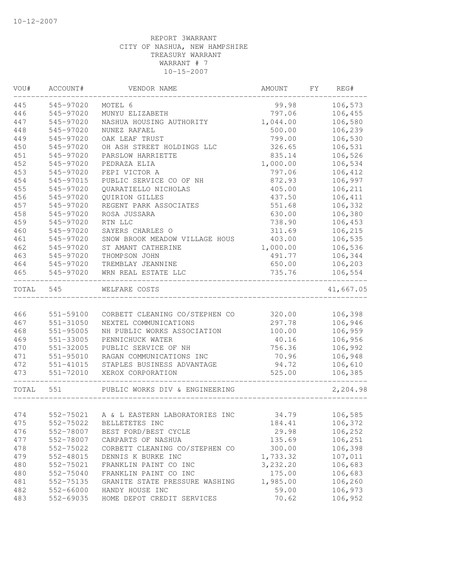| VOU#       | ACCOUNT#               | VENDOR NAME                                   | AMOUNT                          | FY | REG#               |
|------------|------------------------|-----------------------------------------------|---------------------------------|----|--------------------|
| 445        | 545-97020              | MOTEL 6                                       | 99.98                           |    | 106,573            |
| 446        | 545-97020              | MUNYU ELIZABETH                               | 797.06                          |    | 106,455            |
| 447        | 545-97020              | NASHUA HOUSING AUTHORITY                      | 1,044.00                        |    | 106,580            |
| 448        | 545-97020              | NUNEZ RAFAEL                                  | 500.00                          |    | 106,239            |
| 449        | 545-97020              | OAK LEAF TRUST                                | 799.00                          |    | 106,530            |
| 450        | 545-97020              | OH ASH STREET HOLDINGS LLC                    | 326.65                          |    | 106,531            |
| 451        | 545-97020              | PARSLOW HARRIETTE                             | 835.14                          |    | 106,526            |
| 452        | 545-97020              | PEDRAZA ELIA                                  | 1,000.00                        |    | 106,534            |
| 453        | 545-97020              | PEPI VICTOR A                                 | 797.06                          |    | 106,412            |
| 454        | 545-97015              | PUBLIC SERVICE CO OF NH                       | 872.93                          |    | 106,997            |
| 455        | 545-97020              | QUARATIELLO NICHOLAS                          | 405.00                          |    | 106,211            |
| 456        | 545-97020              | QUIRION GILLES                                | 437.50                          |    | 106,411            |
| 457        | 545-97020              | REGENT PARK ASSOCIATES                        | 551.68                          |    | 106,332            |
| 458        | 545-97020              | ROSA JUSSARA                                  | 630.00                          |    | 106,380            |
| 459        | 545-97020              | RTN LLC                                       | 738.90                          |    | 106,453            |
| 460        | 545-97020              | SAYERS CHARLES O                              | 311.69                          |    | 106,215            |
| 461        | 545-97020              | SNOW BROOK MEADOW VILLAGE HOUS                | 403.00                          |    | 106,535            |
| 462        | 545-97020              | ST AMANT CATHERINE                            | 1,000.00                        |    | 106,536            |
| 463        | 545-97020              | THOMPSON JOHN                                 | 491.77                          |    | 106,344            |
| 464        | 545-97020              | TREMBLAY JEANNINE                             | 650.00                          |    | 106,203            |
| 465        | 545-97020              | WRN REAL ESTATE LLC                           | 735.76                          |    | 106,554            |
| TOTAL      | 545                    | WELFARE COSTS                                 | . _ _ _ _ _ _ _ _ _ _ _ _ _ _ _ |    | 41,667.05          |
|            |                        |                                               |                                 |    |                    |
| 466        | 551-59100              | CORBETT CLEANING CO/STEPHEN CO                | 320.00                          |    | 106,398            |
| 467        | $551 - 31050$          | NEXTEL COMMUNICATIONS                         | 297.78                          |    | 106,946            |
| 468        | $551 - 95005$          | NH PUBLIC WORKS ASSOCIATION                   | 100.00                          |    | 106,959            |
| 469        | 551-33005              | PENNICHUCK WATER                              | 40.16                           |    | 106,956            |
| 470        | 551-32005              | PUBLIC SERVICE OF NH                          | 756.36                          |    | 106,992            |
| 471        | $551 - 95010$          | RAGAN COMMUNICATIONS INC                      | 70.96                           |    | 106,948            |
| 472        | 551-41015              | STAPLES BUSINESS ADVANTAGE                    | 94.72                           |    | 106,610            |
| 473        | 551-72010              | XEROX CORPORATION                             | 525.00                          |    | 106,385            |
| TOTAL      | 551                    | PUBLIC WORKS DIV & ENGINEERING                |                                 |    | 2,204.98           |
|            |                        |                                               |                                 |    |                    |
| 474        |                        | 552-75021 A & L EASTERN LABORATORIES INC      | 34.79                           |    | 106,585            |
| 475        | 552-75022              | BELLETETES INC                                | 184.41                          |    | 106,372            |
| 476        | 552-78007              | BEST FORD/BEST CYCLE                          | 29.98                           |    | 106,252            |
| 477        | 552-78007              | CARPARTS OF NASHUA                            | 135.69                          |    | 106,251            |
| 478        | 552-75022              | CORBETT CLEANING CO/STEPHEN CO                | 300.00                          |    | 106,398            |
| 479        | 552-48015              | DENNIS K BURKE INC                            | 1,733.32                        |    | 107,011            |
| 480        | 552-75021              | FRANKLIN PAINT CO INC                         | 3,232.20                        |    | 106,683            |
| 480        | 552-75040              | FRANKLIN PAINT CO INC                         | 175.00                          |    | 106,683            |
| 481<br>482 | 552-75135              | GRANITE STATE PRESSURE WASHING                | 1,985.00                        |    | 106,260            |
| 483        | 552-66000<br>552-69035 | HANDY HOUSE INC<br>HOME DEPOT CREDIT SERVICES | 59.00<br>70.62                  |    | 106,973<br>106,952 |
|            |                        |                                               |                                 |    |                    |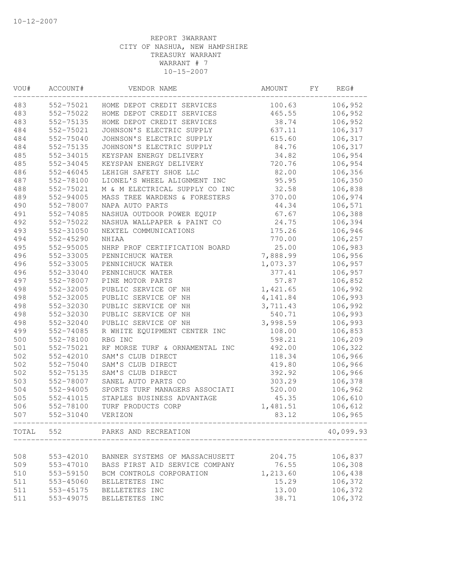| VOU# | ACCOUNT#      | VENDOR NAME                    | AMOUNT   | FΥ | REG#      |
|------|---------------|--------------------------------|----------|----|-----------|
| 483  | 552-75021     | HOME DEPOT CREDIT SERVICES     | 100.63   |    | 106,952   |
| 483  | 552-75022     | HOME DEPOT CREDIT SERVICES     | 465.55   |    | 106,952   |
| 483  | 552-75135     | HOME DEPOT CREDIT SERVICES     | 38.74    |    | 106,952   |
| 484  | 552-75021     | JOHNSON'S ELECTRIC SUPPLY      | 637.11   |    | 106,317   |
| 484  | 552-75040     | JOHNSON'S ELECTRIC SUPPLY      | 615.60   |    | 106,317   |
| 484  | 552-75135     | JOHNSON'S ELECTRIC SUPPLY      | 84.76    |    | 106,317   |
| 485  | 552-34015     | KEYSPAN ENERGY DELIVERY        | 34.82    |    | 106,954   |
| 485  | 552-34045     | KEYSPAN ENERGY DELIVERY        | 720.76   |    | 106,954   |
| 486  | $552 - 46045$ | LEHIGH SAFETY SHOE LLC         | 82.00    |    | 106,356   |
| 487  | 552-78100     | LIONEL'S WHEEL ALIGNMENT INC   | 95.95    |    | 106,350   |
| 488  | 552-75021     | M & M ELECTRICAL SUPPLY CO INC | 32.58    |    | 106,838   |
| 489  | 552-94005     | MASS TREE WARDENS & FORESTERS  | 370.00   |    | 106,974   |
| 490  | 552-78007     | NAPA AUTO PARTS                | 44.34    |    | 106,571   |
| 491  | 552-74085     | NASHUA OUTDOOR POWER EQUIP     | 67.67    |    | 106,388   |
| 492  | 552-75022     | NASHUA WALLPAPER & PAINT CO    | 24.75    |    | 106,394   |
| 493  | 552-31050     | NEXTEL COMMUNICATIONS          | 175.26   |    | 106,946   |
| 494  | 552-45290     | NHIAA                          | 770.00   |    | 106,257   |
| 495  | 552-95005     | NHRP PROF CERTIFICATION BOARD  | 25.00    |    | 106,983   |
| 496  | 552-33005     | PENNICHUCK WATER               | 7,888.99 |    | 106,956   |
| 496  | 552-33005     | PENNICHUCK WATER               | 1,073.37 |    | 106,957   |
| 496  | 552-33040     | PENNICHUCK WATER               | 377.41   |    | 106,957   |
| 497  | 552-78007     | PINE MOTOR PARTS               | 57.87    |    | 106,852   |
| 498  | 552-32005     | PUBLIC SERVICE OF NH           | 1,421.65 |    | 106,992   |
| 498  | 552-32005     | PUBLIC SERVICE OF NH           | 4,141.84 |    | 106,993   |
| 498  | 552-32030     | PUBLIC SERVICE OF NH           | 3,711.43 |    | 106,992   |
| 498  | 552-32030     | PUBLIC SERVICE OF NH           | 540.71   |    | 106,993   |
| 498  | 552-32040     | PUBLIC SERVICE OF NH           | 3,998.59 |    | 106,993   |
| 499  | 552-74085     | R WHITE EQUIPMENT CENTER INC   | 108.00   |    | 106,853   |
| 500  | 552-78100     | RBG INC                        | 598.21   |    | 106,209   |
| 501  | 552-75021     | RF MORSE TURF & ORNAMENTAL INC | 492.00   |    | 106,322   |
| 502  | 552-42010     | SAM'S CLUB DIRECT              | 118.34   |    | 106,966   |
| 502  | 552-75040     | SAM'S CLUB DIRECT              | 419.80   |    | 106,966   |
| 502  | 552-75135     | SAM'S CLUB DIRECT              | 392.92   |    | 106,966   |
| 503  | 552-78007     | SANEL AUTO PARTS CO            | 303.29   |    | 106,378   |
| 504  | 552-94005     | SPORTS TURF MANAGERS ASSOCIATI | 520.00   |    | 106,962   |
| 505  | 552-41015     | STAPLES BUSINESS ADVANTAGE     | 45.35    |    | 106,610   |
| 506  | 552-78100     | TURF PRODUCTS CORP             | 1,481.51 |    | 106,612   |
| 507  | 552-31040     | VERIZON                        | 83.12    |    | 106,965   |
|      |               | TOTAL 552 PARKS AND RECREATION |          |    | 40,099.93 |
|      |               |                                |          |    |           |
| 508  | 553-42010     | BANNER SYSTEMS OF MASSACHUSETT | 204.75   |    | 106,837   |
| 509  | 553-47010     | BASS FIRST AID SERVICE COMPANY | 76.55    |    | 106,308   |
| 510  | 553-59150     | BCM CONTROLS CORPORATION       | 1,213.60 |    | 106,438   |
| 511  | 553-45060     | BELLETETES INC                 | 15.29    |    | 106,372   |
| 511  | 553-45175     | BELLETETES INC                 | 13.00    |    | 106,372   |
| 511  | 553-49075     | BELLETETES INC                 | 38.71    |    | 106,372   |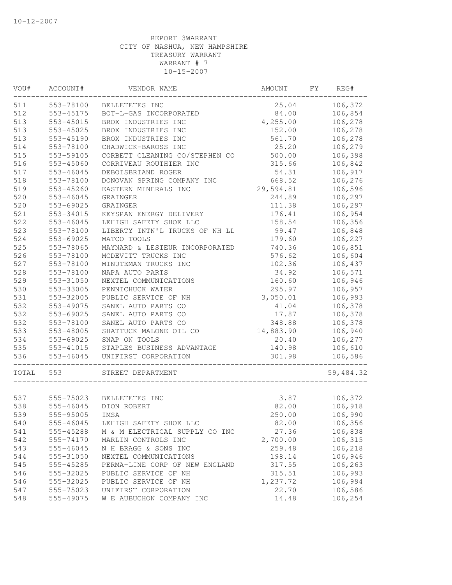| VOU#  | ACCOUNT#               | VENDOR NAME                                  | AMOUNT             | FY | REG#      |
|-------|------------------------|----------------------------------------------|--------------------|----|-----------|
| 511   | 553-78100              | BELLETETES INC                               | 25.04              |    | 106,372   |
| 512   | 553-45175              | BOT-L-GAS INCORPORATED                       | 84.00              |    | 106,854   |
| 513   | 553-45015              | BROX INDUSTRIES INC                          | 4,255.00           |    | 106,278   |
| 513   | 553-45025              | BROX INDUSTRIES INC                          | 152.00             |    | 106,278   |
| 513   | 553-45190              | BROX INDUSTRIES INC                          | 561.70             |    | 106,278   |
| 514   | 553-78100              | CHADWICK-BAROSS INC                          | 25.20              |    | 106,279   |
| 515   | 553-59105              | CORBETT CLEANING CO/STEPHEN CO               | 500.00             |    | 106,398   |
| 516   | 553-45060              | CORRIVEAU ROUTHIER INC                       | 315.66             |    | 106,842   |
| 517   | 553-46045              | DEBOISBRIAND ROGER                           | 54.31              |    | 106,917   |
| 518   | 553-78100              | DONOVAN SPRING COMPANY INC                   | 668.52             |    | 106,276   |
| 519   | 553-45260              | EASTERN MINERALS INC                         | 29,594.81          |    | 106,596   |
| 520   | 553-46045              | GRAINGER                                     | 244.89             |    | 106,297   |
| 520   | 553-69025              | GRAINGER                                     | 111.38             |    | 106,297   |
| 521   | 553-34015              | KEYSPAN ENERGY DELIVERY                      | 176.41             |    | 106,954   |
| 522   | 553-46045              | LEHIGH SAFETY SHOE LLC                       | 158.54             |    | 106,356   |
| 523   | 553-78100              | LIBERTY INTN'L TRUCKS OF NH LL               | 99.47              |    | 106,848   |
| 524   | 553-69025              | MATCO TOOLS                                  | 179.60             |    | 106,227   |
| 525   | 553-78065              | MAYNARD & LESIEUR INCORPORATED               | 740.36             |    | 106,851   |
| 526   | 553-78100              | MCDEVITT TRUCKS INC                          | 576.62             |    | 106,604   |
| 527   | 553-78100              | MINUTEMAN TRUCKS INC                         | 102.36             |    | 106,437   |
| 528   | 553-78100              | NAPA AUTO PARTS                              | 34.92              |    | 106,571   |
| 529   | 553-31050              | NEXTEL COMMUNICATIONS                        | 160.60             |    | 106,946   |
| 530   | 553-33005              | PENNICHUCK WATER                             | 295.97             |    | 106,957   |
| 531   | 553-32005              | PUBLIC SERVICE OF NH                         | 3,050.01           |    | 106,993   |
| 532   | 553-49075              | SANEL AUTO PARTS CO                          | 41.04              |    | 106,378   |
| 532   | 553-69025              | SANEL AUTO PARTS CO                          | 17.87              |    | 106,378   |
| 532   | 553-78100              | SANEL AUTO PARTS CO                          | 348.88             |    | 106,378   |
| 533   | 553-48005              | SHATTUCK MALONE OIL CO                       | 14,883.90          |    | 106,940   |
| 534   | 553-69025              | SNAP ON TOOLS                                | 20.40              |    | 106,277   |
| 535   | 553-41015              | STAPLES BUSINESS ADVANTAGE                   | 140.98             |    | 106,610   |
| 536   | 553-46045              | UNIFIRST CORPORATION                         | 301.98             |    | 106,586   |
| TOTAL | 553                    | STREET DEPARTMENT                            |                    |    | 59,484.32 |
| 537   | 555-75023              | BELLETETES INC                               | 3.87               |    | 106,372   |
| 538   | 555-46045              | DION ROBERT                                  | 82.00              |    | 106,918   |
| 539   | 555-95005              | IMSA                                         | 250.00             |    | 106,990   |
| 540   | 555-46045              | LEHIGH SAFETY SHOE LLC                       | 82.00              |    | 106,356   |
| 541   | 555-45288              | M & M ELECTRICAL SUPPLY CO INC               | 27.36              |    | 106,838   |
| 542   | 555-74170              | MARLIN CONTROLS INC                          | 2,700.00           |    | 106,315   |
| 543   | 555-46045              | N H BRAGG & SONS INC                         | 259.48             |    | 106,218   |
| 544   | 555-31050              | NEXTEL COMMUNICATIONS                        | 198.14             |    | 106,946   |
| 545   |                        |                                              |                    |    | 106,263   |
| 546   | 555-45285              | PERMA-LINE CORP OF NEW ENGLAND               | 317.55             |    | 106,993   |
| 546   | 555-32025              | PUBLIC SERVICE OF NH<br>PUBLIC SERVICE OF NH | 315.51<br>1,237.72 |    | 106,994   |
| 547   | 555-32025<br>555-75023 | UNIFIRST CORPORATION                         | 22.70              |    | 106,586   |
| 548   | 555-49075              | W E AUBUCHON COMPANY INC                     | 14.48              |    | 106,254   |
|       |                        |                                              |                    |    |           |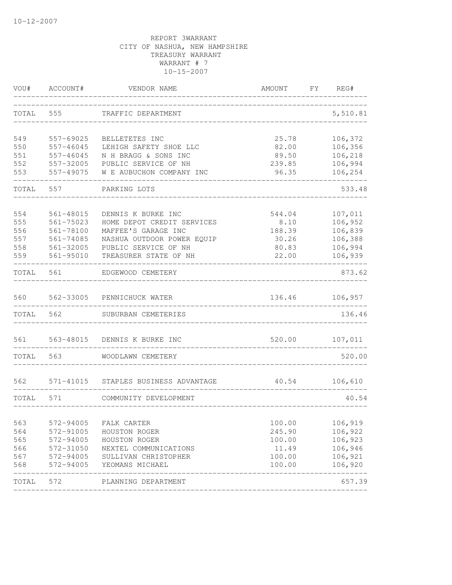| VOU#  | ACCOUNT#      | VENDOR NAME                | AMOUNT | FΥ | REG#     |
|-------|---------------|----------------------------|--------|----|----------|
| TOTAL | 555           | TRAFFIC DEPARTMENT         |        |    | 5,510.81 |
| 549   | 557-69025     | BELLETETES INC             | 25.78  |    | 106,372  |
| 550   | $557 - 46045$ | LEHIGH SAFETY SHOE LLC     | 82.00  |    | 106,356  |
| 551   | $557 - 46045$ | N H BRAGG & SONS INC       | 89.50  |    | 106,218  |
| 552   | 557-32005     | PUBLIC SERVICE OF NH       | 239.85 |    | 106,994  |
| 553   | 557-49075     | W E AUBUCHON COMPANY INC   | 96.35  |    | 106,254  |
| TOTAL | 557           | PARKING LOTS               |        |    | 533.48   |
| 554   | 561-48015     | DENNIS K BURKE INC         | 544.04 |    | 107,011  |
| 555   | $561 - 75023$ | HOME DEPOT CREDIT SERVICES | 8.10   |    | 106,952  |
| 556   | $561 - 78100$ | MAFFEE'S GARAGE INC        | 188.39 |    | 106,839  |
| 557   | 561-74085     | NASHUA OUTDOOR POWER EQUIP | 30.26  |    | 106,388  |
| 558   | 561-32005     | PUBLIC SERVICE OF NH       | 80.83  |    | 106,994  |
| 559   | 561-95010     | TREASURER STATE OF NH      | 22.00  |    | 106,939  |
| TOTAL | 561           | EDGEWOOD CEMETERY          |        |    | 873.62   |
| 560   | 562-33005     | PENNICHUCK WATER           | 136.46 |    | 106,957  |
| TOTAL | 562           | SUBURBAN CEMETERIES        |        |    | 136.46   |
| 561   | 563-48015     | DENNIS K BURKE INC         | 520.00 |    | 107,011  |
| TOTAL | 563           | WOODLAWN CEMETERY          |        |    | 520.00   |
| 562   | 571-41015     | STAPLES BUSINESS ADVANTAGE | 40.54  |    | 106,610  |
| TOTAL | 571           | COMMUNITY DEVELOPMENT      |        |    | 40.54    |
| 563   | 572-94005     | FALK CARTER                | 100.00 |    | 106,919  |
| 564   | 572-91005     | HOUSTON ROGER              | 245.90 |    | 106,922  |
| 565   | 572-94005     | HOUSTON ROGER              | 100.00 |    | 106,923  |
| 566   | 572-31050     | NEXTEL COMMUNICATIONS      | 11.49  |    | 106,946  |
| 567   | 572-94005     | SULLIVAN CHRISTOPHER       | 100.00 |    | 106,921  |
| 568   | 572-94005     | YEOMANS MICHAEL            | 100.00 |    | 106,920  |
| TOTAL | 572           | PLANNING DEPARTMENT        |        |    | 657.39   |
|       |               |                            |        |    |          |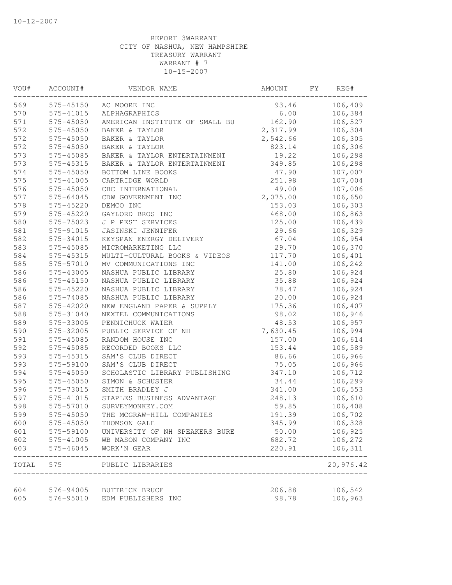| VOU#  | ACCOUNT#  | VENDOR NAME                    | AMOUNT   | FY | REG#      |
|-------|-----------|--------------------------------|----------|----|-----------|
| 569   | 575-45150 | AC MOORE INC                   | 93.46    |    | 106,409   |
| 570   | 575-41015 | ALPHAGRAPHICS                  | 6.00     |    | 106,384   |
| 571   | 575-45050 | AMERICAN INSTITUTE OF SMALL BU | 162.90   |    | 106,527   |
| 572   | 575-45050 | BAKER & TAYLOR                 | 2,317.99 |    | 106,304   |
| 572   | 575-45050 | BAKER & TAYLOR                 | 2,542.66 |    | 106,305   |
| 572   | 575-45050 | BAKER & TAYLOR                 | 823.14   |    | 106,306   |
| 573   | 575-45085 | BAKER & TAYLOR ENTERTAINMENT   | 19.22    |    | 106,298   |
| 573   | 575-45315 | BAKER & TAYLOR ENTERTAINMENT   | 349.85   |    | 106,298   |
| 574   | 575-45050 | BOTTOM LINE BOOKS              | 47.90    |    | 107,007   |
| 575   | 575-41005 | CARTRIDGE WORLD                | 251.98   |    | 107,004   |
| 576   | 575-45050 | CBC INTERNATIONAL              | 49.00    |    | 107,006   |
| 577   | 575-64045 | CDW GOVERNMENT INC             | 2,075.00 |    | 106,650   |
| 578   | 575-45220 | DEMCO INC                      | 153.03   |    | 106,303   |
| 579   | 575-45220 | GAYLORD BROS INC               | 468.00   |    | 106,863   |
| 580   | 575-75023 | J P PEST SERVICES              | 125.00   |    | 106,439   |
| 581   | 575-91015 | JASINSKI JENNIFER              | 29.66    |    | 106,329   |
| 582   | 575-34015 | KEYSPAN ENERGY DELIVERY        | 67.04    |    | 106,954   |
| 583   | 575-45085 | MICROMARKETING LLC             | 29.70    |    | 106,370   |
| 584   | 575-45315 | MULTI-CULTURAL BOOKS & VIDEOS  | 117.70   |    | 106,401   |
| 585   | 575-57010 | MV COMMUNICATIONS INC          | 141.00   |    | 106,242   |
| 586   | 575-43005 | NASHUA PUBLIC LIBRARY          | 25.80    |    | 106,924   |
| 586   | 575-45150 | NASHUA PUBLIC LIBRARY          | 35.88    |    | 106,924   |
| 586   | 575-45220 | NASHUA PUBLIC LIBRARY          | 78.47    |    | 106,924   |
| 586   | 575-74085 | NASHUA PUBLIC LIBRARY          | 20.00    |    | 106,924   |
| 587   | 575-42020 | NEW ENGLAND PAPER & SUPPLY     | 175.36   |    | 106,407   |
| 588   | 575-31040 | NEXTEL COMMUNICATIONS          | 98.02    |    | 106,946   |
| 589   | 575-33005 | PENNICHUCK WATER               | 48.53    |    | 106,957   |
| 590   | 575-32005 | PUBLIC SERVICE OF NH           | 7,630.45 |    | 106,994   |
| 591   | 575-45085 | RANDOM HOUSE INC               | 157.00   |    | 106,614   |
| 592   | 575-45085 | RECORDED BOOKS LLC             | 153.44   |    | 106,589   |
| 593   | 575-45315 | SAM'S CLUB DIRECT              | 86.66    |    | 106,966   |
| 593   | 575-59100 | SAM'S CLUB DIRECT              | 75.05    |    | 106,966   |
| 594   | 575-45050 | SCHOLASTIC LIBRARY PUBLISHING  | 347.10   |    | 106,712   |
| 595   | 575-45050 | SIMON & SCHUSTER               | 34.44    |    | 106,299   |
| 596   | 575-73015 | SMITH BRADLEY J                | 341.00   |    | 106,553   |
| 597   | 575-41015 | STAPLES BUSINESS ADVANTAGE     | 248.13   |    | 106,610   |
| 598   | 575-57010 | SURVEYMONKEY.COM               | 59.85    |    | 106,408   |
| 599   | 575-45050 | THE MCGRAW-HILL COMPANIES      | 191.39   |    | 106,702   |
| 600   | 575-45050 | THOMSON GALE                   | 345.99   |    | 106,328   |
| 601   | 575-59100 | UNIVERSITY OF NH SPEAKERS BURE | 50.00    |    | 106,925   |
| 602   | 575-41005 | WB MASON COMPANY INC           | 682.72   |    | 106,272   |
| 603   | 575-46045 | WORK'N GEAR                    | 220.91   |    | 106,311   |
| TOTAL | 575       | PUBLIC LIBRARIES               |          |    | 20,976.42 |
| 604   | 576-94005 | BUTTRICK BRUCE                 | 206.88   |    | 106,542   |
| 605   | 576-95010 | EDM PUBLISHERS INC             | 98.78    |    | 106,963   |
|       |           |                                |          |    |           |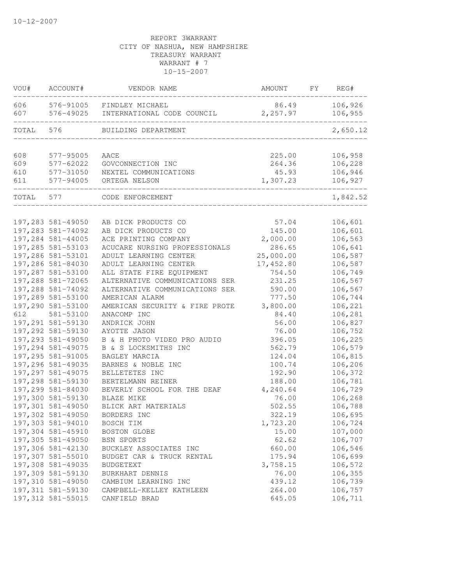| VOU#       | ACCOUNT#               | VENDOR NAME                                   | AMOUNT            | FY | REG#               |
|------------|------------------------|-----------------------------------------------|-------------------|----|--------------------|
| 606<br>607 | 576-91005<br>576-49025 | FINDLEY MICHAEL<br>INTERNATIONAL CODE COUNCIL | 86.49<br>2,257.97 |    | 106,926<br>106,955 |
| TOTAL      | 576                    | BUILDING DEPARTMENT                           |                   |    | 2,650.12           |
|            |                        |                                               |                   |    |                    |
| 608        | 577-95005              | AACE                                          | 225.00            |    | 106,958            |
| 609        | 577-62022              | GOVCONNECTION INC                             | 264.36            |    | 106,228            |
| 610<br>611 | 577-31050<br>577-94005 | NEXTEL COMMUNICATIONS<br>ORTEGA NELSON        | 45.93<br>1,307.23 |    | 106,946<br>106,927 |
|            |                        |                                               |                   |    |                    |
| TOTAL      | 577                    | CODE ENFORCEMENT                              |                   |    | 1,842.52           |
|            | 197,283 581-49050      | AB DICK PRODUCTS CO                           | 57.04             |    | 106,601            |
|            | 197,283 581-74092      | AB DICK PRODUCTS CO                           | 145.00            |    | 106,601            |
|            | 197,284 581-44005      | ACE PRINTING COMPANY                          | 2,000.00          |    | 106,563            |
|            | 197,285 581-53103      | ACUCARE NURSING PROFESSIONALS                 | 286.65            |    | 106,641            |
|            | 197,286 581-53101      | ADULT LEARNING CENTER                         | 25,000.00         |    | 106,587            |
|            | 197,286 581-84030      | ADULT LEARNING CENTER                         | 17,452.80         |    | 106,587            |
|            | 197,287 581-53100      | ALL STATE FIRE EQUIPMENT                      | 754.50            |    | 106,749            |
|            | 197,288 581-72065      | ALTERNATIVE COMMUNICATIONS SER                | 231.25            |    | 106,567            |
|            | 197,288 581-74092      | ALTERNATIVE COMMUNICATIONS SER                | 590.00            |    | 106,567            |
|            | 197,289 581-53100      | AMERICAN ALARM                                | 777.50            |    | 106,744            |
|            | 197,290 581-53100      | AMERICAN SECURITY & FIRE PROTE                | 3,800.00          |    | 106,221            |
| 612        | 581-53100              | ANACOMP INC                                   | 84.40             |    | 106,281            |
|            | 197,291 581-59130      | ANDRICK JOHN                                  | 56.00             |    | 106,827            |
|            | 197,292 581-59130      | AYOTTE JASON                                  | 76.00             |    | 106,752            |
|            | 197,293 581-49050      | B & H PHOTO VIDEO PRO AUDIO                   | 396.05            |    | 106,225            |
|            | 197,294 581-49075      | B & S LOCKSMITHS INC                          | 562.79            |    | 106,579            |
|            | 197,295 581-91005      | BAGLEY MARCIA                                 | 124.04            |    | 106,815            |
|            | 197,296 581-49035      | BARNES & NOBLE INC                            | 100.74            |    | 106,206            |
|            | 197,297 581-49075      | BELLETETES INC                                | 192.90            |    | 106,372            |
|            | 197,298 581-59130      | BERTELMANN REINER                             | 188.00            |    | 106,781            |
|            | 197,299 581-84030      | BEVERLY SCHOOL FOR THE DEAF                   | 4,240.64          |    | 106,729            |
|            | 197,300 581-59130      | BLAZE MIKE                                    | 76.00             |    | 106,268            |
|            | 197,301 581-49050      | BLICK ART MATERIALS                           | 502.55            |    | 106,788            |
|            | 197,302 581-49050      | BORDERS INC                                   | 322.19            |    | 106,695            |
|            | 197,303 581-94010      | BOSCH TIM                                     | 1,723.20          |    | 106,724            |
|            | 197,304 581-45910      | BOSTON GLOBE                                  | 15.00             |    | 107,000            |
|            | 197,305 581-49050      | BSN SPORTS                                    | 62.62             |    | 106,707            |
|            | 197,306 581-42130      | BUCKLEY ASSOCIATES INC                        | 660.00            |    | 106,546            |
|            | 197,307 581-55010      | BUDGET CAR & TRUCK RENTAL                     | 175.94            |    | 106,699            |
|            | 197,308 581-49035      | <b>BUDGETEXT</b>                              | 3,758.15          |    | 106,572            |
|            | 197,309 581-59130      | BURKHART DENNIS                               | 76.00             |    | 106,355            |
|            | 197,310 581-49050      | CAMBIUM LEARNING INC                          | 439.12            |    | 106,739            |
|            | 197, 311 581-59130     | CAMPBELL-KELLEY KATHLEEN                      | 264.00            |    | 106,757            |
|            | 197,312 581-55015      | CANFIELD BRAD                                 | 645.05            |    | 106,711            |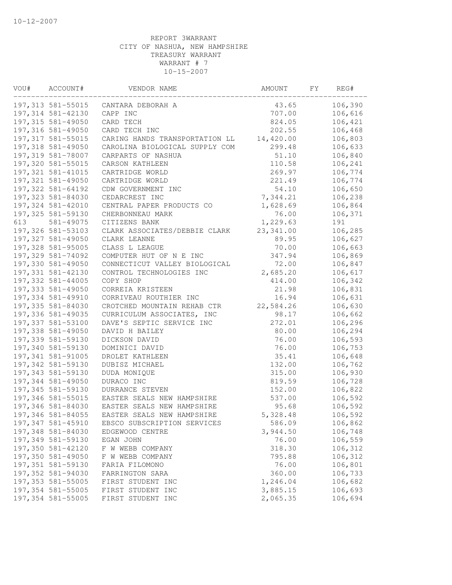|     | VOU# ACCOUNT#<br>------------------------- | VENDOR NAME                             | AMOUNT          | FY | REG#               |
|-----|--------------------------------------------|-----------------------------------------|-----------------|----|--------------------|
|     | 197,313 581-55015                          | CANTARA DEBORAH A                       | 43.65           |    | 106,390            |
|     | 197,314 581-42130                          | CAPP INC                                | 707.00          |    | 106,616            |
|     | 197,315 581-49050                          | CARD TECH                               | 824.05          |    | 106,421            |
|     | 197,316 581-49050                          | CARD TECH INC                           | 202.55          |    | 106,468            |
|     | 197, 317 581-55015                         | CARING HANDS TRANSPORTATION LL          | 14,420.00       |    | 106,803            |
|     | 197,318 581-49050                          | CAROLINA BIOLOGICAL SUPPLY COM          | 299.48          |    | 106,633            |
|     | 197,319 581-78007                          | CARPARTS OF NASHUA                      | 51.10           |    | 106,840            |
|     | 197,320 581-55015                          | CARSON KATHLEEN                         | 110.58          |    | 106,241            |
|     | 197, 321 581-41015                         | CARTRIDGE WORLD                         | 269.97          |    | 106,774            |
|     | 197,321 581-49050                          | CARTRIDGE WORLD                         | 221.49          |    | 106,774            |
|     | 197,322 581-64192                          | CDW GOVERNMENT INC                      | 54.10           |    | 106,650            |
|     | 197,323 581-84030                          | CEDARCREST INC                          | 7,344.21        |    | 106,238            |
|     | 197,324 581-42010                          | CENTRAL PAPER PRODUCTS CO               | 1,628.69        |    | 106,864            |
|     | 197,325 581-59130                          | CHERBONNEAU MARK                        | 76.00           |    | 106,371            |
| 613 | 581-49075                                  | CITIZENS BANK                           | 1,229.63        |    | 191                |
|     | 197,326 581-53103                          | CLARK ASSOCIATES/DEBBIE CLARK 23,341.00 |                 |    | 106,285            |
|     | 197,327 581-49050                          | CLARK LEANNE                            | 89.95           |    | 106,627            |
|     | 197,328 581-95005                          | CLASS L LEAGUE                          | 70.00           |    | 106,663            |
|     | 197,329 581-74092                          | COMPUTER HUT OF N E INC                 | 347.94          |    | 106,869            |
|     | 197,330 581-49050                          | CONNECTICUT VALLEY BIOLOGICAL           | 72.00           |    | 106,847            |
|     | 197,331 581-42130                          | CONTROL TECHNOLOGIES INC                | 2,685.20        |    | 106,617            |
|     | 197,332 581-44005                          | COPY SHOP                               | 414.00          |    | 106,342            |
|     | 197,333 581-49050                          | CORREIA KRISTEEN                        | 21.98           |    | 106,831            |
|     | 197,334 581-49910                          | CORRIVEAU ROUTHIER INC                  | 16.94           |    | 106,631            |
|     | 197,335 581-84030                          | CROTCHED MOUNTAIN REHAB CTR             | 22,584.26       |    | 106,630            |
|     | 197,336 581-49035                          | CURRICULUM ASSOCIATES, INC              | 98.17           |    | 106,662            |
|     | 197,337 581-53100                          | DAVE'S SEPTIC SERVICE INC               | 272.01          |    | 106,296            |
|     | 197,338 581-49050                          | DAVID H BAILEY                          | 80.00           |    | 106,294            |
|     | 197,339 581-59130                          | DICKSON DAVID                           | 76.00           |    | 106,593            |
|     | 197,340 581-59130                          | DOMINICI DAVID                          | 76.00           |    | 106,753            |
|     | 197,341 581-91005                          | DROLET KATHLEEN                         | 35.41           |    | 106,648            |
|     | 197,342 581-59130                          | DUBISZ MICHAEL                          | 132.00          |    | 106,762            |
|     | 197,343 581-59130                          | DUDA MONIQUE                            | 315.00          |    | 106,930            |
|     | 197,344 581-49050                          | DURACO INC                              | 819.59          |    | 106,728            |
|     | 197,345 581-59130                          | DURRANCE STEVEN                         | 152.00          |    | 106,822            |
|     | 197,346 581-55015                          | EASTER SEALS NEW HAMPSHIRE              | 537.00          |    | 106,592            |
|     | 197,346 581-84030                          | EASTER SEALS NEW HAMPSHIRE              | 95.68           |    | 106,592            |
|     | 197,346 581-84055                          | EASTER SEALS NEW HAMPSHIRE              | 5,328.48        |    | 106,592            |
|     | 197,347 581-45910                          | EBSCO SUBSCRIPTION SERVICES             | 586.09          |    | 106,862            |
|     | 197,348 581-84030                          | EDGEWOOD CENTRE                         | 3,944.50        |    | 106,748            |
|     | 197,349 581-59130                          | EGAN JOHN                               | 76.00           |    | 106,559            |
|     | 197,350 581-42120                          | F W WEBB COMPANY                        | 318.30          |    | 106,312            |
|     | 197,350 581-49050                          | F W WEBB COMPANY                        | 795.88          |    | 106,312            |
|     | 197,351 581-59130                          | FARIA FILOMONO                          |                 |    |                    |
|     | 197,352 581-94030                          | FARRINGTON SARA                         | 76.00<br>360.00 |    | 106,801<br>106,733 |
|     | 197,353 581-55005                          |                                         | 1,246.04        |    |                    |
|     |                                            | FIRST STUDENT INC                       |                 |    | 106,682            |
|     | 197,354 581-55005                          | FIRST STUDENT INC                       | 3,885.15        |    | 106,693            |
|     | 197,354 581-55005                          | FIRST STUDENT INC                       | 2,065.35        |    | 106,694            |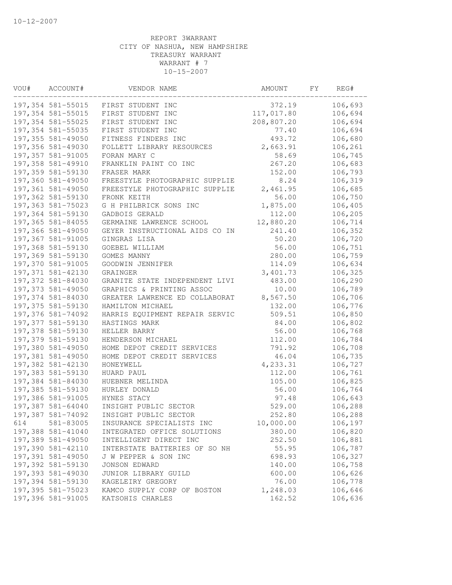| VOU# | ACCOUNT#                       | VENDOR NAME                                           | AMOUNT           | FY. | REG#               |
|------|--------------------------------|-------------------------------------------------------|------------------|-----|--------------------|
|      | 197,354 581-55015              | FIRST STUDENT INC                                     | 372.19           |     | 106,693            |
|      | 197,354 581-55015              | FIRST STUDENT INC                                     | 117,017.80       |     | 106,694            |
|      | 197,354 581-55025              | FIRST STUDENT INC                                     | 208,807.20       |     | 106,694            |
|      | 197,354 581-55035              | FIRST STUDENT INC                                     | 77.40            |     | 106,694            |
|      | 197,355 581-49050              | FITNESS FINDERS INC                                   | 493.72           |     | 106,680            |
|      | 197,356 581-49030              | FOLLETT LIBRARY RESOURCES                             | 2,663.91         |     | 106,261            |
|      | 197,357 581-91005              | FORAN MARY C                                          | 58.69            |     | 106,745            |
|      | 197,358 581-49910              | FRANKLIN PAINT CO INC                                 | 267.20           |     | 106,683            |
|      | 197,359 581-59130              | FRASER MARK                                           | 152.00           |     | 106,793            |
|      | 197,360 581-49050              | FREESTYLE PHOTOGRAPHIC SUPPLIE                        | 8.24             |     | 106,319            |
|      | 197,361 581-49050              | FREESTYLE PHOTOGRAPHIC SUPPLIE                        | 2,461.95         |     | 106,685            |
|      | 197,362 581-59130              | FRONK KEITH                                           | 56.00            |     | 106,750            |
|      | 197,363 581-75023              | G H PHILBRICK SONS INC                                | 1,875.00         |     | 106,405            |
|      | 197,364 581-59130              | GADBOIS GERALD                                        | 112.00           |     | 106,205            |
|      | 197,365 581-84055              | GERMAINE LAWRENCE SCHOOL                              | 12,880.20        |     | 106,714            |
|      | 197,366 581-49050              | GEYER INSTRUCTIONAL AIDS CO IN                        | 241.40           |     | 106,352            |
|      | 197,367 581-91005              | GINGRAS LISA                                          | 50.20            |     | 106,720            |
|      | 197,368 581-59130              | GOEBEL WILLIAM                                        | 56.00            |     | 106,751            |
|      | 197,369 581-59130              | GOMES MANNY                                           | 280.00           |     | 106,759            |
|      | 197,370 581-91005              | GOODWIN JENNIFER                                      | 114.09           |     | 106,634            |
|      | 197,371 581-42130              | GRAINGER                                              | 3,401.73         |     | 106,325            |
|      | 197,372 581-84030              | GRANITE STATE INDEPENDENT LIVI                        | 483.00           |     | 106,290            |
|      | 197,373 581-49050              | GRAPHICS & PRINTING ASSOC                             | 10.00            |     | 106,789            |
|      | 197,374 581-84030              | GREATER LAWRENCE ED COLLABORAT                        | 8,567.50         |     | 106,706            |
|      | 197,375 581-59130              | HAMILTON MICHAEL                                      | 132.00           |     | 106,776            |
|      | 197,376 581-74092              | HARRIS EQUIPMENT REPAIR SERVIC                        | 509.51           |     | 106,850            |
|      | 197,377 581-59130              | HASTINGS MARK                                         | 84.00            |     | 106,802            |
|      | 197,378 581-59130              | HELLER BARRY                                          | 56.00            |     | 106,768            |
|      | 197,379 581-59130              | HENDERSON MICHAEL                                     | 112.00           |     | 106,784            |
|      | 197,380 581-49050              | HOME DEPOT CREDIT SERVICES                            | 791.92           |     | 106,708            |
|      | 197,381 581-49050              | HOME DEPOT CREDIT SERVICES                            | 46.04            |     | 106,735            |
|      | 197,382 581-42130              | HONEYWELL                                             | 4,233.31         |     | 106,727            |
|      | 197,383 581-59130              | HUARD PAUL                                            | 112.00           |     | 106,761            |
|      | 197,384 581-84030              | HUEBNER MELINDA                                       | 105.00           |     | 106,825            |
|      | 197,385 581-59130              | HURLEY DONALD                                         | 56.00            |     | 106,764            |
|      | 197,386 581-91005              | HYNES STACY                                           | 97.48            |     | 106,643            |
|      | 197,387 581-64040              | INSIGHT PUBLIC SECTOR                                 | 529.00           |     | 106,288            |
|      | 197,387 581-74092              | INSIGHT PUBLIC SECTOR                                 | 252.80           |     | 106,288            |
| 614  | 581-83005<br>197,388 581-41040 | INSURANCE SPECIALISTS INC                             | 10,000.00        |     | 106,197            |
|      | 197,389 581-49050              | INTEGRATED OFFICE SOLUTIONS<br>INTELLIGENT DIRECT INC | 380.00<br>252.50 |     | 106,820<br>106,881 |
|      | 197,390 581-42110              | INTERSTATE BATTERIES OF SO NH                         | 55.95            |     | 106,787            |
|      | 197,391 581-49050              | J W PEPPER & SON INC                                  | 698.93           |     | 106,327            |
|      | 197,392 581-59130              | JONSON EDWARD                                         | 140.00           |     | 106,758            |
|      | 197,393 581-49030              | JUNIOR LIBRARY GUILD                                  | 600.00           |     | 106,626            |
|      | 197,394 581-59130              | KAGELEIRY GREGORY                                     | 76.00            |     | 106,778            |
|      | 197,395 581-75023              | KAMCO SUPPLY CORP OF BOSTON                           | 1,248.03         |     | 106,646            |
|      | 197,396 581-91005              | KATSOHIS CHARLES                                      | 162.52           |     | 106,636            |
|      |                                |                                                       |                  |     |                    |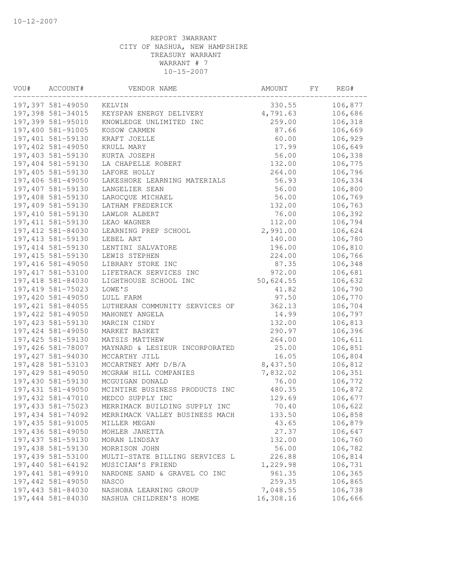| VOU# | ACCOUNT#           | VENDOR NAME                    | AMOUNT    | FY. | REG#    |
|------|--------------------|--------------------------------|-----------|-----|---------|
|      | 197,397 581-49050  | KELVIN                         | 330.55    |     | 106,877 |
|      | 197,398 581-34015  | KEYSPAN ENERGY DELIVERY        | 4,791.63  |     | 106,686 |
|      | 197,399 581-95010  | KNOWLEDGE UNLIMITED INC        | 259.00    |     | 106,318 |
|      | 197,400 581-91005  | KOSOW CARMEN                   | 87.66     |     | 106,669 |
|      | 197,401 581-59130  | KRAFT JOELLE                   | 60.00     |     | 106,929 |
|      | 197,402 581-49050  | KRULL MARY                     | 17.99     |     | 106,649 |
|      | 197,403 581-59130  | KURTA JOSEPH                   | 56.00     |     | 106,338 |
|      | 197,404 581-59130  | LA CHAPELLE ROBERT             | 132.00    |     | 106,775 |
|      | 197,405 581-59130  | LAFORE HOLLY                   | 264.00    |     | 106,796 |
|      | 197,406 581-49050  | LAKESHORE LEARNING MATERIALS   | 56.93     |     | 106,334 |
|      | 197,407 581-59130  | LANGELIER SEAN                 | 56.00     |     | 106,800 |
|      | 197,408 581-59130  | LAROCQUE MICHAEL               | 56.00     |     | 106,769 |
|      | 197,409 581-59130  | LATHAM FREDERICK               | 132.00    |     | 106,763 |
|      | 197,410 581-59130  | LAWLOR ALBERT                  | 76.00     |     | 106,392 |
|      | 197, 411 581-59130 | LEAO WAGNER                    | 112.00    |     | 106,794 |
|      | 197,412 581-84030  | LEARNING PREP SCHOOL           | 2,991.00  |     | 106,624 |
|      | 197, 413 581-59130 | LEBEL ART                      | 140.00    |     | 106,780 |
|      | 197, 414 581-59130 | LENTINI SALVATORE              | 196.00    |     | 106,810 |
|      | 197, 415 581-59130 | LEWIS STEPHEN                  | 224.00    |     | 106,766 |
|      | 197,416 581-49050  | LIBRARY STORE INC              | 87.35     |     | 106,348 |
|      | 197, 417 581-53100 | LIFETRACK SERVICES INC         | 972.00    |     | 106,681 |
|      | 197,418 581-84030  | LIGHTHOUSE SCHOOL INC          | 50,624.55 |     | 106,632 |
|      | 197, 419 581-75023 | LOWE'S                         | 41.82     |     | 106,790 |
|      | 197,420 581-49050  | LULL FARM                      | 97.50     |     | 106,770 |
|      | 197, 421 581-84055 | LUTHERAN COMMUNITY SERVICES OF | 362.13    |     | 106,704 |
|      | 197,422 581-49050  | MAHONEY ANGELA                 | 14.99     |     | 106,797 |
|      | 197, 423 581-59130 | MARCIN CINDY                   | 132.00    |     | 106,813 |
|      | 197,424 581-49050  | MARKET BASKET                  | 290.97    |     | 106,396 |
|      | 197,425 581-59130  | MATSIS MATTHEW                 | 264.00    |     | 106,611 |
|      | 197,426 581-78007  | MAYNARD & LESIEUR INCORPORATED | 25.00     |     | 106,851 |
|      | 197,427 581-94030  | MCCARTHY JILL                  | 16.05     |     | 106,804 |
|      | 197,428 581-53103  | MCCARTNEY AMY D/B/A            | 8,437.50  |     | 106,812 |
|      | 197,429 581-49050  | MCGRAW HILL COMPANIES          | 7,832.02  |     | 106,351 |
|      | 197,430 581-59130  | MCGUIGAN DONALD                | 76.00     |     | 106,772 |
|      | 197,431 581-49050  | MCINTIRE BUSINESS PRODUCTS INC | 480.35    |     | 106,872 |
|      | 197,432 581-47010  | MEDCO SUPPLY INC               | 129.69    |     | 106,677 |
|      | 197, 433 581-75023 | MERRIMACK BUILDING SUPPLY INC  | 70.40     |     | 106,622 |
|      | 197,434 581-74092  | MERRIMACK VALLEY BUSINESS MACH | 133.50    |     | 106,858 |
|      | 197, 435 581-91005 | MILLER MEGAN                   | 43.65     |     | 106,879 |
|      | 197,436 581-49050  | MOHLER JANETTA                 | 27.37     |     | 106,647 |
|      | 197,437 581-59130  | MORAN LINDSAY                  | 132.00    |     | 106,760 |
|      | 197,438 581-59130  | MORRISON JOHN                  | 56.00     |     | 106,782 |
|      | 197,439 581-53100  | MULTI-STATE BILLING SERVICES L | 226.88    |     | 106,814 |
|      | 197,440 581-64192  | MUSICIAN'S FRIEND              | 1,229.98  |     | 106,731 |
|      | 197,441 581-49910  | NARDONE SAND & GRAVEL CO INC   | 961.35    |     | 106,365 |
|      | 197,442 581-49050  | NASCO                          | 259.35    |     | 106,865 |
|      | 197,443 581-84030  | NASHOBA LEARNING GROUP         | 7,048.55  |     | 106,738 |
|      | 197,444 581-84030  | NASHUA CHILDREN'S HOME         | 16,308.16 |     | 106,666 |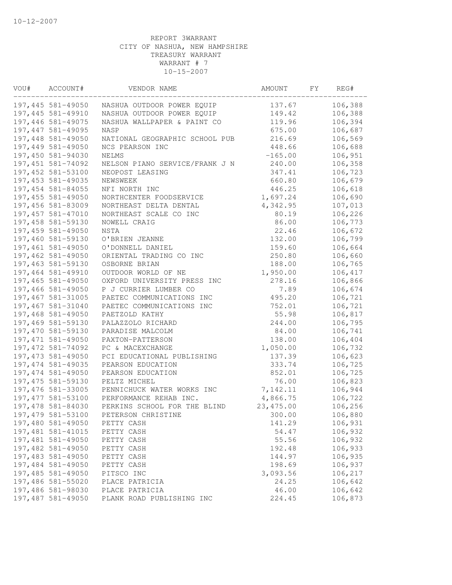| VOU# | ACCOUNT#           | VENDOR NAME                    | AMOUNT     | FY | REG#    |
|------|--------------------|--------------------------------|------------|----|---------|
|      | 197,445 581-49050  | NASHUA OUTDOOR POWER EQUIP     | 137.67     |    | 106,388 |
|      | 197,445 581-49910  | NASHUA OUTDOOR POWER EQUIP     | 149.42     |    | 106,388 |
|      | 197,446 581-49075  | NASHUA WALLPAPER & PAINT CO    | 119.96     |    | 106,394 |
|      | 197,447 581-49095  | NASP                           | 675.00     |    | 106,687 |
|      | 197,448 581-49050  | NATIONAL GEOGRAPHIC SCHOOL PUB | 216.69     |    | 106,569 |
|      | 197,449 581-49050  | NCS PEARSON INC                | 448.66     |    | 106,688 |
|      | 197,450 581-94030  | NELMS                          | $-165.00$  |    | 106,951 |
|      | 197,451 581-74092  | NELSON PIANO SERVICE/FRANK J N | 240.00     |    | 106,358 |
|      | 197,452 581-53100  | NEOPOST LEASING                | 347.41     |    | 106,723 |
|      | 197,453 581-49035  | NEWSWEEK                       | 660.80     |    | 106,679 |
|      | 197,454 581-84055  | NFI NORTH INC                  | 446.25     |    | 106,618 |
|      | 197,455 581-49050  | NORTHCENTER FOODSERVICE        | 1,697.24   |    | 106,690 |
|      | 197,456 581-83009  | NORTHEAST DELTA DENTAL         | 4,342.95   |    | 107,013 |
|      | 197,457 581-47010  | NORTHEAST SCALE CO INC         | 80.19      |    | 106,226 |
|      | 197,458 581-59130  | NOWELL CRAIG                   | 86.00      |    | 106,773 |
|      | 197,459 581-49050  | <b>NSTA</b>                    | 22.46      |    | 106,672 |
|      | 197,460 581-59130  | O'BRIEN JEANNE                 | 132.00     |    | 106,799 |
|      | 197,461 581-49050  | O'DONNELL DANIEL               | 159.60     |    | 106,664 |
|      | 197,462 581-49050  | ORIENTAL TRADING CO INC        | 250.80     |    | 106,660 |
|      | 197,463 581-59130  | OSBORNE BRIAN                  | 188.00     |    | 106,765 |
|      | 197,464 581-49910  | OUTDOOR WORLD OF NE            | 1,950.00   |    | 106,417 |
|      | 197,465 581-49050  | OXFORD UNIVERSITY PRESS INC    | 278.16     |    | 106,866 |
|      | 197,466 581-49050  | P J CURRIER LUMBER CO          | 7.89       |    | 106,674 |
|      | 197,467 581-31005  | PAETEC COMMUNICATIONS INC      | 495.20     |    | 106,721 |
|      | 197,467 581-31040  | PAETEC COMMUNICATIONS INC      | 752.01     |    | 106,721 |
|      | 197,468 581-49050  | PAETZOLD KATHY                 | 55.98      |    | 106,817 |
|      | 197,469 581-59130  | PALAZZOLO RICHARD              | 244.00     |    | 106,795 |
|      | 197,470 581-59130  | PARADISE MALCOLM               | 84.00      |    | 106,741 |
|      | 197,471 581-49050  | PAXTON-PATTERSON               | 138.00     |    | 106,404 |
|      | 197, 472 581-74092 | PC & MACEXCHANGE               | 1,050.00   |    | 106,732 |
|      | 197, 473 581-49050 | PCI EDUCATIONAL PUBLISHING     | 137.39     |    | 106,623 |
|      | 197, 474 581-49035 | PEARSON EDUCATION              | 333.74     |    | 106,725 |
|      | 197,474 581-49050  | PEARSON EDUCATION              | 852.01     |    | 106,725 |
|      | 197, 475 581-59130 | PELTZ MICHEL                   | 76.00      |    | 106,823 |
|      | 197,476 581-33005  | PENNICHUCK WATER WORKS INC     | 7,142.11   |    | 106,944 |
|      | 197, 477 581-53100 | PERFORMANCE REHAB INC.         | 4,866.75   |    | 106,722 |
|      | 197,478 581-84030  | PERKINS SCHOOL FOR THE BLIND   | 23, 475.00 |    | 106,256 |
|      | 197,479 581-53100  | PETERSON CHRISTINE             | 300.00     |    | 106,880 |
|      | 197,480 581-49050  | PETTY CASH                     | 141.29     |    | 106,931 |
|      | 197,481 581-41015  | PETTY CASH                     | 54.47      |    | 106,932 |
|      | 197,481 581-49050  | PETTY CASH                     | 55.56      |    | 106,932 |
|      | 197,482 581-49050  | PETTY CASH                     | 192.48     |    | 106,933 |
|      | 197,483 581-49050  | PETTY CASH                     | 144.97     |    | 106,935 |
|      | 197,484 581-49050  | PETTY CASH                     | 198.69     |    | 106,937 |
|      | 197,485 581-49050  | PITSCO INC                     | 3,093.56   |    | 106,217 |
|      | 197,486 581-55020  | PLACE PATRICIA                 | 24.25      |    | 106,642 |
|      | 197,486 581-98030  | PLACE PATRICIA                 | 46.00      |    | 106,642 |
|      | 197,487 581-49050  | PLANK ROAD PUBLISHING INC      | 224.45     |    | 106,873 |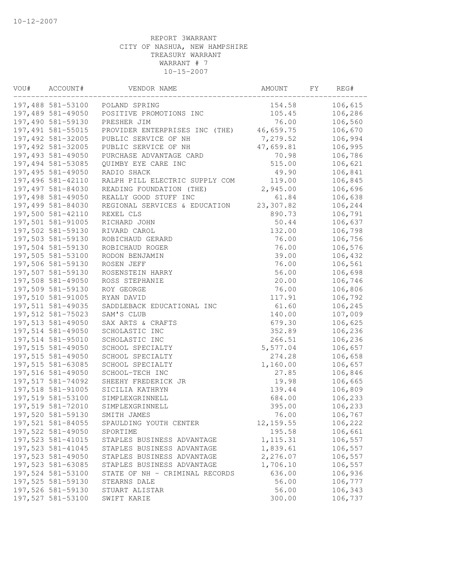| VOU# | ACCOUNT#          | VENDOR NAME                    | AMOUNT     | FY | REG#    |
|------|-------------------|--------------------------------|------------|----|---------|
|      | 197,488 581-53100 | POLAND SPRING                  | 154.58     |    | 106,615 |
|      | 197,489 581-49050 | POSITIVE PROMOTIONS INC        | 105.45     |    | 106,286 |
|      | 197,490 581-59130 | PRESHER JIM                    | 76.00      |    | 106,560 |
|      | 197,491 581-55015 | PROVIDER ENTERPRISES INC (THE) | 46,659.75  |    | 106,670 |
|      | 197,492 581-32005 | PUBLIC SERVICE OF NH           | 7,279.52   |    | 106,994 |
|      | 197,492 581-32005 | PUBLIC SERVICE OF NH           | 47,659.81  |    | 106,995 |
|      | 197,493 581-49050 | PURCHASE ADVANTAGE CARD        | 70.98      |    | 106,786 |
|      | 197,494 581-53085 | QUIMBY EYE CARE INC            | 515.00     |    | 106,621 |
|      | 197,495 581-49050 | RADIO SHACK                    | 49.90      |    | 106,841 |
|      | 197,496 581-42110 | RALPH PILL ELECTRIC SUPPLY COM | 119.00     |    | 106,845 |
|      | 197,497 581-84030 | READING FOUNDATION (THE)       | 2,945.00   |    | 106,696 |
|      | 197,498 581-49050 | REALLY GOOD STUFF INC          | 61.84      |    | 106,638 |
|      | 197,499 581-84030 | REGIONAL SERVICES & EDUCATION  | 23,307.82  |    | 106,244 |
|      | 197,500 581-42110 | REXEL CLS                      | 890.73     |    | 106,791 |
|      | 197,501 581-91005 | RICHARD JOHN                   | 50.44      |    | 106,637 |
|      | 197,502 581-59130 | RIVARD CAROL                   | 132.00     |    | 106,798 |
|      | 197,503 581-59130 | ROBICHAUD GERARD               | 76.00      |    | 106,756 |
|      | 197,504 581-59130 | ROBICHAUD ROGER                | 76.00      |    | 106,576 |
|      | 197,505 581-53100 | RODON BENJAMIN                 | 39.00      |    | 106,432 |
|      | 197,506 581-59130 | ROSEN JEFF                     | 76.00      |    | 106,561 |
|      | 197,507 581-59130 | ROSENSTEIN HARRY               | 56.00      |    | 106,698 |
|      | 197,508 581-49050 | ROSS STEPHANIE                 | 20.00      |    | 106,746 |
|      | 197,509 581-59130 | ROY GEORGE                     | 76.00      |    | 106,806 |
|      | 197,510 581-91005 | RYAN DAVID                     | 117.91     |    | 106,792 |
|      | 197,511 581-49035 | SADDLEBACK EDUCATIONAL INC     | 61.60      |    | 106,245 |
|      | 197,512 581-75023 | SAM'S CLUB                     | 140.00     |    | 107,009 |
|      | 197,513 581-49050 | SAX ARTS & CRAFTS              | 679.30     |    | 106,625 |
|      | 197,514 581-49050 | SCHOLASTIC INC                 | 352.89     |    | 106,236 |
|      | 197,514 581-95010 | SCHOLASTIC INC                 | 266.51     |    | 106,236 |
|      | 197,515 581-49050 | SCHOOL SPECIALTY               | 5,577.04   |    | 106,657 |
|      | 197,515 581-49050 | SCHOOL SPECIALTY               | 274.28     |    | 106,658 |
|      | 197,515 581-63085 | SCHOOL SPECIALTY               | 1,160.00   |    | 106,657 |
|      | 197,516 581-49050 | SCHOOL-TECH INC                | 27.85      |    | 106,846 |
|      | 197,517 581-74092 | SHEEHY FREDERICK JR            | 19.98      |    | 106,665 |
|      | 197,518 581-91005 | SICILIA KATHRYN                | 139.44     |    | 106,809 |
|      | 197,519 581-53100 | SIMPLEXGRINNELL                | 684.00     |    | 106,233 |
|      | 197,519 581-72010 | SIMPLEXGRINNELL                | 395.00     |    | 106,233 |
|      | 197,520 581-59130 | SMITH JAMES                    | 76.00      |    | 106,767 |
|      | 197,521 581-84055 | SPAULDING YOUTH CENTER         | 12, 159.55 |    | 106,222 |
|      | 197,522 581-49050 | SPORTIME                       | 195.58     |    | 106,661 |
|      | 197,523 581-41015 | STAPLES BUSINESS ADVANTAGE     | 1, 115.31  |    | 106,557 |
|      | 197,523 581-41045 | STAPLES BUSINESS ADVANTAGE     | 1,839.61   |    | 106,557 |
|      | 197,523 581-49050 | STAPLES BUSINESS ADVANTAGE     | 2,276.07   |    | 106,557 |
|      | 197,523 581-63085 | STAPLES BUSINESS ADVANTAGE     | 1,706.10   |    | 106,557 |
|      | 197,524 581-53100 | STATE OF NH - CRIMINAL RECORDS | 636.00     |    | 106,936 |
|      | 197,525 581-59130 | STEARNS DALE                   | 56.00      |    | 106,777 |
|      | 197,526 581-59130 | STUART ALISTAR                 | 56.00      |    | 106,343 |
|      | 197,527 581-53100 | SWIFT KARIE                    | 300.00     |    | 106,737 |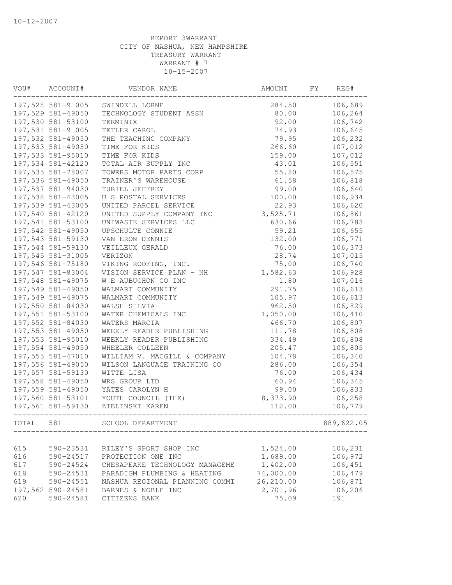| VOU#  | ACCOUNT#          | VENDOR NAME                    | AMOUNT    | FY | REG#       |
|-------|-------------------|--------------------------------|-----------|----|------------|
|       | 197,528 581-91005 | SWINDELL LORNE                 | 284.50    |    | 106,689    |
|       | 197,529 581-49050 | TECHNOLOGY STUDENT ASSN        | 80.00     |    | 106,264    |
|       | 197,530 581-53100 | TERMINIX                       | 92.00     |    | 106,742    |
|       | 197,531 581-91005 | TETLER CAROL                   | 74.93     |    | 106,645    |
|       | 197,532 581-49050 | THE TEACHING COMPANY           | 79.95     |    | 106,232    |
|       | 197,533 581-49050 | TIME FOR KIDS                  | 266.60    |    | 107,012    |
|       | 197,533 581-95010 | TIME FOR KIDS                  | 159.00    |    | 107,012    |
|       | 197,534 581-42120 | TOTAL AIR SUPPLY INC           | 43.01     |    | 106,551    |
|       | 197,535 581-78007 | TOWERS MOTOR PARTS CORP        | 55.80     |    | 106,575    |
|       | 197,536 581-49050 | TRAINER'S WAREHOUSE            | 61.58     |    | 106,818    |
|       | 197,537 581-94030 | TURIEL JEFFREY                 | 99.00     |    | 106,640    |
|       | 197,538 581-43005 | U S POSTAL SERVICES            | 100.00    |    | 106,934    |
|       | 197,539 581-43005 | UNITED PARCEL SERVICE          | 22.93     |    | 106,620    |
|       | 197,540 581-42120 | UNITED SUPPLY COMPANY INC      | 3,525.71  |    | 106,861    |
|       | 197,541 581-53100 | UNIWASTE SERVICES LLC          | 630.66    |    | 106,783    |
|       | 197,542 581-49050 | UPSCHULTE CONNIE               | 59.21     |    | 106,655    |
|       | 197,543 581-59130 | VAN ERON DENNIS                | 132.00    |    | 106,771    |
|       | 197,544 581-59130 | VEILLEUX GERALD                | 76.00     |    | 106,373    |
|       | 197,545 581-31005 | VERIZON                        | 28.74     |    | 107,015    |
|       | 197,546 581-75180 | VIKING ROOFING, INC.           | 75.00     |    | 106,740    |
|       | 197,547 581-83004 | VISION SERVICE PLAN - NH       | 1,582.63  |    | 106,928    |
|       | 197,548 581-49075 | W E AUBUCHON CO INC            | 1.80      |    | 107,016    |
|       | 197,549 581-49050 | WALMART COMMUNITY              | 291.75    |    | 106,613    |
|       | 197,549 581-49075 | WALMART COMMUNITY              | 105.97    |    | 106,613    |
|       | 197,550 581-84030 | WALSH SILVIA                   | 962.50    |    | 106,829    |
|       | 197,551 581-53100 | WATER CHEMICALS INC            | 1,050.00  |    | 106,410    |
|       | 197,552 581-84030 | WATERS MARCIA                  | 466.70    |    | 106,807    |
|       | 197,553 581-49050 | WEEKLY READER PUBLISHING       | 111.78    |    | 106,808    |
|       | 197,553 581-95010 | WEEKLY READER PUBLISHING       | 334.49    |    | 106,808    |
|       | 197,554 581-49050 | WHEELER COLLEEN                | 205.47    |    | 106,805    |
|       | 197,555 581-47010 | WILLIAM V. MACGILL & COMPANY   | 104.78    |    | 106,340    |
|       | 197,556 581-49050 | WILSON LANGUAGE TRAINING CO    | 286.00    |    | 106,354    |
|       | 197,557 581-59130 | WITTE LISA                     | 76.00     |    | 106,434    |
|       | 197,558 581-49050 | WRS GROUP LTD                  | 60.94     |    | 106,345    |
|       | 197,559 581-49050 | YATES CAROLYN H                | 99.00     |    | 106,833    |
|       | 197,560 581-53101 | YOUTH COUNCIL (THE)            | 8,373.90  |    | 106,258    |
|       | 197,561 581-59130 | ZIELINSKI KAREN                | 112.00    |    | 106,779    |
| TOTAL | 581               | SCHOOL DEPARTMENT              |           |    | 889,622.05 |
|       |                   |                                |           |    |            |
| 615   | 590-23531         | RILEY'S SPORT SHOP INC         | 1,524.00  |    | 106,231    |
| 616   | 590-24517         | PROTECTION ONE INC             | 1,689.00  |    | 106,972    |
| 617   | 590-24524         | CHESAPEAKE TECHNOLOGY MANAGEME | 1,402.00  |    | 106,451    |
| 618   | 590-24531         | PARADIGM PLUMBING & HEATING    | 74,000.00 |    | 106,479    |
| 619   | 590-24551         | NASHUA REGIONAL PLANNING COMMI | 26,210.00 |    | 106,871    |
|       | 197,562 590-24581 | BARNES & NOBLE INC             | 2,701.96  |    | 106,206    |
| 620   | 590-24581         | CITIZENS BANK                  | 75.09     |    | 191        |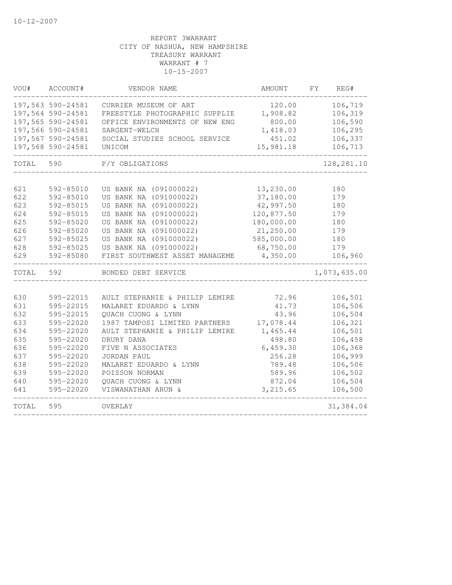| VOU#       | ACCOUNT#               | VENDOR NAME                                                     | AMOUNT                | FY | REG#               |
|------------|------------------------|-----------------------------------------------------------------|-----------------------|----|--------------------|
|            | 197,563 590-24581      | CURRIER MUSEUM OF ART                                           | 120.00                |    | 106,719            |
|            | 197,564 590-24581      | FREESTYLE PHOTOGRAPHIC SUPPLIE                                  | 1,908.82              |    | 106,319            |
|            | 197,565 590-24581      | OFFICE ENVIRONMENTS OF NEW ENG                                  | 800.00                |    | 106,590            |
|            | 197,566 590-24581      | SARGENT-WELCH                                                   | 1,418.03              |    | 106,295            |
|            | 197,567 590-24581      | SOCIAL STUDIES SCHOOL SERVICE                                   | 451.02                |    | 106,337            |
|            | 197,568 590-24581      | UNICOM                                                          | 15,981.18             |    | 106,713            |
| TOTAL      | 590                    | P/Y OBLIGATIONS                                                 |                       |    | 128, 281.10        |
| 621        | 592-85010              | US BANK NA (091000022)                                          | 13,230.00             |    | 180                |
| 622        | 592-85010              | US BANK NA (091000022)                                          | 37,180.00             |    | 179                |
| 623        | 592-85015              | US BANK NA (091000022)                                          | 42,997.50             |    | 180                |
| 624        | 592-85015              | US BANK NA (091000022)                                          | 120,877.50            |    | 179                |
| 625        | 592-85020              | US BANK NA (091000022)                                          | 180,000.00            |    | 180                |
| 626        | 592-85020              | US BANK NA (091000022)                                          | 21,250.00             |    | 179                |
| 627        | 592-85025              | US BANK NA (091000022)                                          | 585,000.00            |    | 180                |
| 628        | 592-85025              | US BANK NA (091000022)                                          | 68,750.00             |    | 179                |
| 629        | 592-85080              | FIRST SOUTHWEST ASSET MANAGEME                                  | 4,350.00              |    | 106,960            |
| TOTAL      | 592                    | BONDED DEBT SERVICE                                             |                       |    | 1,073,635.00       |
|            |                        |                                                                 |                       |    |                    |
| 630        | 595-22015              | AULT STEPHANIE & PHILIP LEMIRE                                  | 72.96                 |    | 106,501            |
| 631        | 595-22015              | MALARET EDUARDO & LYNN                                          | 41.73                 |    | 106,506            |
| 632        | 595-22015              | QUACH CUONG & LYNN                                              | 43.96                 |    | 106,504            |
| 633<br>634 | 595-22020<br>595-22020 | 1987 TAMPOSI LIMITED PARTNERS<br>AULT STEPHANIE & PHILIP LEMIRE | 17,078.44<br>1,465.44 |    | 106,321<br>106,501 |
| 635        | 595-22020              | DRURY DANA                                                      | 498.80                |    | 106,458            |
| 636        | 595-22020              | FIVE N ASSOCIATES                                               | 6,459.30              |    | 106,368            |
| 637        | 595-22020              | JORDAN PAUL                                                     | 256.28                |    | 106,999            |
| 638        | 595-22020              | MALARET EDUARDO & LYNN                                          | 789.48                |    | 106,506            |
| 639        | 595-22020              | POISSON NORMAN                                                  | 589.96                |    | 106,502            |
| 640        | 595-22020              | QUACH CUONG & LYNN                                              | 872.04                |    | 106,504            |
| 641        | 595-22020              | VISWANATHAN ARUN &                                              | 3,215.65              |    | 106,500            |
| TOTAL      | 595                    | OVERLAY                                                         |                       |    | 31, 384.04         |
|            |                        |                                                                 |                       |    |                    |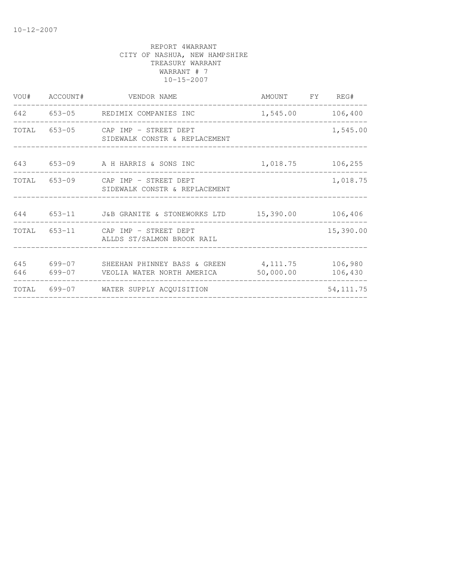|  | VOU# ACCOUNT# VENDOR NAME                                                                 | AMOUNT FY REG#   |                    |
|--|-------------------------------------------------------------------------------------------|------------------|--------------------|
|  | 642 653-05 REDIMIX COMPANIES INC                                                          | 1,545.00 106,400 |                    |
|  | TOTAL 653-05 CAP IMP - STREET DEPT<br>SIDEWALK CONSTR & REPLACEMENT                       |                  | 1,545.00           |
|  | 643 653-09 A H HARRIS & SONS INC 1,018.75 106,255                                         |                  |                    |
|  | TOTAL 653-09 CAP IMP - STREET DEPT<br>SIDEWALK CONSTR & REPLACEMENT                       |                  | 1,018.75           |
|  | 644 653-11 J&B GRANITE & STONEWORKS LTD 15,390.00 106,406                                 |                  |                    |
|  | TOTAL 653-11 CAP IMP - STREET DEPT<br>ALLDS ST/SALMON BROOK RAIL                          |                  | 15,390.00          |
|  | 645 699-07 SHEEHAN PHINNEY BASS & GREEN 4,111.75<br>646 699-07 VEOLIA WATER NORTH AMERICA | 50,000.00        | 106,980<br>106,430 |
|  | TOTAL 699-07 WATER SUPPLY ACQUISITION                                                     |                  | 54, 111.75         |
|  |                                                                                           |                  |                    |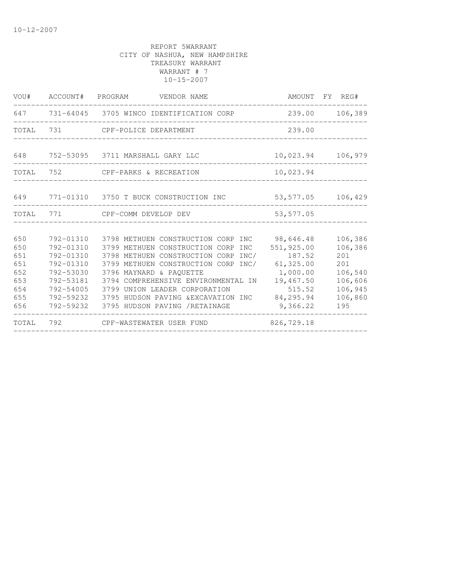|                                                             |                                                                                                                   | VOU# ACCOUNT# PROGRAM VENDOR NAME                                                                                                                                                                                                                                                                                                              | AMOUNT FY REG#                                                                                |                                                                                     |
|-------------------------------------------------------------|-------------------------------------------------------------------------------------------------------------------|------------------------------------------------------------------------------------------------------------------------------------------------------------------------------------------------------------------------------------------------------------------------------------------------------------------------------------------------|-----------------------------------------------------------------------------------------------|-------------------------------------------------------------------------------------|
|                                                             |                                                                                                                   | 647 731-64045 3705 WINCO IDENTIFICATION CORP                                                                                                                                                                                                                                                                                                   | 239.00                                                                                        | 106,389                                                                             |
|                                                             |                                                                                                                   | TOTAL 731 CPF-POLICE DEPARTMENT                                                                                                                                                                                                                                                                                                                | 239.00                                                                                        |                                                                                     |
|                                                             |                                                                                                                   | 648 752-53095 3711 MARSHALL GARY LLC                                                                                                                                                                                                                                                                                                           | 10,023.94                                                                                     | 106,979                                                                             |
| TOTAL                                                       |                                                                                                                   | 752 CPF-PARKS & RECREATION                                                                                                                                                                                                                                                                                                                     | 10,023.94                                                                                     |                                                                                     |
| 649                                                         |                                                                                                                   | 771-01310 3750 T BUCK CONSTRUCTION INC                                                                                                                                                                                                                                                                                                         | 53,577.05                                                                                     | 106,429                                                                             |
|                                                             |                                                                                                                   | TOTAL 771 CPF-COMM DEVELOP DEV                                                                                                                                                                                                                                                                                                                 | 53,577.05                                                                                     |                                                                                     |
| 650<br>650<br>651<br>651<br>652<br>653<br>654<br>655<br>656 | 792-01310<br>792-01310<br>792-01310<br>792-01310<br>792-53030<br>792-53181<br>792-54005<br>792-59232<br>792-59232 | 3798 METHUEN CONSTRUCTION CORP INC 98,646.48<br>3799 METHUEN CONSTRUCTION CORP INC<br>3798 METHUEN CONSTRUCTION CORP<br>INC/<br>3799 METHUEN CONSTRUCTION CORP INC/<br>3796 MAYNARD & PAOUETTE<br>3794 COMPREHENSIVE ENVIRONMENTAL IN<br>3799 UNION LEADER CORPORATION<br>3795 HUDSON PAVING & EXCAVATION INC<br>3795 HUDSON PAVING /RETAINAGE | 551,925.00<br>187.52<br>61,325.00<br>1,000.00<br>19,467.50<br>515.52<br>84,295.94<br>9,366.22 | 106,386<br>106,386<br>201<br>201<br>106,540<br>106,606<br>106,945<br>106,860<br>195 |
| TOTAL                                                       |                                                                                                                   | 792 CPF-WASTEWATER USER FUND                                                                                                                                                                                                                                                                                                                   | 826,729.18                                                                                    |                                                                                     |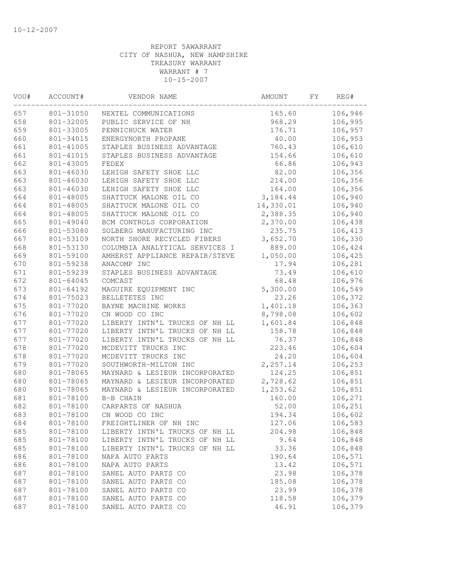| VOU# | ACCOUNT#  | VENDOR NAME                    | AMOUNT    | FΥ | REG#    |
|------|-----------|--------------------------------|-----------|----|---------|
| 657  | 801-31050 | NEXTEL COMMUNICATIONS          | 165.60    |    | 106,946 |
| 658  | 801-32005 | PUBLIC SERVICE OF NH           | 968.29    |    | 106,995 |
| 659  | 801-33005 | PENNICHUCK WATER               | 176.71    |    | 106,957 |
| 660  | 801-34015 | ENERGYNORTH PROPANE            | 40.00     |    | 106,953 |
| 661  | 801-41005 | STAPLES BUSINESS ADVANTAGE     | 760.43    |    | 106,610 |
| 661  | 801-41015 | STAPLES BUSINESS ADVANTAGE     | 154.66    |    | 106,610 |
| 662  | 801-43005 | FEDEX                          | 66.86     |    | 106,943 |
| 663  | 801-46030 | LEHIGH SAFETY SHOE LLC         | 82.00     |    | 106,356 |
| 663  | 801-46030 | LEHIGH SAFETY SHOE LLC         | 214.00    |    | 106,356 |
| 663  | 801-46030 | LEHIGH SAFETY SHOE LLC         | 164.00    |    | 106,356 |
| 664  | 801-48005 | SHATTUCK MALONE OIL CO         | 3,184.44  |    | 106,940 |
| 664  | 801-48005 | SHATTUCK MALONE OIL CO         | 14,330.01 |    | 106,940 |
| 664  | 801-48005 | SHATTUCK MALONE OIL CO         | 2,388.35  |    | 106,940 |
| 665  | 801-49040 | BCM CONTROLS CORPORATION       | 2,370.00  |    | 106,438 |
| 666  | 801-53080 | SOLBERG MANUFACTURING INC      | 235.75    |    | 106,413 |
| 667  | 801-53109 | NORTH SHORE RECYCLED FIBERS    | 3,652.70  |    | 106,330 |
| 668  | 801-53130 | COLUMBIA ANALYTICAL SERVICES I | 889.00    |    | 106,424 |
| 669  | 801-59100 | AMHERST APPLIANCE REPAIR/STEVE | 1,050.00  |    | 106,425 |
| 670  | 801-59238 | ANACOMP INC                    | 17.94     |    | 106,281 |
| 671  | 801-59239 | STAPLES BUSINESS ADVANTAGE     | 73.49     |    | 106,610 |
| 672  | 801-64045 | COMCAST                        | 68.48     |    | 106,976 |
| 673  | 801-64192 | MAGUIRE EQUIPMENT INC          | 5,300.00  |    | 106,549 |
| 674  | 801-75023 | BELLETETES INC                 | 23.26     |    | 106,372 |
| 675  | 801-77020 | BAYNE MACHINE WORKS            | 1,401.18  |    | 106,363 |
| 676  | 801-77020 | CN WOOD CO INC                 | 8,798.08  |    | 106,602 |
| 677  | 801-77020 | LIBERTY INTN'L TRUCKS OF NH LL | 1,601.84  |    | 106,848 |
| 677  | 801-77020 | LIBERTY INTN'L TRUCKS OF NH LL | 158.78    |    | 106,848 |
| 677  | 801-77020 | LIBERTY INTN'L TRUCKS OF NH LL | 76.37     |    | 106,848 |
| 678  | 801-77020 | MCDEVITT TRUCKS INC            | 223.46    |    | 106,604 |
| 678  | 801-77020 | MCDEVITT TRUCKS INC            | 24.20     |    | 106,604 |
| 679  | 801-77020 | SOUTHWORTH-MILTON INC          | 2,257.14  |    | 106,253 |
| 680  | 801-78065 | MAYNARD & LESIEUR INCORPORATED | 124.25    |    | 106,851 |
| 680  | 801-78065 | MAYNARD & LESIEUR INCORPORATED | 2,728.62  |    | 106,851 |
| 680  | 801-78065 | MAYNARD & LESIEUR INCORPORATED | 1,253.62  |    | 106,851 |
| 681  | 801-78100 | B-B CHAIN                      | 160.00    |    | 106,271 |
| 682  | 801-78100 | CARPARTS OF NASHUA             | 52.00     |    | 106,251 |
| 683  | 801-78100 | CN WOOD CO INC                 | 194.34    |    | 106,602 |
| 684  | 801-78100 | FREIGHTLINER OF NH INC         | 127.06    |    | 106,583 |
| 685  | 801-78100 | LIBERTY INTN'L TRUCKS OF NH LL | 204.98    |    | 106,848 |
| 685  | 801-78100 | LIBERTY INTN'L TRUCKS OF NH LL | 9.64      |    | 106,848 |
| 685  | 801-78100 | LIBERTY INTN'L TRUCKS OF NH LL | 33.36     |    | 106,848 |
| 686  | 801-78100 | NAPA AUTO PARTS                | 190.64    |    | 106,571 |
| 686  | 801-78100 | NAPA AUTO PARTS                | 13.42     |    | 106,571 |
| 687  | 801-78100 | SANEL AUTO PARTS CO            | 23.98     |    | 106,378 |
| 687  | 801-78100 | SANEL AUTO PARTS CO            | 185.08    |    | 106,378 |
| 687  | 801-78100 | SANEL AUTO PARTS CO            | 23.99     |    | 106,378 |
| 687  | 801-78100 | SANEL AUTO PARTS CO            | 118.58    |    | 106,379 |
| 687  | 801-78100 | SANEL AUTO PARTS CO            | 46.91     |    | 106,379 |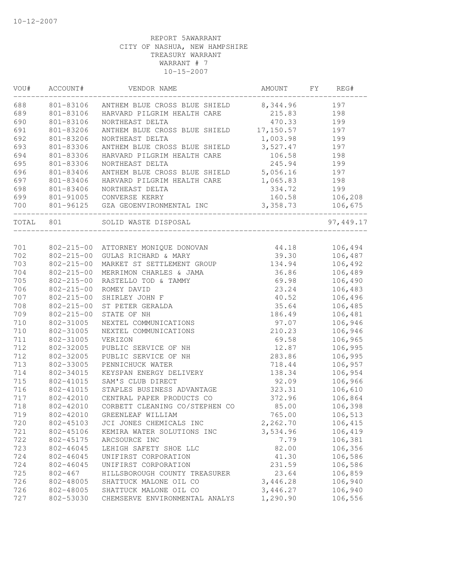| WOU#      | ACCOUNT#         | VENDOR NAME                         | AMOUNT     | FY | REG#       |
|-----------|------------------|-------------------------------------|------------|----|------------|
| 688       | 801-83106        | ANTHEM BLUE CROSS BLUE SHIELD       | 8,344.96   |    | 197        |
| 689       | 801-83106        | HARVARD PILGRIM HEALTH CARE         | 215.83     |    | 198        |
| 690       | 801-83106        | NORTHEAST DELTA                     | 470.33     |    | 199        |
| 691       | 801-83206        | ANTHEM BLUE CROSS BLUE SHIELD       | 17, 150.57 |    | 197        |
| 692       | 801-83206        | NORTHEAST DELTA                     | 1,003.98   |    | 199        |
| 693       | 801-83306        | ANTHEM BLUE CROSS BLUE SHIELD       | 3,527.47   |    | 197        |
| 694       | 801-83306        | HARVARD PILGRIM HEALTH CARE         | 106.58     |    | 198        |
| 695       | 801-83306        | NORTHEAST DELTA                     | 245.94     |    | 199        |
| 696       | 801-83406        | ANTHEM BLUE CROSS BLUE SHIELD       | 5,056.16   |    | 197        |
| 697       | 801-83406        | HARVARD PILGRIM HEALTH CARE         | 1,065.83   |    | 198        |
| 698       | 801-83406        | NORTHEAST DELTA                     | 334.72     |    | 199        |
| 699       |                  | 801-91005 CONVERSE KERRY            | 160.58     |    | 106,208    |
| 700       |                  | 801-96125 GZA GEOENVIRONMENTAL INC  | 3,358.73   |    | 106,675    |
| TOTAL 801 |                  | SOLID WASTE DISPOSAL                |            |    | 97, 449.17 |
|           |                  |                                     |            |    |            |
| 701       |                  | 802-215-00 ATTORNEY MONIQUE DONOVAN | 44.18      |    | 106,494    |
| 702       | $802 - 215 - 00$ | GULAS RICHARD & MARY                | 39.30      |    | 106,487    |
| 703       | $802 - 215 - 00$ | MARKET ST SETTLEMENT GROUP          | 134.94     |    | 106,492    |
| 704       | $802 - 215 - 00$ | MERRIMON CHARLES & JAMA             | 36.86      |    | 106,489    |
| 705       | $802 - 215 - 00$ | RASTELLO TOD & TAMMY                | 69.98      |    | 106,490    |
| 706       | $802 - 215 - 00$ | ROMEY DAVID                         | 23.24      |    | 106,483    |
| 707       | $802 - 215 - 00$ | SHIRLEY JOHN F                      | 40.52      |    | 106,496    |
| 708       | $802 - 215 - 00$ | ST PETER GERALDA                    | 35.64      |    | 106,485    |
| 709       | $802 - 215 - 00$ | STATE OF NH                         | 186.49     |    | 106,481    |
| 710       | 802-31005        | NEXTEL COMMUNICATIONS               | 97.07      |    | 106,946    |
| 710       | 802-31005        | NEXTEL COMMUNICATIONS               | 210.23     |    | 106,946    |
| 711       | 802-31005        | VERIZON                             | 69.58      |    | 106,965    |
| 712       | 802-32005        | PUBLIC SERVICE OF NH                | 12.87      |    | 106,995    |
| 712       | 802-32005        | PUBLIC SERVICE OF NH                | 283.86     |    | 106,995    |
| 713       | 802-33005        | PENNICHUCK WATER                    | 718.44     |    | 106,957    |
| 714       | 802-34015        | KEYSPAN ENERGY DELIVERY             | 138.34     |    | 106,954    |
| 715       | 802-41015        | SAM'S CLUB DIRECT                   | 92.09      |    | 106,966    |
| 716       | 802-41015        | STAPLES BUSINESS ADVANTAGE          | 323.31     |    | 106,610    |
| 717       | 802-42010        | CENTRAL PAPER PRODUCTS CO           | 372.96     |    | 106,864    |
| 718       | 802-42010        | CORBETT CLEANING CO/STEPHEN CO      | 85.00      |    | 106,398    |
| 719       |                  | 802-42010 GREENLEAF WILLIAM         | 765.00     |    | 106,513    |
| 720       | 802-45103        | JCI JONES CHEMICALS INC             | 2,262.70   |    | 106,415    |
| 721       | 802-45106        | KEMIRA WATER SOLUTIONS INC          | 3,534.96   |    | 106,419    |
| 722       | 802-45175        | ARCSOURCE INC                       | 7.79       |    | 106,381    |
| 723       | 802-46045        | LEHIGH SAFETY SHOE LLC              | 82.00      |    | 106,356    |
| 724       | 802-46045        | UNIFIRST CORPORATION                | 41.30      |    | 106,586    |
| 724       | 802-46045        | UNIFIRST CORPORATION                | 231.59     |    | 106,586    |
| 725       | $802 - 467$      | HILLSBOROUGH COUNTY TREASURER       | 23.64      |    | 106,859    |
| 726       | 802-48005        | SHATTUCK MALONE OIL CO              | 3,446.28   |    | 106,940    |
| 726       | 802-48005        | SHATTUCK MALONE OIL CO              | 3,446.27   |    | 106,940    |
| 727       | 802-53030        | CHEMSERVE ENVIRONMENTAL ANALYS      | 1,290.90   |    | 106,556    |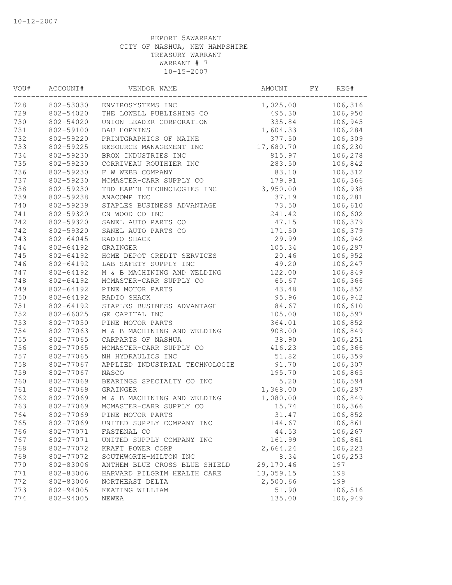| VOU# | ACCOUNT#  | VENDOR NAME                    | AMOUNT    | FΥ | REG#    |
|------|-----------|--------------------------------|-----------|----|---------|
| 728  | 802-53030 | ENVIROSYSTEMS INC              | 1,025.00  |    | 106,316 |
| 729  | 802-54020 | THE LOWELL PUBLISHING CO       | 495.30    |    | 106,950 |
| 730  | 802-54020 | UNION LEADER CORPORATION       | 335.84    |    | 106,945 |
| 731  | 802-59100 | BAU HOPKINS                    | 1,604.33  |    | 106,284 |
| 732  | 802-59220 | PRINTGRAPHICS OF MAINE         | 377.50    |    | 106,309 |
| 733  | 802-59225 | RESOURCE MANAGEMENT INC        | 17,680.70 |    | 106,230 |
| 734  | 802-59230 | BROX INDUSTRIES INC            | 815.97    |    | 106,278 |
| 735  | 802-59230 | CORRIVEAU ROUTHIER INC         | 283.50    |    | 106,842 |
| 736  | 802-59230 | F W WEBB COMPANY               | 83.10     |    | 106,312 |
| 737  | 802-59230 | MCMASTER-CARR SUPPLY CO        | 179.91    |    | 106,366 |
| 738  | 802-59230 | TDD EARTH TECHNOLOGIES INC     | 3,950.00  |    | 106,938 |
| 739  | 802-59238 | ANACOMP INC                    | 37.19     |    | 106,281 |
| 740  | 802-59239 | STAPLES BUSINESS ADVANTAGE     | 73.50     |    | 106,610 |
| 741  | 802-59320 | CN WOOD CO INC                 | 241.42    |    | 106,602 |
| 742  | 802-59320 | SANEL AUTO PARTS CO            | 47.15     |    | 106,379 |
| 742  | 802-59320 | SANEL AUTO PARTS CO            | 171.50    |    | 106,379 |
| 743  | 802-64045 | RADIO SHACK                    | 29.99     |    | 106,942 |
| 744  | 802-64192 | GRAINGER                       | 105.34    |    | 106,297 |
| 745  | 802-64192 | HOME DEPOT CREDIT SERVICES     | 20.46     |    | 106,952 |
| 746  | 802-64192 | LAB SAFETY SUPPLY INC          | 49.20     |    | 106,247 |
| 747  | 802-64192 | M & B MACHINING AND WELDING    | 122.00    |    | 106,849 |
| 748  | 802-64192 | MCMASTER-CARR SUPPLY CO        | 65.67     |    | 106,366 |
| 749  | 802-64192 | PINE MOTOR PARTS               | 43.48     |    | 106,852 |
| 750  | 802-64192 | RADIO SHACK                    | 95.96     |    | 106,942 |
| 751  | 802-64192 | STAPLES BUSINESS ADVANTAGE     | 84.67     |    | 106,610 |
| 752  | 802-66025 | GE CAPITAL INC                 | 105.00    |    | 106,597 |
| 753  | 802-77050 | PINE MOTOR PARTS               | 364.01    |    | 106,852 |
| 754  | 802-77063 | M & B MACHINING AND WELDING    | 908.00    |    | 106,849 |
| 755  | 802-77065 | CARPARTS OF NASHUA             | 38.90     |    | 106,251 |
| 756  | 802-77065 | MCMASTER-CARR SUPPLY CO        | 416.23    |    | 106,366 |
| 757  | 802-77065 | NH HYDRAULICS INC              | 51.82     |    | 106,359 |
| 758  | 802-77067 | APPLIED INDUSTRIAL TECHNOLOGIE | 91.70     |    | 106,307 |
| 759  | 802-77067 | NASCO                          | 195.70    |    | 106,865 |
| 760  | 802-77069 | BEARINGS SPECIALTY CO INC      | 5.20      |    | 106,594 |
| 761  | 802-77069 | GRAINGER                       | 1,368.00  |    | 106,297 |
| 762  | 802-77069 | M & B MACHINING AND WELDING    | 1,080.00  |    | 106,849 |
| 763  | 802-77069 | MCMASTER-CARR SUPPLY CO        | 15.74     |    | 106,366 |
| 764  | 802-77069 | PINE MOTOR PARTS               | 31.47     |    | 106,852 |
| 765  | 802-77069 | UNITED SUPPLY COMPANY INC      | 144.67    |    | 106,861 |
| 766  | 802-77071 | FASTENAL CO                    | 44.53     |    | 106,267 |
| 767  | 802-77071 | UNITED SUPPLY COMPANY INC      | 161.99    |    | 106,861 |
| 768  | 802-77072 | KRAFT POWER CORP               | 2,664.24  |    | 106,223 |
| 769  | 802-77072 | SOUTHWORTH-MILTON INC          | 8.34      |    | 106,253 |
| 770  | 802-83006 | ANTHEM BLUE CROSS BLUE SHIELD  | 29,170.46 |    | 197     |
| 771  | 802-83006 | HARVARD PILGRIM HEALTH CARE    | 13,059.15 |    | 198     |
| 772  | 802-83006 | NORTHEAST DELTA                | 2,500.66  |    | 199     |
| 773  | 802-94005 | KEATING WILLIAM                | 51.90     |    | 106,516 |
| 774  | 802-94005 | NEWEA                          | 135.00    |    | 106,949 |
|      |           |                                |           |    |         |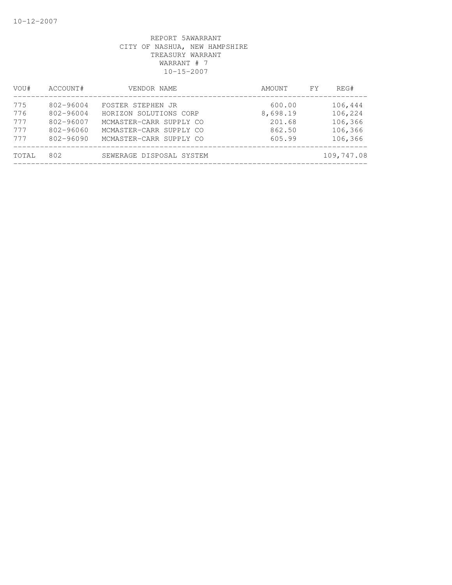| VOU#  | ACCOUNT#      | VENDOR NAME              | AMOUNT   | FY. | REG#       |
|-------|---------------|--------------------------|----------|-----|------------|
| 775   | 802-96004     | FOSTER STEPHEN JR        | 600.00   |     | 106,444    |
| 776   | $802 - 96004$ | HORIZON SOLUTIONS CORP   | 8,698.19 |     | 106,224    |
| 777   | 802-96007     | MCMASTER-CARR SUPPLY CO  | 201.68   |     | 106,366    |
| 777   | $802 - 96060$ | MCMASTER-CARR SUPPLY CO  | 862.50   |     | 106,366    |
| 777   | $802 - 96090$ | MCMASTER-CARR SUPPLY CO  | 605.99   |     | 106,366    |
| TOTAL | 802           | SEWERAGE DISPOSAL SYSTEM |          |     | 109,747.08 |
|       |               |                          |          |     |            |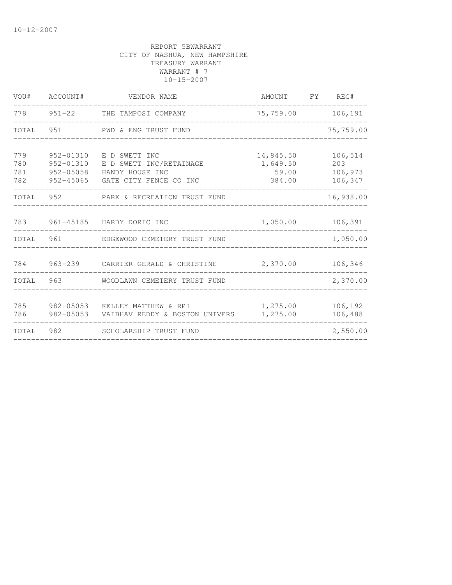| VOU#                     | ACCOUNT#   | VENDOR NAME                                                                                                         | AMOUNT FY REG#                           |                                      |
|--------------------------|------------|---------------------------------------------------------------------------------------------------------------------|------------------------------------------|--------------------------------------|
|                          | 778 951-22 | THE TAMPOSI COMPANY                                                                                                 | 75,759.00                                | 106,191                              |
|                          |            | TOTAL 951 PWD & ENG TRUST FUND                                                                                      |                                          | 75,759.00                            |
| 779<br>780<br>781<br>782 | 952-01310  | E D SWETT INC<br>952-01310 E D SWETT INC/RETAINAGE<br>952-05058 HANDY HOUSE INC<br>952-45065 GATE CITY FENCE CO INC | 14,845.50<br>1,649.50<br>59.00<br>384.00 | 106,514<br>203<br>106,973<br>106,347 |
|                          |            | TOTAL 952 PARK & RECREATION TRUST FUND                                                                              |                                          | 16,938.00                            |
| 783                      |            | 961-45185 HARDY DORIC INC                                                                                           | 1,050.00                                 | 106,391                              |
| TOTAL                    | 961        | EDGEWOOD CEMETERY TRUST FUND                                                                                        |                                          | 1,050.00                             |
|                          |            | 784 963-239 CARRIER GERALD & CHRISTINE                                                                              | 2,370.00                                 | 106,346                              |
| <b>TOTAL</b>             | 963        | WOODLAWN CEMETERY TRUST FUND                                                                                        |                                          | 2,370.00                             |
| 785<br>786               |            | 982-05053 KELLEY MATTHEW & RPI<br>982-05053 VAIBHAV REDDY & BOSTON UNIVERS                                          | 1,275.00<br>1,275.00                     | 106,192<br>106,488                   |
| TOTAL                    |            | SCHOLARSHIP TRUST FUND                                                                                              |                                          | 2,550.00                             |
|                          |            |                                                                                                                     |                                          |                                      |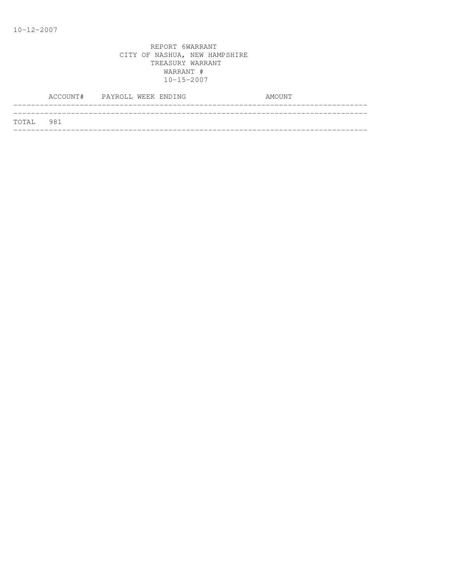|           | ACCOUNT# PAYROLL WEEK ENDING |  |  | AMOUNT |  |
|-----------|------------------------------|--|--|--------|--|
| TOTAL 981 |                              |  |  |        |  |
|           |                              |  |  |        |  |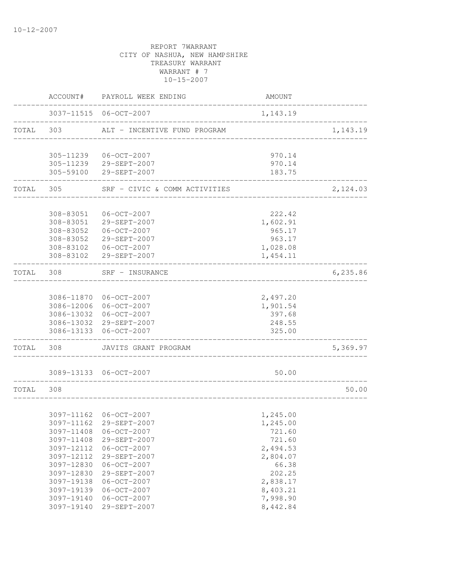|           |            | ACCOUNT# PAYROLL WEEK ENDING                     | AMOUNT                       |          |
|-----------|------------|--------------------------------------------------|------------------------------|----------|
|           |            | 3037-11515 06-OCT-2007                           | 1,143.19                     |          |
| TOTAL 303 |            | ALT - INCENTIVE FUND PROGRAM                     |                              | 1,143.19 |
|           |            | 305-11239 06-OCT-2007                            | 970.14                       |          |
|           |            | 305-11239 29-SEPT-2007                           | 970.14                       |          |
|           |            | 305-59100 29-SEPT-2007                           | 183.75                       |          |
| TOTAL 305 |            | SRF - CIVIC & COMM ACTIVITIES                    | ____________________________ | 2,124.03 |
|           |            | 308-83051  06-OCT-2007                           | 222.42                       |          |
|           |            | 308-83051 29-SEPT-2007                           | 1,602.91                     |          |
|           |            | 308-83052  06-OCT-2007                           | 965.17                       |          |
|           |            | 308-83052 29-SEPT-2007                           | 963.17                       |          |
|           |            | 308-83102  06-OCT-2007                           | 1,028.08                     |          |
|           |            | 308-83102 29-SEPT-2007                           | 1,454.11                     |          |
| TOTAL 308 |            | SRF - INSURANCE                                  |                              | 6,235.86 |
|           |            |                                                  |                              |          |
|           |            | 3086-11870 06-OCT-2007<br>3086-12006 06-OCT-2007 | 2,497.20                     |          |
|           |            | 3086-13032 06-OCT-2007                           | 1,901.54<br>397.68           |          |
|           |            | 3086-13032 29-SEPT-2007                          | 248.55                       |          |
|           |            | 3086-13133 06-OCT-2007                           | 325.00                       |          |
| TOTAL     | 308        | JAVITS GRANT PROGRAM                             |                              | 5,369.97 |
|           |            | 3089-13133 06-OCT-2007                           | 50.00                        |          |
| TOTAL     | 308        |                                                  |                              | 50.00    |
|           |            |                                                  |                              |          |
|           |            | 3097-11162 06-OCT-2007                           | 1,245.00                     |          |
|           |            | 3097-11162 29-SEPT-2007                          | 1,245.00                     |          |
|           | 3097-11408 | $06 - OCT - 2007$                                | 721.60                       |          |
|           | 3097-11408 | 29-SEPT-2007                                     | 721.60                       |          |
|           | 3097-12112 | $06 - OCT - 2007$                                | 2,494.53                     |          |
|           | 3097-12112 | 29-SEPT-2007                                     | 2,804.07                     |          |
|           | 3097-12830 | $06 - OCT - 2007$                                | 66.38                        |          |
|           | 3097-12830 | 29-SEPT-2007                                     | 202.25                       |          |
|           | 3097-19138 | $06 - OCT - 2007$                                | 2,838.17                     |          |
|           | 3097-19139 | $06 - OCT - 2007$                                | 8,403.21                     |          |
|           | 3097-19140 | $06 - OCT - 2007$                                | 7,998.90                     |          |
|           | 3097-19140 | 29-SEPT-2007                                     | 8,442.84                     |          |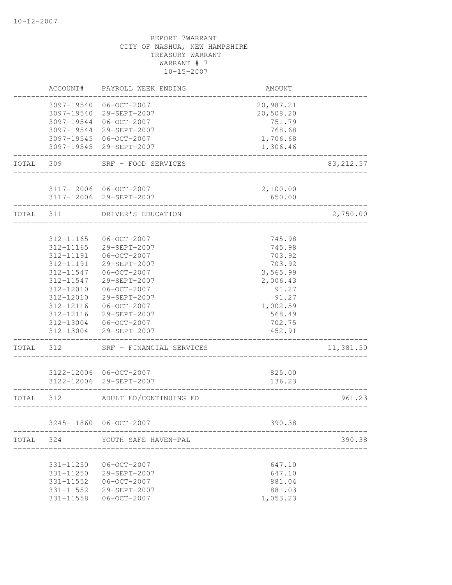|       | ACCOUNT#                 | PAYROLL WEEK ENDING                                               | <b>AMOUNT</b>                    |            |
|-------|--------------------------|-------------------------------------------------------------------|----------------------------------|------------|
|       | 3097-19540<br>3097-19544 | 06-OCT-2007<br>3097-19540 29-SEPT-2007<br>06-OCT-2007             | 20,987.21<br>20,508.20<br>751.79 |            |
|       | 3097-19544               | 29-SEPT-2007                                                      | 768.68                           |            |
|       |                          | 3097-19545 06-OCT-2007                                            | 1,706.68                         |            |
|       |                          | 3097-19545 29-SEPT-2007                                           | 1,306.46                         |            |
| TOTAL | 309                      | SRF - FOOD SERVICES                                               |                                  | 83, 212.57 |
|       |                          | 3117-12006 06-OCT-2007                                            | 2,100.00                         |            |
|       |                          | 3117-12006 29-SEPT-2007                                           | 650.00                           |            |
| TOTAL | 311                      | DRIVER'S EDUCATION                                                |                                  | 2,750.00   |
|       | 312-11165                | 06-OCT-2007                                                       | 745.98                           |            |
|       | 312-11165                | 29-SEPT-2007                                                      | 745.98                           |            |
|       | 312-11191                | $06 - OCT - 2007$                                                 | 703.92                           |            |
|       | 312-11191                | 29-SEPT-2007                                                      | 703.92                           |            |
|       | 312-11547                | $06 - OCT - 2007$                                                 | 3,565.99                         |            |
|       | 312-11547                | 29-SEPT-2007                                                      | 2,006.43                         |            |
|       | 312-12010                | 06-OCT-2007                                                       | 91.27                            |            |
|       | 312-12010                | 29-SEPT-2007                                                      | 91.27                            |            |
|       | 312-12116<br>312-12116   | $06 - OCT - 2007$<br>29-SEPT-2007                                 | 1,002.59                         |            |
|       |                          | 312-13004 06-OCT-2007                                             | 568.49<br>702.75                 |            |
|       | 312-13004                | 29-SEPT-2007                                                      | 452.91                           |            |
| TOTAL | 312                      | SRF - FINANCIAL SERVICES                                          |                                  | 11,381.50  |
|       |                          | 3122-12006 06-OCT-2007                                            | 825.00                           |            |
|       |                          | 3122-12006 29-SEPT-2007                                           | 136.23                           |            |
| TOTAL | 312                      | ADULT ED/CONTINUING ED                                            |                                  | 961.23     |
|       |                          | 3245-11860 06-OCT-2007                                            | 390.38                           |            |
|       |                          | _______________________________<br>TOTAL 324 YOUTH SAFE HAVEN-PAL |                                  | 390.38     |
|       |                          |                                                                   |                                  |            |
|       |                          | 331-11250 06-OCT-2007                                             | 647.10                           |            |
|       |                          | 331-11250 29-SEPT-2007                                            | 647.10                           |            |
|       |                          | 331-11552 06-OCT-2007                                             | 881.04                           |            |
|       |                          | 331-11552 29-SEPT-2007                                            | 881.03                           |            |
|       |                          | 331-11558   06-OCT-2007                                           | 1,053.23                         |            |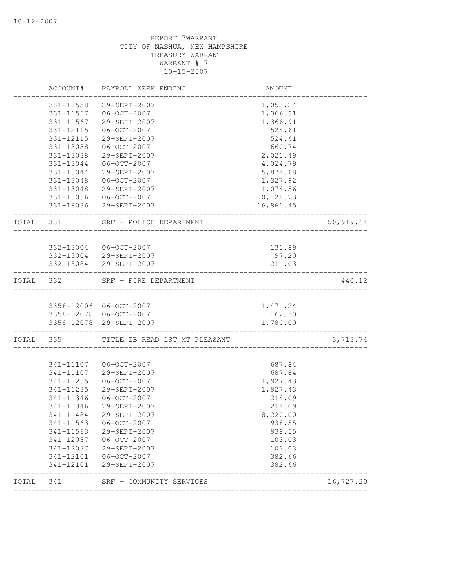|           | ACCOUNT#   | PAYROLL WEEK ENDING           | AMOUNT    |           |
|-----------|------------|-------------------------------|-----------|-----------|
|           | 331-11558  | 29-SEPT-2007                  | 1,053.24  |           |
|           |            | 331-11567 06-OCT-2007         | 1,366.91  |           |
|           | 331-11567  | 29-SEPT-2007                  | 1,366.91  |           |
|           | 331-12115  | $06 - OCT - 2007$             | 524.61    |           |
|           | 331-12115  | 29-SEPT-2007                  | 524.61    |           |
|           | 331-13038  | $06 - OCT - 2007$             | 660.74    |           |
|           | 331-13038  | 29-SEPT-2007                  | 2,021.49  |           |
|           | 331-13044  | $06 - OCT - 2007$             | 4,024.79  |           |
|           | 331-13044  | 29-SEPT-2007                  | 5,874.68  |           |
|           | 331-13048  | $06 - OCT - 2007$             | 1,327.92  |           |
|           |            | 331-13048 29-SEPT-2007        | 1,074.56  |           |
|           |            | 331-18036 06-OCT-2007         | 10,128.23 |           |
|           |            | 331-18036 29-SEPT-2007        | 16,861.45 |           |
| TOTAL     | 331        | SRF - POLICE DEPARTMENT       |           | 50,919.64 |
|           |            |                               |           |           |
|           |            | 332-13004 06-OCT-2007         | 131.89    |           |
|           |            | 332-13004 29-SEPT-2007        | 97.20     |           |
|           |            | 332-18084 29-SEPT-2007        | 211.03    |           |
| TOTAL 332 |            | SRF - FIRE DEPARTMENT         |           | 440.12    |
|           |            | 3358-12006 06-OCT-2007        | 1,471.24  |           |
|           |            | 3358-12078 06-OCT-2007        | 462.50    |           |
|           | 3358-12078 | 29-SEPT-2007                  | 1,780.00  |           |
| TOTAL 335 |            | TITLE IB READ 1ST MT PLEASANT |           | 3,713.74  |
|           |            |                               |           |           |
|           | 341-11107  | $06 - OCT - 2007$             | 687.84    |           |
|           | 341-11107  | 29-SEPT-2007                  | 687.84    |           |
|           | 341-11235  | $06 - OCT - 2007$             | 1,927.43  |           |
|           | 341-11235  | 29-SEPT-2007                  | 1,927.43  |           |
|           | 341-11346  | $06 - OCT - 2007$             | 214.09    |           |
|           | 341-11346  | 29-SEPT-2007                  | 214.09    |           |
|           | 341-11484  | 29-SEPT-2007                  | 8,220.00  |           |
|           | 341-11563  | $06 - OCT - 2007$             | 938.55    |           |
|           | 341-11563  | 29-SEPT-2007                  | 938.55    |           |
|           | 341-12037  | $06 - OCT - 2007$             | 103.03    |           |
|           | 341-12037  | 29-SEPT-2007                  | 103.03    |           |
|           | 341-12101  | $06 - OCT - 2007$             | 382.66    |           |
|           | 341-12101  | 29-SEPT-2007                  | 382.66    |           |
| TOTAL     | 341        | SRF - COMMUNITY SERVICES      |           | 16,727.20 |
|           |            |                               |           |           |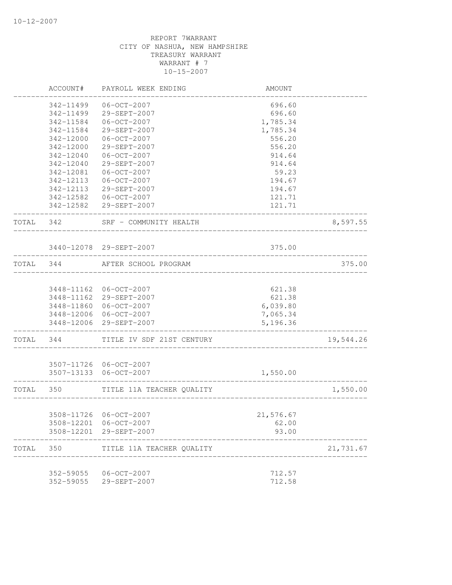|           | ACCOUNT#   | PAYROLL WEEK ENDING                       | AMOUNT                      |           |
|-----------|------------|-------------------------------------------|-----------------------------|-----------|
|           | 342-11499  | $06 - OCT - 2007$                         | 696.60                      |           |
|           | 342-11499  | 29-SEPT-2007                              | 696.60                      |           |
|           | 342-11584  | $06 - OCT - 2007$                         | 1,785.34                    |           |
|           | 342-11584  | 29-SEPT-2007                              | 1,785.34                    |           |
|           | 342-12000  | $06 - OCT - 2007$                         | 556.20                      |           |
|           | 342-12000  | 29-SEPT-2007                              | 556.20                      |           |
|           | 342-12040  | $06 - OCT - 2007$                         | 914.64                      |           |
|           | 342-12040  | 29-SEPT-2007                              | 914.64                      |           |
|           | 342-12081  | 06-OCT-2007                               | 59.23                       |           |
|           | 342-12113  | $06 - OCT - 2007$                         | 194.67                      |           |
|           |            | 342-12113 29-SEPT-2007                    | 194.67                      |           |
|           |            | 342-12582  06-OCT-2007                    | 121.71                      |           |
|           |            | 342-12582 29-SEPT-2007                    | 121.71                      |           |
| TOTAL 342 |            | SRF - COMMUNITY HEALTH<br>_______________ |                             | 8,597.55  |
|           |            | 3440-12078 29-SEPT-2007                   | 375.00                      |           |
| TOTAL 344 |            | AFTER SCHOOL PROGRAM                      |                             | 375.00    |
|           |            |                                           |                             |           |
|           |            | 3448-11162 06-OCT-2007                    | 621.38                      |           |
|           |            | 3448-11162 29-SEPT-2007                   | 621.38                      |           |
|           |            | 3448-11860 06-OCT-2007                    | 6,039.80                    |           |
|           |            | 3448-12006 06-OCT-2007                    | 7,065.34                    |           |
|           |            | 3448-12006 29-SEPT-2007                   | 5,196.36                    |           |
| TOTAL 344 |            | TITLE IV SDF 21ST CENTURY                 |                             | 19,544.26 |
|           |            | 3507-11726 06-OCT-2007                    |                             |           |
|           |            | 3507-13133 06-OCT-2007                    | 1,550.00                    |           |
|           | TOTAL 350  | TITLE 11A TEACHER QUALITY                 | ___________________________ | 1,550.00  |
|           |            |                                           |                             |           |
|           |            | 3508-11726 06-OCT-2007                    | 21,576.67                   |           |
|           | 3508-12201 | 06-OCT-2007                               | 62.00                       |           |
|           | 3508-12201 | 29-SEPT-2007                              | 93.00                       |           |
| TOTAL     | 350        | TITLE 11A TEACHER QUALITY                 |                             | 21,731.67 |
|           | 352-59055  | 06-OCT-2007                               | 712.57                      |           |
|           | 352-59055  | 29-SEPT-2007                              | 712.58                      |           |
|           |            |                                           |                             |           |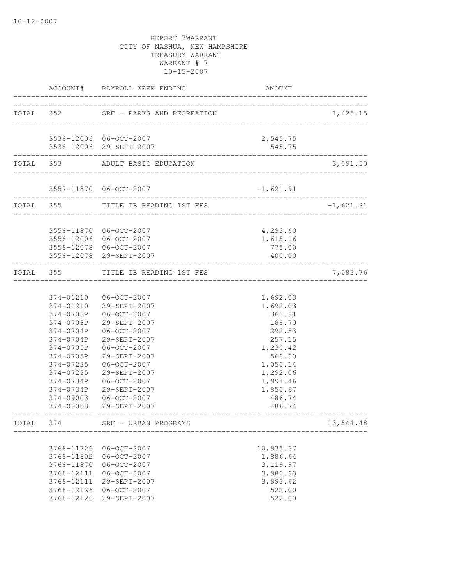|       |                                                                                                                                                          | ACCOUNT# PAYROLL WEEK ENDING                                                                                                                                                                                                              | AMOUNT                                                                                                                                                 |             |
|-------|----------------------------------------------------------------------------------------------------------------------------------------------------------|-------------------------------------------------------------------------------------------------------------------------------------------------------------------------------------------------------------------------------------------|--------------------------------------------------------------------------------------------------------------------------------------------------------|-------------|
|       |                                                                                                                                                          | TOTAL 352 SRF - PARKS AND RECREATION                                                                                                                                                                                                      | ___________________                                                                                                                                    | 1,425.15    |
|       |                                                                                                                                                          | 3538-12006 06-OCT-2007<br>3538-12006 29-SEPT-2007                                                                                                                                                                                         | 2,545.75<br>545.75                                                                                                                                     |             |
|       |                                                                                                                                                          | TOTAL 353 ADULT BASIC EDUCATION                                                                                                                                                                                                           |                                                                                                                                                        | 3,091.50    |
|       |                                                                                                                                                          | 3557-11870 06-OCT-2007                                                                                                                                                                                                                    | $-1,621.91$                                                                                                                                            |             |
|       |                                                                                                                                                          | TOTAL 355 TITLE IB READING 1ST FES                                                                                                                                                                                                        |                                                                                                                                                        | $-1,621.91$ |
|       |                                                                                                                                                          | 3558-11870 06-OCT-2007<br>3558-12006 06-OCT-2007<br>3558-12078 06-OCT-2007<br>3558-12078 29-SEPT-2007                                                                                                                                     | 4,293.60<br>1,615.16<br>775.00<br>400.00                                                                                                               |             |
|       |                                                                                                                                                          | TOTAL 355 TITLE IB READING 1ST FES<br>__________________________                                                                                                                                                                          |                                                                                                                                                        | 7,083.76    |
|       | 374-0703P<br>374-0703P<br>374-0704P<br>374-0704P<br>374-0705P<br>374-0705P<br>374-07235<br>374-07235<br>374-0734P<br>374-0734P<br>374-09003<br>374-09003 | 374-01210 06-OCT-2007<br>374-01210 29-SEPT-2007<br>06-OCT-2007<br>29-SEPT-2007<br>06-OCT-2007<br>29-SEPT-2007<br>06-OCT-2007<br>29-SEPT-2007<br>06-OCT-2007<br>29-SEPT-2007<br>06-OCT-2007<br>29-SEPT-2007<br>06-OCT-2007<br>29-SEPT-2007 | 1,692.03<br>1,692.03<br>361.91<br>188.70<br>292.53<br>257.15<br>1,230.42<br>568.90<br>1,050.14<br>1,292.06<br>1,994.46<br>1,950.67<br>486.74<br>486.74 |             |
| TOTAL | 374                                                                                                                                                      | SRF - URBAN PROGRAMS                                                                                                                                                                                                                      |                                                                                                                                                        | 13,544.48   |
|       | 3768-11726<br>3768-11802<br>3768-11870<br>3768-12111<br>3768-12111<br>3768-12126<br>3768-12126                                                           | $06 - OCT - 2007$<br>$06 - OCT - 2007$<br>$06-0CT-2007$<br>$06 - OCT - 2007$<br>29-SEPT-2007<br>$06 - OCT - 2007$<br>29-SEPT-2007                                                                                                         | 10,935.37<br>1,886.64<br>3, 119.97<br>3,980.93<br>3,993.62<br>522.00<br>522.00                                                                         |             |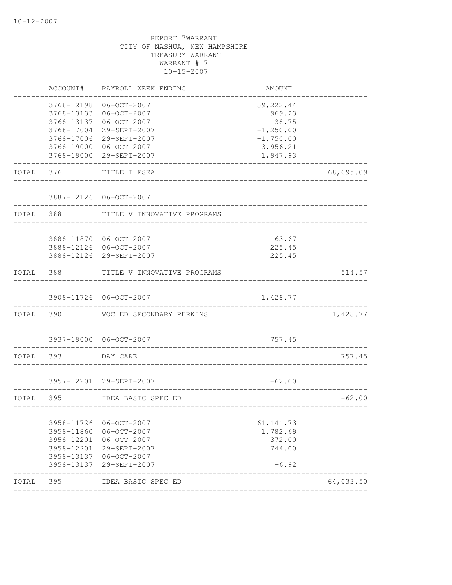|           | ACCOUNT#   | PAYROLL WEEK ENDING         | AMOUNT       |           |
|-----------|------------|-----------------------------|--------------|-----------|
|           | 3768-12198 | 06-OCT-2007                 | 39, 222.44   |           |
|           | 3768-13133 | $06 - OCT - 2007$           | 969.23       |           |
|           | 3768-13137 | $06 - OCT - 2007$           | 38.75        |           |
|           | 3768-17004 | 29-SEPT-2007                | $-1, 250.00$ |           |
|           | 3768-17006 | 29-SEPT-2007                | $-1,750.00$  |           |
|           |            | 3768-19000 06-OCT-2007      | 3,956.21     |           |
|           |            | 3768-19000 29-SEPT-2007     | 1,947.93     |           |
| TOTAL     | 376        | TITLE I ESEA                |              | 68,095.09 |
|           |            | 3887-12126 06-OCT-2007      |              |           |
| TOTAL 388 |            | TITLE V INNOVATIVE PROGRAMS |              |           |
|           |            |                             |              |           |
|           |            | 3888-11870 06-OCT-2007      | 63.67        |           |
|           |            | 3888-12126 06-OCT-2007      | 225.45       |           |
|           |            | 3888-12126 29-SEPT-2007     | 225.45       |           |
| TOTAL 388 |            | TITLE V INNOVATIVE PROGRAMS |              | 514.57    |
|           |            |                             |              |           |
|           |            | 3908-11726 06-OCT-2007      | 1,428.77     |           |
| TOTAL 390 |            | VOC ED SECONDARY PERKINS    |              | 1,428.77  |
|           |            | 3937-19000 06-OCT-2007      | 757.45       |           |
|           |            |                             |              |           |
|           | TOTAL 393  | DAY CARE                    |              | 757.45    |
|           |            |                             |              |           |
|           |            | 3957-12201 29-SEPT-2007     | $-62.00$     |           |
| TOTAL     | 395        | IDEA BASIC SPEC ED          |              | $-62.00$  |
|           | 3958-11726 | $06 - OCT - 2007$           | 61, 141.73   |           |
|           | 3958-11860 | $06-0CT-2007$               | 1,782.69     |           |
|           | 3958-12201 | $06 - OCT - 2007$           | 372.00       |           |
|           | 3958-12201 | 29-SEPT-2007                | 744.00       |           |
|           | 3958-13137 | 06-OCT-2007                 |              |           |
|           | 3958-13137 | 29-SEPT-2007                | $-6.92$      |           |
| TOTAL     | 395        | IDEA BASIC SPEC ED          |              | 64,033.50 |
|           |            | ________________            |              |           |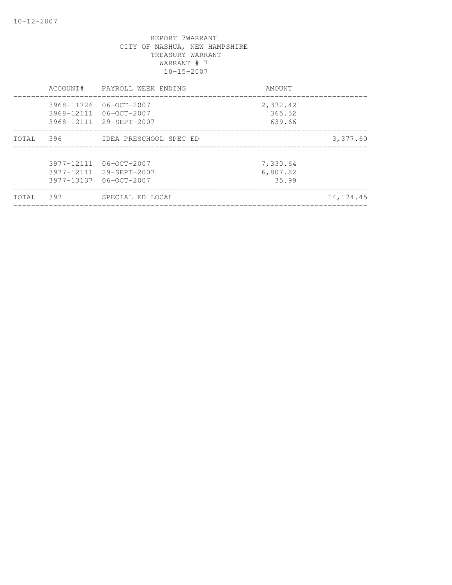|       | ACCOUNT#   | PAYROLL WEEK ENDING                                                         | AMOUNT                        |             |
|-------|------------|-----------------------------------------------------------------------------|-------------------------------|-------------|
|       | 3968-11726 | 06-00T-2007<br>3968-12111 06-OCT-2007<br>3968-12111 29-SEPT-2007            | 2,372.42<br>365.52<br>639.66  |             |
| TOTAL | 396        | IDEA PRESCHOOL SPEC ED                                                      |                               | 3,377.60    |
|       |            | 3977-12111 06-OCT-2007<br>3977-12111 29-SEPT-2007<br>3977-13137 06-OCT-2007 | 7,330.64<br>6,807.82<br>35.99 |             |
| TOTAL | 397        | SPECIAL ED LOCAL                                                            |                               | 14, 174. 45 |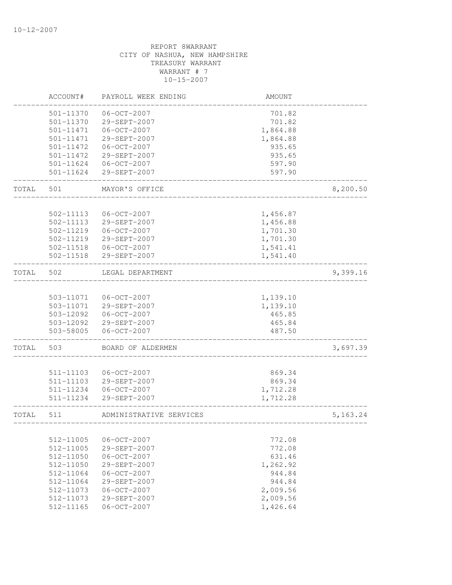|       | ACCOUNT#               | PAYROLL WEEK ENDING               | <b>AMOUNT</b>        |           |
|-------|------------------------|-----------------------------------|----------------------|-----------|
|       | 501-11370              | $06 - OCT - 2007$                 | 701.82               |           |
|       | 501-11370              | 29-SEPT-2007                      | 701.82               |           |
|       | 501-11471              | $06 - OCT - 2007$                 | 1,864.88             |           |
|       | 501-11471              | 29-SEPT-2007                      | 1,864.88             |           |
|       | 501-11472              | $06 - OCT - 2007$                 | 935.65               |           |
|       | $501 - 11472$          | 29-SEPT-2007                      | 935.65               |           |
|       | 501-11624              | $06 - OCT - 2007$                 | 597.90               |           |
|       | 501-11624              | 29-SEPT-2007                      | 597.90               |           |
| TOTAL | 501                    | MAYOR'S OFFICE                    |                      | 8,200.50  |
|       |                        |                                   |                      |           |
|       | 502-11113              | $06 - OCT - 2007$                 | 1,456.87             |           |
|       | 502-11113              | 29-SEPT-2007                      | 1,456.88             |           |
|       | 502-11219              | $06 - OCT - 2007$                 | 1,701.30             |           |
|       | 502-11219              | 29-SEPT-2007                      | 1,701.30             |           |
|       | 502-11518<br>502-11518 | $06 - OCT - 2007$<br>29-SEPT-2007 | 1,541.41<br>1,541.40 |           |
| TOTAL | 502                    |                                   |                      |           |
|       |                        | LEGAL DEPARTMENT                  |                      | 9,399.16  |
|       | 503-11071              | 06-OCT-2007                       | 1,139.10             |           |
|       | 503-11071              | 29-SEPT-2007                      | 1,139.10             |           |
|       | 503-12092              | 06-OCT-2007                       | 465.85               |           |
|       | 503-12092              | 29-SEPT-2007                      | 465.84               |           |
|       | 503-58005              | $06 - OCT - 2007$                 | 487.50               |           |
| TOTAL | 503                    | BOARD OF ALDERMEN                 |                      | 3,697.39  |
|       |                        |                                   |                      |           |
|       | 511-11103              | $06 - OCT - 2007$                 | 869.34               |           |
|       | 511-11103              | 29-SEPT-2007                      | 869.34               |           |
|       | 511-11234<br>511-11234 | $06 - OCT - 2007$                 | 1,712.28             |           |
|       |                        | 29-SEPT-2007                      | 1,712.28             |           |
| TOTAL | 511                    | ADMINISTRATIVE SERVICES           |                      | 5, 163.24 |
|       |                        |                                   |                      |           |
|       | 512-11005              | $06-0CT-2007$                     | 772.08               |           |
|       | 512-11005              | 29-SEPT-2007                      | 772.08               |           |
|       | 512-11050              | $06 - OCT - 2007$                 | 631.46               |           |
|       | 512-11050              | 29-SEPT-2007                      | 1,262.92             |           |
|       | 512-11064              | $06 - OCT - 2007$                 | 944.84               |           |
|       | 512-11064              | 29-SEPT-2007                      | 944.84               |           |
|       | 512-11073<br>512-11073 | $06 - OCT - 2007$                 | 2,009.56             |           |
|       |                        | 29-SEPT-2007                      | 2,009.56             |           |
|       | 512-11165              | $06 - OCT - 2007$                 | 1,426.64             |           |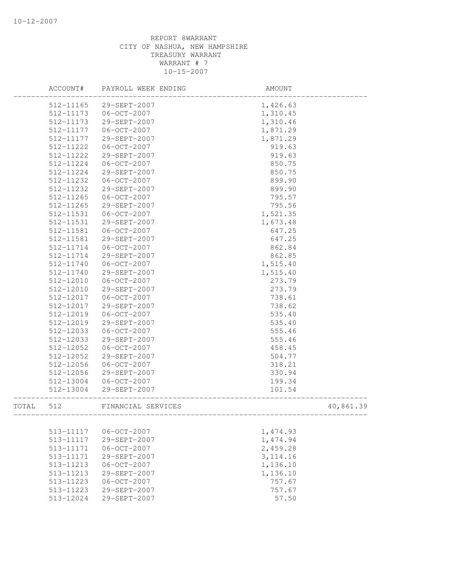|       | ACCOUNT#  | PAYROLL WEEK ENDING | AMOUNT                   |           |
|-------|-----------|---------------------|--------------------------|-----------|
|       | 512-11165 | 29-SEPT-2007        | 1,426.63                 |           |
|       | 512-11173 | $06 - OCT - 2007$   | 1,310.45                 |           |
|       | 512-11173 | 29-SEPT-2007        | 1,310.46                 |           |
|       | 512-11177 | 06-OCT-2007         | 1,871.29                 |           |
|       | 512-11177 | 29-SEPT-2007        | 1,871.29                 |           |
|       | 512-11222 | $06 - OCT - 2007$   | 919.63                   |           |
|       | 512-11222 | 29-SEPT-2007        | 919.63                   |           |
|       | 512-11224 | $06 - OCT - 2007$   | 850.75                   |           |
|       | 512-11224 | 29-SEPT-2007        | 850.75                   |           |
|       | 512-11232 | $06 - OCT - 2007$   | 899.90                   |           |
|       | 512-11232 | 29-SEPT-2007        | 899.90                   |           |
|       | 512-11265 | 06-OCT-2007         | 795.57                   |           |
|       | 512-11265 | 29-SEPT-2007        | 795.56                   |           |
|       | 512-11531 | 06-OCT-2007         | 1,521.35                 |           |
|       | 512-11531 | 29-SEPT-2007        | 1,673.48                 |           |
|       | 512-11581 | 06-OCT-2007         | 647.25                   |           |
|       | 512-11581 | 29-SEPT-2007        | 647.25                   |           |
|       | 512-11714 | 06-OCT-2007         | 862.84                   |           |
|       | 512-11714 | 29-SEPT-2007        | 862.85                   |           |
|       | 512-11740 | $06 - OCT - 2007$   | 1,515.40                 |           |
|       | 512-11740 | 29-SEPT-2007        | 1,515.40                 |           |
|       | 512-12010 | 06-OCT-2007         | 273.79                   |           |
|       | 512-12010 | 29-SEPT-2007        | 273.79                   |           |
|       | 512-12017 | $06 - OCT - 2007$   | 738.61                   |           |
|       | 512-12017 | 29-SEPT-2007        | 738.62                   |           |
|       | 512-12019 | $06 - OCT - 2007$   | 535.40                   |           |
|       | 512-12019 | 29-SEPT-2007        | 535.40                   |           |
|       | 512-12033 | $06 - OCT - 2007$   | 555.46                   |           |
|       | 512-12033 | 29-SEPT-2007        | 555.46                   |           |
|       | 512-12052 | $06 - OCT - 2007$   | 458.45                   |           |
|       | 512-12052 | 29-SEPT-2007        | 504.77                   |           |
|       | 512-12056 | 06-OCT-2007         | 318.21                   |           |
|       | 512-12056 | 29-SEPT-2007        | 330.94                   |           |
|       | 512-13004 | 06-OCT-2007         | 199.34                   |           |
|       | 512-13004 | 29-SEPT-2007        | 101.54                   |           |
| TOTAL | 512       | FINANCIAL SERVICES  | ________________________ | 40,861.39 |
|       | 513-11117 | $06 - OCT - 2007$   |                          |           |
|       | 513-11117 | 29-SEPT-2007        | 1,474.93<br>1,474.94     |           |
|       | 513-11171 | $06 - OCT - 2007$   |                          |           |
|       | 513-11171 | 29-SEPT-2007        | 2,459.28<br>3, 114.16    |           |
|       | 513-11213 | $06 - OCT - 2007$   | 1,136.10                 |           |
|       | 513-11213 | 29-SEPT-2007        | 1,136.10                 |           |
|       | 513-11223 | $06 - OCT - 2007$   | 757.67                   |           |
|       | 513-11223 | 29-SEPT-2007        | 757.67                   |           |
|       |           | $29 - SEPT - 2007$  |                          |           |
|       | 513-12024 |                     | 57.50                    |           |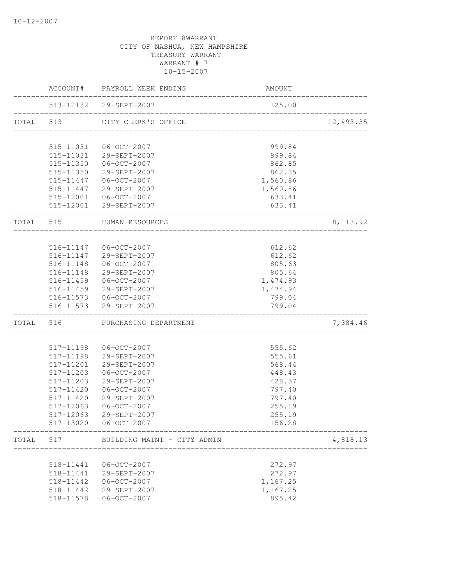|       | ACCOUNT#               | PAYROLL WEEK ENDING                                            | AMOUNT                         |           |
|-------|------------------------|----------------------------------------------------------------|--------------------------------|-----------|
|       |                        | 513-12132 29-SEPT-2007<br>____________________________________ | 125.00                         |           |
|       |                        | TOTAL 513 CITY CLERK'S OFFICE                                  |                                | 12,493.35 |
|       | 515-11031              | 06-OCT-2007                                                    | 999.84                         |           |
|       | 515-11031              | 29-SEPT-2007                                                   | 999.84                         |           |
|       |                        | 515-11350 06-OCT-2007                                          | 862.85                         |           |
|       |                        | 515-11350 29-SEPT-2007                                         | 862.85                         |           |
|       |                        | 515-11447 06-OCT-2007                                          | 1,560.86                       |           |
|       |                        | 515-11447 29-SEPT-2007                                         | 1,560.86                       |           |
|       |                        | 515-12001  06-OCT-2007                                         | 633.41                         |           |
|       |                        | 515-12001 29-SEPT-2007                                         | 633.41                         |           |
|       |                        | TOTAL 515 HUMAN RESOURCES<br>________________________          |                                | 8, 113.92 |
|       |                        |                                                                |                                |           |
|       |                        | 516-11147 06-OCT-2007                                          | 612.62                         |           |
|       |                        | 516-11147 29-SEPT-2007                                         | 612.62                         |           |
|       |                        | 516-11148  06-OCT-2007                                         | 805.63                         |           |
|       |                        | 516-11148 29-SEPT-2007                                         | 805.64                         |           |
|       |                        | 516-11459 06-OCT-2007                                          | 1,474.93                       |           |
|       |                        | 516-11459 29-SEPT-2007                                         | 1,474.94                       |           |
|       |                        | 516-11573 06-OCT-2007                                          | 799.04                         |           |
|       |                        | 516-11573 29-SEPT-2007                                         | 799.04<br>____________________ |           |
|       |                        | TOTAL 516 PURCHASING DEPARTMENT                                |                                | 7,384.46  |
|       |                        |                                                                |                                |           |
|       | 517-11198              | 06-OCT-2007                                                    | 555.62                         |           |
|       | 517-11198              | 29-SEPT-2007                                                   | 555.61                         |           |
|       | 517-11201<br>517-11203 | 29-SEPT-2007                                                   | 568.44<br>448.43               |           |
|       | 517-11203              | $06 - OCT - 2007$<br>29-SEPT-2007                              | 428.57                         |           |
|       | 517-11420              | $06 - OCT - 2007$                                              | 797.40                         |           |
|       | 517-11420              | 29-SEPT-2007                                                   | 797.40                         |           |
|       | 517-12063              | $06 - OCT - 2007$                                              | 255.19                         |           |
|       | 517-12063              | 29-SEPT-2007                                                   | 255.19                         |           |
|       | 517-13020              | 06-OCT-2007                                                    | 156.28                         |           |
| TOTAL | 517                    | BUILDING MAINT - CITY ADMIN                                    |                                | 4,818.13  |
|       |                        |                                                                |                                |           |
|       | 518-11441              | $06 - OCT - 2007$                                              | 272.97                         |           |
|       | 518-11441              | 29-SEPT-2007                                                   | 272.97                         |           |
|       | 518-11442              | $06 - OCT - 2007$                                              | 1,167.25                       |           |
|       | 518-11442              | 29-SEPT-2007                                                   | 1,167.25                       |           |
|       | 518-11578              | $06 - OCT - 2007$                                              | 895.42                         |           |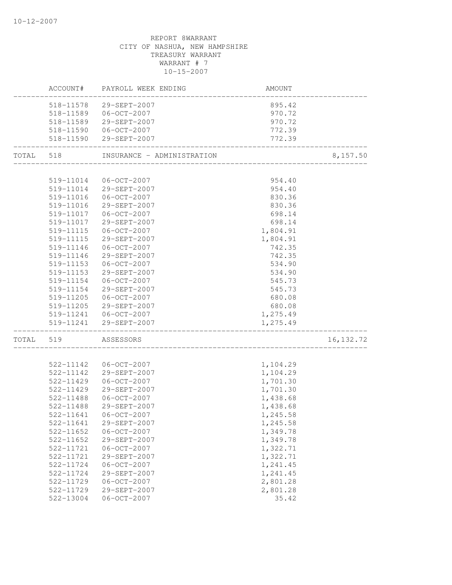|           |                        | ACCOUNT# PAYROLL WEEK ENDING      | AMOUNT                                 |            |
|-----------|------------------------|-----------------------------------|----------------------------------------|------------|
|           | 518-11578              | 29-SEPT-2007                      | 895.42                                 |            |
|           | 518-11589              | 06-OCT-2007                       | 970.72                                 |            |
|           | 518-11589              | 29-SEPT-2007                      | 970.72                                 |            |
|           |                        | 518-11590   06-OCT-2007           | 772.39                                 |            |
|           |                        | 518-11590 29-SEPT-2007            | 772.39                                 |            |
| TOTAL 518 |                        | INSURANCE - ADMINISTRATION        | ______________________________________ | 8,157.50   |
|           |                        |                                   |                                        |            |
|           |                        | 519-11014 06-OCT-2007             | 954.40                                 |            |
|           |                        | 519-11014 29-SEPT-2007            | 954.40                                 |            |
|           |                        | 519-11016 06-OCT-2007             | 830.36                                 |            |
|           | 519-11016              | 29-SEPT-2007                      | 830.36                                 |            |
|           |                        | 519-11017   06-OCT-2007           | 698.14                                 |            |
|           |                        | 519-11017 29-SEPT-2007            | 698.14                                 |            |
|           | 519-11115              | 06-OCT-2007                       | 1,804.91                               |            |
|           | 519-11115              | 29-SEPT-2007                      | 1,804.91                               |            |
|           | 519-11146              | 06-OCT-2007                       | 742.35                                 |            |
|           | 519-11146              | 29-SEPT-2007                      | 742.35                                 |            |
|           | 519-11153              | 06-OCT-2007                       | 534.90                                 |            |
|           | 519-11153              | 29-SEPT-2007                      | 534.90                                 |            |
|           | 519-11154              | $06-0CT-2007$                     | 545.73                                 |            |
|           | 519-11154              | 29-SEPT-2007                      | 545.73                                 |            |
|           | 519-11205              | 06-OCT-2007                       | 680.08                                 |            |
|           |                        | 519-11205 29-SEPT-2007            | 680.08                                 |            |
|           |                        | 519-11241 06-OCT-2007             | 1,275.49                               |            |
|           |                        | 519-11241 29-SEPT-2007            | 1,275.49                               |            |
| TOTAL 519 |                        | ASSESSORS                         |                                        | 16, 132.72 |
|           |                        | 522-11142  06-OCT-2007            | 1,104.29                               |            |
|           |                        | 522-11142 29-SEPT-2007            | 1,104.29                               |            |
|           |                        | 522-11429 06-OCT-2007             | 1,701.30                               |            |
|           |                        | 522-11429 29-SEPT-2007            | 1,701.30                               |            |
|           |                        | 522-11488  06-OCT-2007            | 1,438.68                               |            |
|           | 522-11488              | 29-SEPT-2007                      | 1,438.68                               |            |
|           |                        | 522-11641  06-OCT-2007            | 1,245.58                               |            |
|           | 522-11641              | 29-SEPT-2007                      |                                        |            |
|           | 522-11652              | $06 - OCT - 2007$                 | 1,245.58<br>1,349.78                   |            |
|           |                        |                                   |                                        |            |
|           | 522-11652<br>522-11721 | 29-SEPT-2007<br>$06 - OCT - 2007$ | 1,349.78                               |            |
|           | 522-11721              | 29-SEPT-2007                      | 1,322.71                               |            |
|           |                        |                                   | 1,322.71                               |            |
|           | 522-11724              | $06 - OCT - 2007$                 | 1,241.45                               |            |
|           | 522-11724              | 29-SEPT-2007                      | 1,241.45                               |            |
|           | 522-11729              | $06-0CT-2007$<br>29-SEPT-2007     | 2,801.28                               |            |
|           | 522-11729              |                                   | 2,801.28                               |            |
|           | $522 - 13004$          | $06 - OCT - 2007$                 | 35.42                                  |            |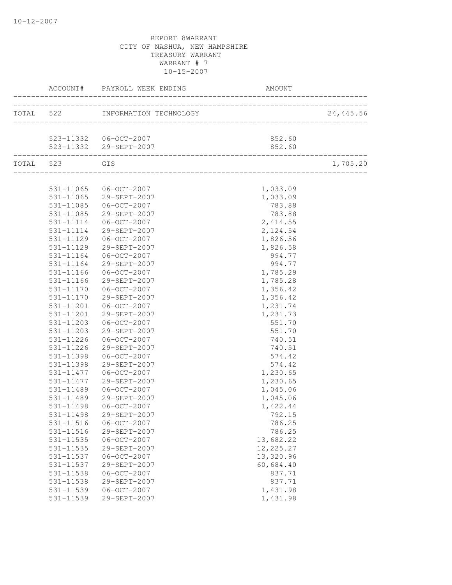|               | ACCOUNT# PAYROLL WEEK ENDING     |            |           |
|---------------|----------------------------------|------------|-----------|
|               | TOTAL 522 INFORMATION TECHNOLOGY |            | 24,445.56 |
|               |                                  |            |           |
|               | 523-11332  06-OCT-2007           | 852.60     |           |
|               | 523-11332 29-SEPT-2007           | 852.60     |           |
| TOTAL 523 GIS |                                  |            | 1,705.20  |
|               |                                  |            |           |
|               | 531-11065 06-OCT-2007            | 1,033.09   |           |
|               | 531-11065 29-SEPT-2007           | 1,033.09   |           |
| 531-11085     | 06-OCT-2007                      | 783.88     |           |
| 531-11085     | 29-SEPT-2007                     | 783.88     |           |
| 531-11114     | 06-OCT-2007                      | 2,414.55   |           |
| 531-11114     | 29-SEPT-2007                     | 2,124.54   |           |
| 531-11129     | $06 - OCT - 2007$                | 1,826.56   |           |
| 531-11129     | 29-SEPT-2007                     | 1,826.58   |           |
| 531-11164     | $06 - OCT - 2007$                | 994.77     |           |
| 531-11164     | 29-SEPT-2007                     | 994.77     |           |
| 531-11166     | $06 - OCT - 2007$                | 1,785.29   |           |
| 531-11166     | 29-SEPT-2007                     | 1,785.28   |           |
| 531-11170     | 06-OCT-2007                      | 1,356.42   |           |
| 531-11170     | 29-SEPT-2007                     | 1,356.42   |           |
| 531-11201     | $06 - OCT - 2007$                | 1,231.74   |           |
| 531-11201     | 29-SEPT-2007                     | 1,231.73   |           |
| 531-11203     | $06 - OCT - 2007$                | 551.70     |           |
| 531-11203     | 29-SEPT-2007                     | 551.70     |           |
| 531-11226     | $06 - OCT - 2007$                | 740.51     |           |
| 531-11226     | 29-SEPT-2007                     | 740.51     |           |
| 531-11398     | $06 - OCT - 2007$                | 574.42     |           |
| 531-11398     | 29-SEPT-2007                     | 574.42     |           |
| 531-11477     | $06 - OCT - 2007$                | 1,230.65   |           |
| 531-11477     | 29-SEPT-2007                     | 1,230.65   |           |
| 531-11489     | $06 - OCT - 2007$                | 1,045.06   |           |
| 531-11489     | 29-SEPT-2007                     | 1,045.06   |           |
| 531-11498     | $06 - OCT - 2007$                | 1,422.44   |           |
| 531-11498     | 29-SEPT-2007                     | 792.15     |           |
| 531-11516     | $06 - OCT - 2007$                | 786.25     |           |
| 531-11516     | 29-SEPT-2007                     | 786.25     |           |
| 531-11535     | $06 - OCT - 2007$                | 13,682.22  |           |
| 531-11535     | 29-SEPT-2007                     | 12, 225.27 |           |
| 531-11537     | $06 - OCT - 2007$                | 13,320.96  |           |
| 531-11537     | 29-SEPT-2007                     | 60,684.40  |           |
| 531-11538     | $06 - OCT - 2007$                | 837.71     |           |
| 531-11538     | 29-SEPT-2007                     | 837.71     |           |
| 531-11539     | $06 - OCT - 2007$                | 1,431.98   |           |
| 531-11539     | 29-SEPT-2007                     | 1,431.98   |           |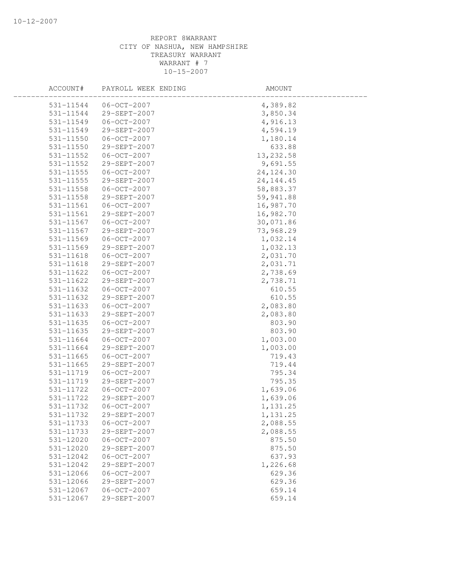| ACCOUNT#      | PAYROLL WEEK ENDING | AMOUNT      |  |
|---------------|---------------------|-------------|--|
| 531-11544     | 06-OCT-2007         | 4,389.82    |  |
| 531-11544     | 29-SEPT-2007        | 3,850.34    |  |
| 531-11549     | 06-OCT-2007         | 4,916.13    |  |
| 531-11549     | 29-SEPT-2007        | 4,594.19    |  |
| 531-11550     | $06 - OCT - 2007$   | 1,180.14    |  |
| 531-11550     | 29-SEPT-2007        | 633.88      |  |
| 531-11552     | $06-0CT-2007$       | 13, 232.58  |  |
| 531-11552     | 29-SEPT-2007        | 9,691.55    |  |
| 531-11555     | $06 - OCT - 2007$   | 24, 124.30  |  |
| 531-11555     | 29-SEPT-2007        | 24, 144. 45 |  |
| 531-11558     | 06-OCT-2007         | 58,883.37   |  |
| 531-11558     | 29-SEPT-2007        | 59,941.88   |  |
| 531-11561     | $06 - OCT - 2007$   | 16,987.70   |  |
| 531-11561     | 29-SEPT-2007        | 16,982.70   |  |
| 531-11567     | $06 - OCT - 2007$   | 30,071.86   |  |
| 531-11567     | 29-SEPT-2007        | 73,968.29   |  |
| 531-11569     | $06 - OCT - 2007$   | 1,032.14    |  |
| 531-11569     | 29-SEPT-2007        | 1,032.13    |  |
| 531-11618     | 06-OCT-2007         | 2,031.70    |  |
| $531 - 11618$ | 29-SEPT-2007        | 2,031.71    |  |
| 531-11622     | 06-OCT-2007         | 2,738.69    |  |
| 531-11622     | 29-SEPT-2007        | 2,738.71    |  |
| 531-11632     | $06 - OCT - 2007$   | 610.55      |  |
| 531-11632     | 29-SEPT-2007        | 610.55      |  |
| 531-11633     | $06-0CT-2007$       | 2,083.80    |  |
| 531-11633     | 29-SEPT-2007        | 2,083.80    |  |
| 531-11635     | $06 - OCT - 2007$   | 803.90      |  |
| 531-11635     | 29-SEPT-2007        | 803.90      |  |
| 531-11664     | $06 - OCT - 2007$   | 1,003.00    |  |
| 531-11664     | 29-SEPT-2007        | 1,003.00    |  |
| 531-11665     | $06 - OCT - 2007$   | 719.43      |  |
| 531-11665     | 29-SEPT-2007        | 719.44      |  |
| 531-11719     | $06 - OCT - 2007$   | 795.34      |  |
| 531-11719     | 29-SEPT-2007        | 795.35      |  |
| 531-11722     | $06 - OCT - 2007$   | 1,639.06    |  |
| 531-11722     | 29-SEPT-2007        | 1,639.06    |  |
| 531-11732     | $06 - OCT - 2007$   | 1,131.25    |  |
| 531-11732     | 29-SEPT-2007        | 1,131.25    |  |
| 531-11733     | $06 - OCT - 2007$   | 2,088.55    |  |
| 531-11733     | 29-SEPT-2007        | 2,088.55    |  |
| 531-12020     | $06 - OCT - 2007$   | 875.50      |  |
| 531-12020     | 29-SEPT-2007        | 875.50      |  |
| 531-12042     | $06 - OCT - 2007$   | 637.93      |  |
| 531-12042     | 29-SEPT-2007        | 1,226.68    |  |
| 531-12066     | $06-0CT-2007$       | 629.36      |  |
| 531-12066     | 29-SEPT-2007        | 629.36      |  |
| 531-12067     | $06 - OCT - 2007$   | 659.14      |  |
| 531-12067     | 29-SEPT-2007        | 659.14      |  |
|               |                     |             |  |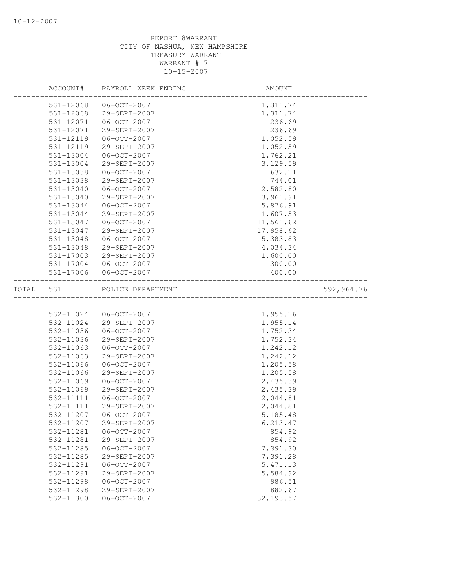|       | ACCOUNT#      | PAYROLL WEEK ENDING           | AMOUNT     |            |
|-------|---------------|-------------------------------|------------|------------|
|       | 531-12068     | $06 - OCT - 2007$             | 1,311.74   |            |
|       | 531-12068     | 29-SEPT-2007                  | 1,311.74   |            |
|       | 531-12071     | $06 - OCT - 2007$             | 236.69     |            |
|       | 531-12071     | 29-SEPT-2007                  | 236.69     |            |
|       | 531-12119     | $06 - OCT - 2007$             | 1,052.59   |            |
|       | 531-12119     | 29-SEPT-2007                  | 1,052.59   |            |
|       | 531-13004     | $06 - OCT - 2007$             | 1,762.21   |            |
|       | 531-13004     | 29-SEPT-2007                  | 3,129.59   |            |
|       | 531-13038     | $06-0CT-2007$                 | 632.11     |            |
|       | 531-13038     | 29-SEPT-2007                  | 744.01     |            |
|       | 531-13040     | $06 - OCT - 2007$             | 2,582.80   |            |
|       | 531-13040     | 29-SEPT-2007                  | 3,961.91   |            |
|       | 531-13044     | $06-0CT-2007$                 | 5,876.91   |            |
|       | 531-13044     | 29-SEPT-2007                  | 1,607.53   |            |
|       | 531-13047     | $06 - OCT - 2007$             | 11,561.62  |            |
|       | 531-13047     | 29-SEPT-2007                  | 17,958.62  |            |
|       | 531-13048     | $06-0CT-2007$                 | 5,383.83   |            |
|       | $531 - 13048$ | 29-SEPT-2007                  | 4,034.34   |            |
|       | 531-17003     | 29-SEPT-2007                  | 1,600.00   |            |
|       | 531-17004     | $06 - OCT - 2007$             | 300.00     |            |
|       | 531-17006     | $06-0CT-2007$                 | 400.00     |            |
|       |               |                               |            |            |
| TOTAL | 531           | POLICE DEPARTMENT             |            | 592,964.76 |
|       |               |                               |            |            |
|       | 532-11024     | $06-0CT-2007$                 | 1,955.16   |            |
|       | 532-11024     | 29-SEPT-2007                  | 1,955.14   |            |
|       | 532-11036     | $06 - OCT - 2007$             | 1,752.34   |            |
|       | 532-11036     | 29-SEPT-2007                  | 1,752.34   |            |
|       | 532-11063     | $06 - OCT - 2007$             | 1,242.12   |            |
|       | 532-11063     | 29-SEPT-2007                  | 1,242.12   |            |
|       | 532-11066     | $06 - OCT - 2007$             | 1,205.58   |            |
|       | 532-11066     | 29-SEPT-2007                  | 1,205.58   |            |
|       | 532-11069     | $06 - OCT - 2007$             | 2,435.39   |            |
|       | 532-11069     | 29-SEPT-2007                  | 2,435.39   |            |
|       | 532-11111     | $06 - OCT - 2007$             | 2,044.81   |            |
|       | 532-11111     | 29-SEPT-2007                  | 2,044.81   |            |
|       | 532-11207     | $06 - OCT - 2007$             | 5, 185.48  |            |
|       | 532-11207     | 29-SEPT-2007                  | 6,213.47   |            |
|       | 532-11281     | $06-0CT-2007$                 | 854.92     |            |
|       | 532-11281     | 29-SEPT-2007                  | 854.92     |            |
|       | 532-11285     | $06 - OCT - 2007$             | 7,391.30   |            |
|       | 532-11285     | 29-SEPT-2007                  | 7,391.28   |            |
|       |               |                               |            |            |
|       | 532-11291     | $06-0CT-2007$<br>29-SEPT-2007 | 5, 471.13  |            |
|       | 532-11291     |                               | 5,584.92   |            |
|       | 532-11298     | $06 - OCT - 2007$             | 986.51     |            |
|       | 532-11298     | 29-SEPT-2007                  | 882.67     |            |
|       | 532-11300     | $06 - OCT - 2007$             | 32, 193.57 |            |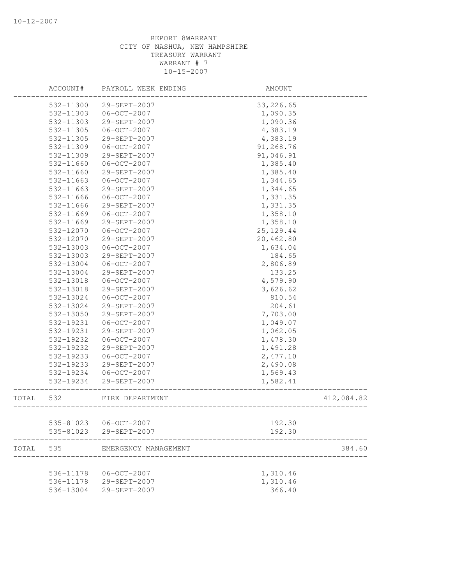|       | ACCOUNT#  | PAYROLL WEEK ENDING  | AMOUNT     |            |
|-------|-----------|----------------------|------------|------------|
|       | 532-11300 | 29-SEPT-2007         | 33, 226.65 |            |
|       | 532-11303 | $06 - OCT - 2007$    | 1,090.35   |            |
|       | 532-11303 | 29-SEPT-2007         | 1,090.36   |            |
|       | 532-11305 | $06 - OCT - 2007$    | 4,383.19   |            |
|       | 532-11305 | 29-SEPT-2007         | 4,383.19   |            |
|       | 532-11309 | $06 - OCT - 2007$    | 91,268.76  |            |
|       | 532-11309 | 29-SEPT-2007         | 91,046.91  |            |
|       | 532-11660 | $06 - OCT - 2007$    | 1,385.40   |            |
|       | 532-11660 | 29-SEPT-2007         | 1,385.40   |            |
|       | 532-11663 | $06-0CT-2007$        | 1,344.65   |            |
|       | 532-11663 | 29-SEPT-2007         | 1,344.65   |            |
|       | 532-11666 | $06 - OCT - 2007$    | 1,331.35   |            |
|       | 532-11666 | 29-SEPT-2007         | 1,331.35   |            |
|       | 532-11669 | $06 - OCT - 2007$    | 1,358.10   |            |
|       | 532-11669 | 29-SEPT-2007         | 1,358.10   |            |
|       | 532-12070 | $06 - OCT - 2007$    | 25, 129.44 |            |
|       | 532-12070 | 29-SEPT-2007         | 20,462.80  |            |
|       | 532-13003 | $06 - OCT - 2007$    | 1,634.04   |            |
|       | 532-13003 | 29-SEPT-2007         | 184.65     |            |
|       | 532-13004 | $06 - OCT - 2007$    | 2,806.89   |            |
|       | 532-13004 | 29-SEPT-2007         | 133.25     |            |
|       | 532-13018 | $06 - OCT - 2007$    | 4,579.90   |            |
|       | 532-13018 | 29-SEPT-2007         | 3,626.62   |            |
|       | 532-13024 | $06 - OCT - 2007$    | 810.54     |            |
|       | 532-13024 | 29-SEPT-2007         | 204.61     |            |
|       | 532-13050 | 29-SEPT-2007         | 7,703.00   |            |
|       | 532-19231 | $06 - OCT - 2007$    | 1,049.07   |            |
|       | 532-19231 | 29-SEPT-2007         | 1,062.05   |            |
|       | 532-19232 | $06 - OCT - 2007$    | 1,478.30   |            |
|       | 532-19232 | 29-SEPT-2007         | 1,491.28   |            |
|       | 532-19233 | $06 - OCT - 2007$    | 2,477.10   |            |
|       | 532-19233 | 29-SEPT-2007         | 2,490.08   |            |
|       | 532-19234 | $06 - OCT - 2007$    | 1,569.43   |            |
|       | 532-19234 | 29-SEPT-2007         | 1,582.41   |            |
| TOTAL | 532       | FIRE DEPARTMENT      |            | 412,084.82 |
|       | 535-81023 | $06 - OCT - 2007$    | 192.30     |            |
|       | 535-81023 | 29-SEPT-2007         | 192.30     |            |
|       |           |                      |            |            |
| TOTAL | 535       | EMERGENCY MANAGEMENT |            | 384.60     |
|       | 536-11178 | $06 - OCT - 2007$    | 1,310.46   |            |
|       | 536-11178 | 29-SEPT-2007         | 1,310.46   |            |
|       | 536-13004 | 29-SEPT-2007         | 366.40     |            |
|       |           |                      |            |            |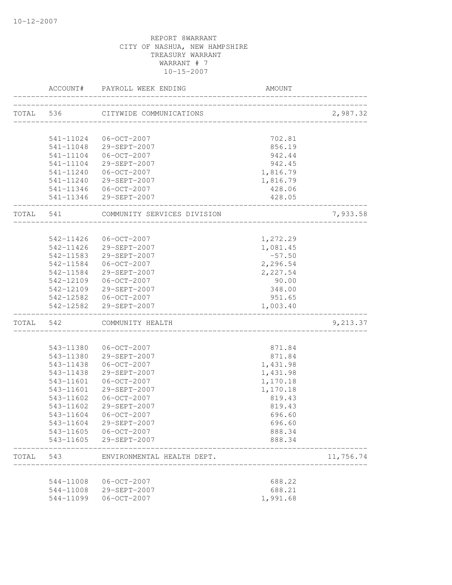|           |           | ACCOUNT# PAYROLL WEEK ENDING                    | AMOUNT                      |           |
|-----------|-----------|-------------------------------------------------|-----------------------------|-----------|
|           | TOTAL 536 | CITYWIDE COMMUNICATIONS                         | --------------------------- | 2,987.32  |
|           |           |                                                 |                             |           |
|           | 541-11024 | $06 - OCT - 2007$                               | 702.81                      |           |
|           |           | 541-11048 29-SEPT-2007                          | 856.19                      |           |
|           | 541-11104 | $06 - OCT - 2007$                               | 942.44                      |           |
|           | 541-11104 | 29-SEPT-2007                                    | 942.45                      |           |
|           | 541-11240 | $06 - OCT - 2007$                               | 1,816.79                    |           |
|           |           | 541-11240 29-SEPT-2007                          | 1,816.79                    |           |
|           |           | 541-11346 06-OCT-2007                           | 428.06                      |           |
|           |           | 541-11346 29-SEPT-2007                          | 428.05<br>_____________     |           |
| TOTAL 541 |           | COMMUNITY SERVICES DIVISION                     |                             | 7,933.58  |
|           | 542-11426 | 06-OCT-2007                                     | 1,272.29                    |           |
|           |           | 542-11426 29-SEPT-2007                          | 1,081.45                    |           |
|           |           | 542-11583 29-SEPT-2007                          | $-57.50$                    |           |
|           |           | 542-11584 06-OCT-2007                           | 2,296.54                    |           |
|           |           | 542-11584 29-SEPT-2007                          | 2,227.54                    |           |
|           |           | 542-12109 06-OCT-2007                           | 90.00                       |           |
|           |           | 542-12109 29-SEPT-2007                          | 348.00                      |           |
|           |           | 542-12582 06-OCT-2007                           | 951.65                      |           |
|           |           | 542-12582 29-SEPT-2007                          | 1,003.40                    |           |
|           |           | TOTAL 542 COMMUNITY HEALTH                      |                             | 9,213.37  |
|           |           |                                                 |                             |           |
|           | 543-11380 | $06 - OCT - 2007$                               | 871.84                      |           |
|           |           | 543-11380 29-SEPT-2007                          | 871.84                      |           |
|           | 543-11438 | 06-OCT-2007                                     | 1,431.98                    |           |
|           | 543-11438 | 29-SEPT-2007                                    | 1,431.98                    |           |
|           | 543-11601 | $06 - OCT - 2007$                               | 1,170.18                    |           |
|           | 543-11601 | 29-SEPT-2007                                    | 1,170.18                    |           |
|           | 543-11602 | 06-OCT-2007                                     | 819.43                      |           |
|           | 543-11602 | 29-SEPT-2007                                    | 819.43                      |           |
|           |           | 543-11604 06-OCT-2007                           | 696.60                      |           |
|           |           | 543-11604 29-SEPT-2007                          | 696.60                      |           |
|           |           | 543-11605 06-OCT-2007<br>543-11605 29-SEPT-2007 | 888.34<br>888.34            |           |
|           |           | TOTAL 543 ENVIRONMENTAL HEALTH DEPT.            |                             | 11,756.74 |
|           |           |                                                 |                             |           |
|           |           | 544-11008 06-OCT-2007                           | 688.22                      |           |
|           |           | 544-11008 29-SEPT-2007                          | 688.21                      |           |
|           | 544-11099 | $06 - OCT - 2007$                               | 1,991.68                    |           |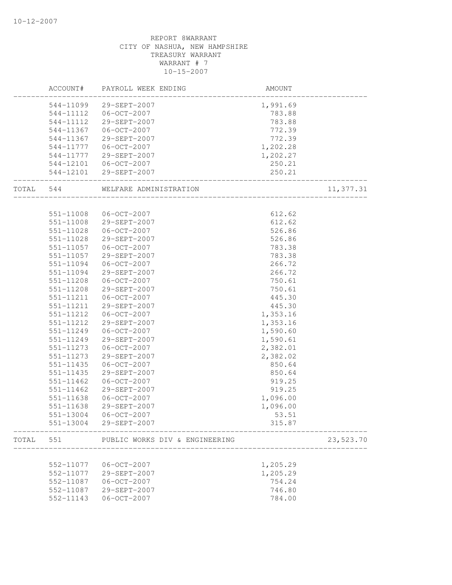|       | ACCOUNT#  | PAYROLL WEEK ENDING            | AMOUNT   |           |
|-------|-----------|--------------------------------|----------|-----------|
|       |           | 544-11099 29-SEPT-2007         | 1,991.69 |           |
|       | 544-11112 | 06-OCT-2007                    | 783.88   |           |
|       | 544-11112 | 29-SEPT-2007                   | 783.88   |           |
|       | 544-11367 | 06-OCT-2007                    | 772.39   |           |
|       | 544-11367 | 29-SEPT-2007                   | 772.39   |           |
|       | 544-11777 | $06 - OCT - 2007$              | 1,202.28 |           |
|       | 544-11777 | 29-SEPT-2007                   | 1,202.27 |           |
|       |           | 544-12101 06-OCT-2007          | 250.21   |           |
|       |           | 544-12101 29-SEPT-2007         | 250.21   |           |
| TOTAL | 544       | WELFARE ADMINISTRATION         |          | 11,377.31 |
|       |           |                                |          |           |
|       | 551-11008 | 06-OCT-2007                    | 612.62   |           |
|       | 551-11008 | 29-SEPT-2007                   | 612.62   |           |
|       | 551-11028 | $06 - OCT - 2007$              | 526.86   |           |
|       | 551-11028 | 29-SEPT-2007                   | 526.86   |           |
|       | 551-11057 | 06-OCT-2007                    | 783.38   |           |
|       | 551-11057 | 29-SEPT-2007                   | 783.38   |           |
|       | 551-11094 | 06-OCT-2007                    | 266.72   |           |
|       | 551-11094 | 29-SEPT-2007                   | 266.72   |           |
|       | 551-11208 | $06 - OCT - 2007$              | 750.61   |           |
|       | 551-11208 | 29-SEPT-2007                   | 750.61   |           |
|       | 551-11211 | $06 - OCT - 2007$              | 445.30   |           |
|       | 551-11211 | 29-SEPT-2007                   | 445.30   |           |
|       | 551-11212 | $06 - OCT - 2007$              | 1,353.16 |           |
|       | 551-11212 | 29-SEPT-2007                   | 1,353.16 |           |
|       | 551-11249 | 06-OCT-2007                    | 1,590.60 |           |
|       | 551-11249 | 29-SEPT-2007                   | 1,590.61 |           |
|       | 551-11273 | $06 - OCT - 2007$              | 2,382.01 |           |
|       | 551-11273 | 29-SEPT-2007                   | 2,382.02 |           |
|       | 551-11435 | $06 - OCT - 2007$              | 850.64   |           |
|       | 551-11435 | 29-SEPT-2007                   | 850.64   |           |
|       | 551-11462 | $06 - OCT - 2007$              | 919.25   |           |
|       | 551-11462 | 29-SEPT-2007                   | 919.25   |           |
|       | 551-11638 | 06-OCT-2007                    | 1,096.00 |           |
|       | 551-11638 | 29-SEPT-2007                   | 1,096.00 |           |
|       | 551-13004 | $06-0CT-2007$                  | 53.51    |           |
|       | 551-13004 | 29-SEPT-2007                   | 315.87   |           |
| TOTAL | 551       | PUBLIC WORKS DIV & ENGINEERING |          | 23,523.70 |
|       |           |                                |          |           |
|       | 552-11077 | $06 - OCT - 2007$              | 1,205.29 |           |
|       | 552-11077 | 29-SEPT-2007                   | 1,205.29 |           |
|       | 552-11087 | $06 - OCT - 2007$              | 754.24   |           |
|       | 552-11087 | 29-SEPT-2007                   | 746.80   |           |
|       | 552-11143 | $06 - OCT - 2007$              | 784.00   |           |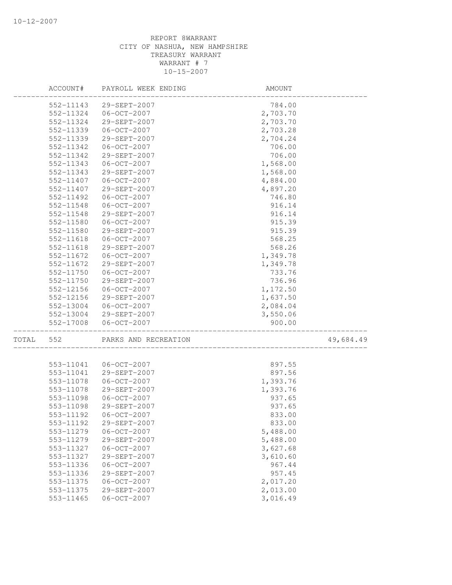|       | ACCOUNT#               | PAYROLL WEEK ENDING               | AMOUNT               |           |
|-------|------------------------|-----------------------------------|----------------------|-----------|
|       | 552-11143              | 29-SEPT-2007                      | 784.00               |           |
|       | 552-11324              | 06-OCT-2007                       | 2,703.70             |           |
|       | 552-11324              | 29-SEPT-2007                      | 2,703.70             |           |
|       | 552-11339              | $06 - OCT - 2007$                 | 2,703.28             |           |
|       | 552-11339              | 29-SEPT-2007                      | 2,704.24             |           |
|       | 552-11342              | $06 - OCT - 2007$                 | 706.00               |           |
|       | 552-11342              | 29-SEPT-2007                      | 706.00               |           |
|       | 552-11343              | $06 - 0CT - 2007$                 | 1,568.00             |           |
|       | 552-11343              | 29-SEPT-2007                      | 1,568.00             |           |
|       | 552-11407              | $06 - OCT - 2007$                 | 4,884.00             |           |
|       | 552-11407              | 29-SEPT-2007                      | 4,897.20             |           |
|       | 552-11492              | $06 - OCT - 2007$                 | 746.80               |           |
|       | 552-11548              | $06 - OCT - 2007$                 | 916.14               |           |
|       | 552-11548              | 29-SEPT-2007                      | 916.14               |           |
|       | 552-11580              | $06 - OCT - 2007$                 | 915.39               |           |
|       | 552-11580              | 29-SEPT-2007                      | 915.39               |           |
|       | 552-11618              | $06 - OCT - 2007$                 | 568.25               |           |
|       | 552-11618              | 29-SEPT-2007                      | 568.26               |           |
|       | 552-11672              | $06 - OCT - 2007$                 | 1,349.78             |           |
|       | 552-11672              | 29-SEPT-2007                      | 1,349.78             |           |
|       | 552-11750              | $06 - OCT - 2007$                 | 733.76               |           |
|       | 552-11750              | 29-SEPT-2007                      | 736.96               |           |
|       | 552-12156              | $06 - OCT - 2007$                 | 1,172.50             |           |
|       | 552-12156              | 29-SEPT-2007                      | 1,637.50             |           |
|       | 552-13004              | $06 - OCT - 2007$                 | 2,084.04             |           |
|       | 552-13004              | 29-SEPT-2007                      | 3,550.06             |           |
|       | 552-17008              | $06 - OCT - 2007$                 | 900.00               |           |
| TOTAL | 552                    | PARKS AND RECREATION              |                      | 49,684.49 |
|       |                        |                                   |                      |           |
|       | 553-11041              | $06 - OCT - 2007$                 | 897.55               |           |
|       | 553-11041              | 29-SEPT-2007                      | 897.56               |           |
|       | 553-11078              | $06 - OCT - 2007$                 | 1,393.76             |           |
|       | 553-11078              | 29-SEPT-2007                      | 1,393.76             |           |
|       | 553-11098              | $06 - OCT - 2007$                 | 937.65               |           |
|       | 553-11098              | 29-SEPT-2007                      | 937.65               |           |
|       | 553-11192              | $06 - OCT - 2007$                 | 833.00               |           |
|       | 553-11192              | 29-SEPT-2007                      | 833.00               |           |
|       | 553-11279              | $06 - OCT - 2007$                 | 5,488.00             |           |
|       | 553-11279<br>553-11327 | 29-SEPT-2007<br>$06 - OCT - 2007$ | 5,488.00<br>3,627.68 |           |
|       | 553-11327              | 29-SEPT-2007                      | 3,610.60             |           |
|       | 553-11336              | $06 - OCT - 2007$                 | 967.44               |           |
|       | 553-11336              | 29-SEPT-2007                      | 957.45               |           |
|       | 553-11375              | $06 - OCT - 2007$                 | 2,017.20             |           |
|       | 553-11375              | 29-SEPT-2007                      | 2,013.00             |           |
|       | 553-11465              | $06 - OCT - 2007$                 | 3,016.49             |           |
|       |                        |                                   |                      |           |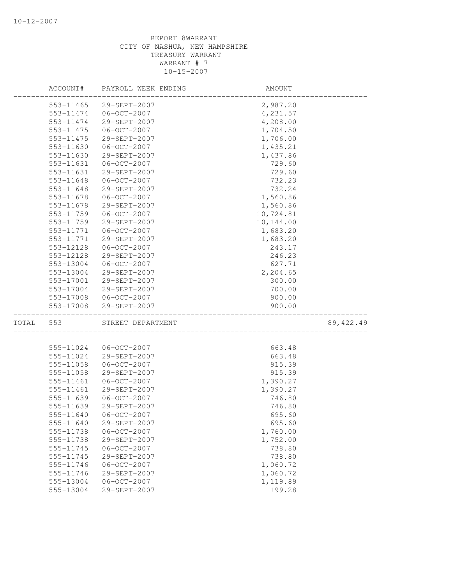|       | ACCOUNT#               | PAYROLL WEEK ENDING | AMOUNT    |            |
|-------|------------------------|---------------------|-----------|------------|
|       | 553-11465              | 29-SEPT-2007        | 2,987.20  |            |
|       | 553-11474              | $06 - OCT - 2007$   | 4,231.57  |            |
|       | 553-11474              | 29-SEPT-2007        | 4,208.00  |            |
|       | 553-11475              | $06 - OCT - 2007$   | 1,704.50  |            |
|       | 553-11475              | 29-SEPT-2007        | 1,706.00  |            |
|       | 553-11630              | $06 - OCT - 2007$   | 1,435.21  |            |
|       | 553-11630              | 29-SEPT-2007        | 1,437.86  |            |
|       | 553-11631              | $06 - OCT - 2007$   | 729.60    |            |
|       | 553-11631              | 29-SEPT-2007        | 729.60    |            |
|       | 553-11648              | $06 - OCT - 2007$   | 732.23    |            |
|       | 553-11648              | 29-SEPT-2007        | 732.24    |            |
|       | 553-11678              | $06 - OCT - 2007$   | 1,560.86  |            |
|       | 553-11678              | 29-SEPT-2007        | 1,560.86  |            |
|       | 553-11759              | $06 - OCT - 2007$   | 10,724.81 |            |
|       | 553-11759              | 29-SEPT-2007        | 10,144.00 |            |
|       | 553-11771              | $06 - OCT - 2007$   | 1,683.20  |            |
|       | 553-11771              | 29-SEPT-2007        | 1,683.20  |            |
|       | 553-12128              | $06 - OCT - 2007$   | 243.17    |            |
|       | 553-12128              | 29-SEPT-2007        | 246.23    |            |
|       | 553-13004              | $06 - OCT - 2007$   | 627.71    |            |
|       | 553-13004              | 29-SEPT-2007        | 2,204.65  |            |
|       | 553-17001              | 29-SEPT-2007        | 300.00    |            |
|       | 553-17004              | 29-SEPT-2007        | 700.00    |            |
|       | 553-17008              | 06-OCT-2007         | 900.00    |            |
|       | 553-17008              | 29-SEPT-2007        | 900.00    |            |
| TOTAL | 553                    | STREET DEPARTMENT   |           | 89, 422.49 |
|       |                        |                     |           |            |
|       | 555-11024              | $06 - OCT - 2007$   | 663.48    |            |
|       | 555-11024              | 29-SEPT-2007        | 663.48    |            |
|       | 555-11058              | $06 - OCT - 2007$   | 915.39    |            |
|       | 555-11058              | 29-SEPT-2007        | 915.39    |            |
|       | 555-11461              | $06 - OCT - 2007$   | 1,390.27  |            |
|       | 555-11461              | 29-SEPT-2007        | 1,390.27  |            |
|       | 555-11639              | $06 - OCT - 2007$   | 746.80    |            |
|       | 555-11639              | 29-SEPT-2007        | 746.80    |            |
|       | 555-11640              | $06 - OCT - 2007$   | 695.60    |            |
|       | 555-11640              | 29-SEPT-2007        | 695.60    |            |
|       | 555-11738              | $06-0CT-2007$       | 1,760.00  |            |
|       | 555-11738              | 29-SEPT-2007        | 1,752.00  |            |
|       | 555-11745              | $06 - OCT - 2007$   | 738.80    |            |
|       | 555-11745              | 29-SEPT-2007        | 738.80    |            |
|       | 555-11746              | $06 - OCT - 2007$   | 1,060.72  |            |
|       | 555-11746<br>555-13004 | 29-SEPT-2007        | 1,060.72  |            |
|       |                        | $06 - OCT - 2007$   | 1,119.89  |            |
|       | 555-13004              | 29-SEPT-2007        | 199.28    |            |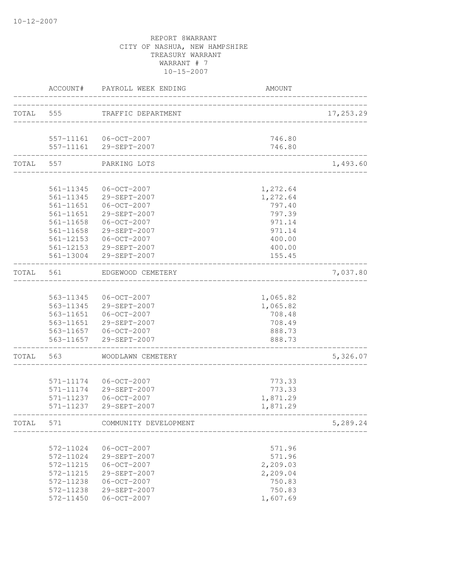|           | ACCOUNT#      | PAYROLL WEEK ENDING                             | AMOUNT               |           |
|-----------|---------------|-------------------------------------------------|----------------------|-----------|
|           | TOTAL 555     | TRAFFIC DEPARTMENT                              | -------------------  | 17,253.29 |
|           |               |                                                 |                      |           |
|           |               | 557-11161 06-OCT-2007<br>557-11161 29-SEPT-2007 | 746.80<br>746.80     |           |
|           |               |                                                 |                      |           |
| TOTAL     | 557           | PARKING LOTS                                    |                      | 1,493.60  |
|           |               |                                                 |                      |           |
|           | 561-11345     | 06-OCT-2007                                     | 1,272.64             |           |
|           |               | 561-11345 29-SEPT-2007                          | 1,272.64             |           |
|           | 561-11651     | 561-11651   06-OCT-2007<br>29-SEPT-2007         | 797.40<br>797.39     |           |
|           | $561 - 11658$ | 06-OCT-2007                                     | 971.14               |           |
|           | 561-11658     | 29-SEPT-2007                                    | 971.14               |           |
|           | 561-12153     | $06 - OCT - 2007$                               | 400.00               |           |
|           | 561-12153     | 29-SEPT-2007                                    | 400.00               |           |
|           | 561-13004     | 29-SEPT-2007                                    | 155.45               |           |
| TOTAL     | 561           | EDGEWOOD CEMETERY                               | ____________________ | 7,037.80  |
|           |               |                                                 |                      |           |
|           |               | 563-11345 06-OCT-2007                           | 1,065.82             |           |
|           |               | 563-11345 29-SEPT-2007                          | 1,065.82             |           |
|           |               | 563-11651 06-OCT-2007                           | 708.48               |           |
|           | 563-11651     | 29-SEPT-2007                                    | 708.49               |           |
|           |               | 563-11657 06-OCT-2007                           | 888.73               |           |
|           | 563-11657     | 29-SEPT-2007                                    | 888.73               |           |
| TOTAL 563 |               | WOODLAWN CEMETERY                               |                      | 5,326.07  |
|           |               |                                                 |                      |           |
|           | 571-11174     | 06-OCT-2007                                     | 773.33               |           |
|           | 571-11174     | 29-SEPT-2007                                    | 773.33               |           |
|           | 571-11237     | $06 - OCT - 2007$                               | 1,871.29             |           |
|           | 571-11237     | 29-SEPT-2007<br>---------------                 | 1,871.29             |           |
| TOTAL     | 571           | COMMUNITY DEVELOPMENT                           |                      | 5,289.24  |
|           |               |                                                 |                      |           |
|           | 572-11024     | $06 - OCT - 2007$                               | 571.96               |           |
|           | 572-11024     | 29-SEPT-2007                                    | 571.96               |           |
|           | 572-11215     | $06 - OCT - 2007$                               | 2,209.03             |           |
|           | 572-11215     | 29-SEPT-2007                                    | 2,209.04             |           |
|           | 572-11238     | $06-0CT-2007$                                   | 750.83               |           |
|           | 572-11238     | 29-SEPT-2007                                    | 750.83               |           |
|           | 572-11450     | $06-0CT-2007$                                   | 1,607.69             |           |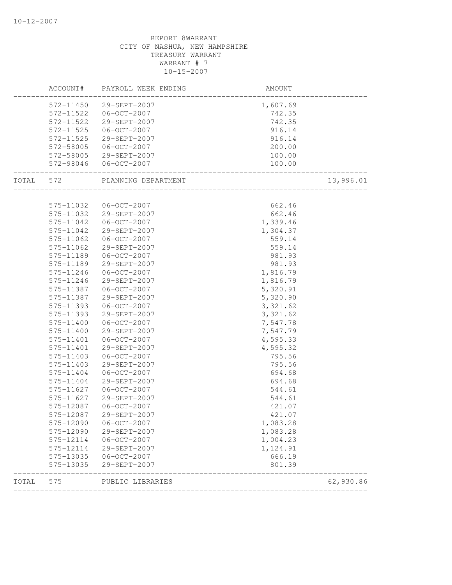|           |                        | ACCOUNT# PAYROLL WEEK ENDING | AMOUNT                                            |           |
|-----------|------------------------|------------------------------|---------------------------------------------------|-----------|
|           |                        | 572-11450 29-SEPT-2007       | 1,607.69                                          |           |
|           | 572-11522              | $06 - OCT - 2007$            | 742.35                                            |           |
|           | 572-11522              | 29-SEPT-2007                 | 742.35                                            |           |
|           | 572-11525              | 06-OCT-2007                  | 916.14                                            |           |
|           | 572-11525              | 29-SEPT-2007                 | 916.14                                            |           |
|           | 572-58005              | $06 - OCT - 2007$            | 200.00                                            |           |
|           |                        | 572-58005 29-SEPT-2007       | 100.00                                            |           |
|           |                        | 572-98046 06-OCT-2007        | 100.00<br>. 100<br>------------------------------ |           |
| TOTAL 572 |                        | PLANNING DEPARTMENT          | ________________________                          | 13,996.01 |
|           |                        |                              |                                                   |           |
|           | 575-11032              | 06-OCT-2007                  | 662.46                                            |           |
|           | 575-11032              | 29-SEPT-2007                 | 662.46                                            |           |
|           | 575-11042              | $06 - OCT - 2007$            | 1,339.46                                          |           |
|           | 575-11042              | 29-SEPT-2007                 | 1,304.37                                          |           |
|           | 575-11062              | $06 - OCT - 2007$            | 559.14<br>559.14                                  |           |
|           | 575-11062<br>575-11189 | 29-SEPT-2007                 |                                                   |           |
|           |                        | 06-OCT-2007                  | 981.93                                            |           |
|           | 575-11189              | 29-SEPT-2007                 | 981.93                                            |           |
|           | 575-11246<br>575-11246 | 06-OCT-2007<br>29-SEPT-2007  | 1,816.79                                          |           |
|           | 575-11387              | $06 - OCT - 2007$            | 1,816.79<br>5,320.91                              |           |
|           | 575-11387              | 29-SEPT-2007                 | 5,320.90                                          |           |
|           | 575-11393              | $06-0CT-2007$                | 3,321.62                                          |           |
|           | 575-11393              | 29-SEPT-2007                 | 3,321.62                                          |           |
|           | 575-11400              | $06 - OCT - 2007$            | 7,547.78                                          |           |
|           | 575-11400              | 29-SEPT-2007                 | 7,547.79                                          |           |
|           | 575-11401              | $06 - OCT - 2007$            | 4,595.33                                          |           |
|           | 575-11401              | 29-SEPT-2007                 | 4,595.32                                          |           |
|           | 575-11403              | $06 - OCT - 2007$            | 795.56                                            |           |
|           | 575-11403              | 29-SEPT-2007                 | 795.56                                            |           |
|           | 575-11404              | 06-OCT-2007                  | 694.68                                            |           |
|           | 575-11404              | 29-SEPT-2007                 | 694.68                                            |           |
|           | 575-11627              | $06 - OCT - 2007$            | 544.61                                            |           |
|           | $575 - 11627$          | $29 - SEPT - 2007$           | 544.61                                            |           |
|           | 575-12087              | $06 - OCT - 2007$            | 421.07                                            |           |
|           | 575-12087              | 29-SEPT-2007                 | 421.07                                            |           |
|           | 575-12090              | $06 - OCT - 2007$            | 1,083.28                                          |           |
|           | 575-12090              | 29-SEPT-2007                 | 1,083.28                                          |           |
|           | 575-12114              | $06 - OCT - 2007$            | 1,004.23                                          |           |
|           | 575-12114              | 29-SEPT-2007                 | 1,124.91                                          |           |
|           | 575-13035              | $06-0CT-2007$                | 666.19                                            |           |
|           | 575-13035              | 29-SEPT-2007                 | 801.39                                            |           |
| TOTAL     | 575                    | PUBLIC LIBRARIES             |                                                   | 62,930.86 |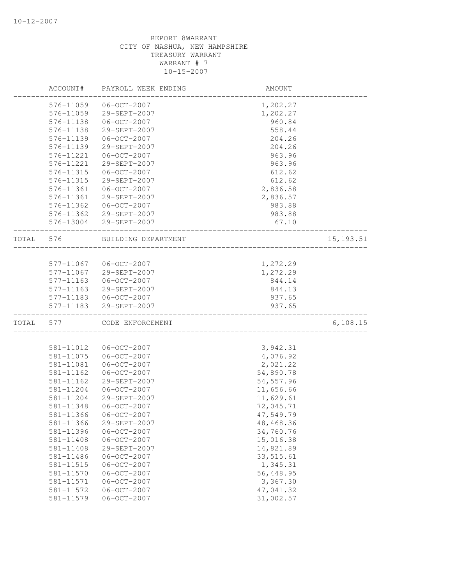|       | ACCOUNT#      | PAYROLL WEEK ENDING | AMOUNT     |            |
|-------|---------------|---------------------|------------|------------|
|       | 576-11059     | $06 - OCT - 2007$   | 1,202.27   |            |
|       | 576-11059     | 29-SEPT-2007        | 1,202.27   |            |
|       | 576-11138     | $06 - OCT - 2007$   | 960.84     |            |
|       | 576-11138     | 29-SEPT-2007        | 558.44     |            |
|       | 576-11139     | $06 - OCT - 2007$   | 204.26     |            |
|       | 576-11139     | 29-SEPT-2007        | 204.26     |            |
|       | 576-11221     | $06 - OCT - 2007$   | 963.96     |            |
|       | 576-11221     | 29-SEPT-2007        | 963.96     |            |
|       | 576-11315     | $06 - OCT - 2007$   | 612.62     |            |
|       | 576-11315     | 29-SEPT-2007        | 612.62     |            |
|       | 576-11361     | $06 - OCT - 2007$   | 2,836.58   |            |
|       | 576-11361     | 29-SEPT-2007        | 2,836.57   |            |
|       | 576-11362     | 06-OCT-2007         | 983.88     |            |
|       | 576-11362     | 29-SEPT-2007        | 983.88     |            |
|       | 576-13004     | 29-SEPT-2007        | 67.10      |            |
| TOTAL | 576           | BUILDING DEPARTMENT |            | 15, 193.51 |
|       |               |                     |            |            |
|       | 577-11067     | $06 - OCT - 2007$   | 1,272.29   |            |
|       | 577-11067     | 29-SEPT-2007        | 1,272.29   |            |
|       | $577 - 11163$ | $06 - OCT - 2007$   | 844.14     |            |
|       | 577-11163     | 29-SEPT-2007        | 844.13     |            |
|       | 577-11183     | $06 - OCT - 2007$   | 937.65     |            |
|       | 577-11183     | 29-SEPT-2007        | 937.65     |            |
| TOTAL | 577           | CODE ENFORCEMENT    |            | 6, 108.15  |
|       |               |                     |            |            |
|       | 581-11012     | $06 - OCT - 2007$   | 3,942.31   |            |
|       | 581-11075     | $06 - OCT - 2007$   | 4,076.92   |            |
|       | 581-11081     | $06 - OCT - 2007$   | 2,021.22   |            |
|       | 581-11162     | $06 - OCT - 2007$   | 54,890.78  |            |
|       | 581-11162     | 29-SEPT-2007        | 54, 557.96 |            |
|       | 581-11204     | $06 - OCT - 2007$   | 11,656.66  |            |
|       | 581-11204     | 29-SEPT-2007        | 11,629.61  |            |
|       | 581-11348     | $06 - OCT - 2007$   | 72,045.71  |            |
|       | 581-11366     | $06 - OCT - 2007$   | 47,549.79  |            |
|       | 581-11366     | 29-SEPT-2007        | 48, 468.36 |            |
|       | 581-11396     | $06 - OCT - 2007$   | 34,760.76  |            |
|       | 581-11408     | $06 - OCT - 2007$   | 15,016.38  |            |
|       | 581-11408     | 29-SEPT-2007        | 14,821.89  |            |
|       | 581-11486     | $06 - OCT - 2007$   | 33,515.61  |            |
|       | 581-11515     | $06 - OCT - 2007$   | 1,345.31   |            |
|       | $581 - 11570$ | $06 - OCT - 2007$   | 56,448.95  |            |
|       | 581-11571     | $06 - OCT - 2007$   | 3,367.30   |            |
|       | 581-11572     | $06 - OCT - 2007$   | 47,041.32  |            |
|       | 581-11579     | $06 - OCT - 2007$   | 31,002.57  |            |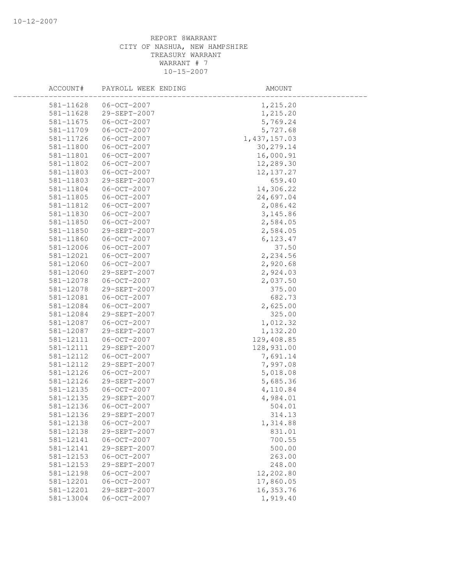| ACCOUNT#      | PAYROLL WEEK ENDING | AMOUNT         |  |
|---------------|---------------------|----------------|--|
| 581-11628     | $06 - OCT - 2007$   | 1,215.20       |  |
| 581-11628     | 29-SEPT-2007        | 1,215.20       |  |
| $581 - 11675$ | $06 - OCT - 2007$   | 5,769.24       |  |
| 581-11709     | $06 - OCT - 2007$   | 5,727.68       |  |
| 581-11726     | $06 - OCT - 2007$   | 1, 437, 157.03 |  |
| 581-11800     | $06 - OCT - 2007$   | 30, 279.14     |  |
| 581-11801     | $06-0CT-2007$       | 16,000.91      |  |
| 581-11802     | $06 - OCT - 2007$   | 12,289.30      |  |
| 581-11803     | $06 - OCT - 2007$   | 12, 137.27     |  |
| 581-11803     | 29-SEPT-2007        | 659.40         |  |
| 581-11804     | $06 - OCT - 2007$   | 14,306.22      |  |
| 581-11805     | $06 - OCT - 2007$   | 24,697.04      |  |
| 581-11812     | $06 - OCT - 2007$   | 2,086.42       |  |
| 581-11830     | $06 - OCT - 2007$   | 3, 145.86      |  |
| 581-11850     | $06 - OCT - 2007$   | 2,584.05       |  |
| 581-11850     | 29-SEPT-2007        | 2,584.05       |  |
| 581-11860     | $06 - OCT - 2007$   | 6, 123.47      |  |
| 581-12006     | $06-0CT-2007$       | 37.50          |  |
| 581-12021     | $06 - OCT - 2007$   | 2,234.56       |  |
| 581-12060     | $06 - OCT - 2007$   | 2,920.68       |  |
| 581-12060     | 29-SEPT-2007        | 2,924.03       |  |
| 581-12078     | $06 - OCT - 2007$   | 2,037.50       |  |
| 581-12078     | 29-SEPT-2007        | 375.00         |  |
| 581-12081     | $06 - OCT - 2007$   | 682.73         |  |
| 581-12084     | $06 - OCT - 2007$   | 2,625.00       |  |
| 581-12084     | 29-SEPT-2007        | 325.00         |  |
| 581-12087     | $06 - OCT - 2007$   | 1,012.32       |  |
| 581-12087     | 29-SEPT-2007        | 1,132.20       |  |
| 581-12111     | $06 - OCT - 2007$   | 129,408.85     |  |
| 581-12111     | 29-SEPT-2007        | 128,931.00     |  |
| 581-12112     | $06 - OCT - 2007$   | 7,691.14       |  |
| 581-12112     | 29-SEPT-2007        | 7,997.08       |  |
| 581-12126     | $06 - OCT - 2007$   | 5,018.08       |  |
| 581-12126     | 29-SEPT-2007        | 5,685.36       |  |
| 581-12135     | $06 - OCT - 2007$   | 4,110.84       |  |
| 581-12135     | 29-SEPT-2007        | 4,984.01       |  |
| 581-12136     | $06 - OCT - 2007$   | 504.01         |  |
| 581-12136     | 29-SEPT-2007        | 314.13         |  |
| 581-12138     | $06 - OCT - 2007$   | 1,314.88       |  |
| 581-12138     | 29-SEPT-2007        | 831.01         |  |
| 581-12141     | $06 - OCT - 2007$   | 700.55         |  |
| 581-12141     | 29-SEPT-2007        | 500.00         |  |
| 581-12153     | $06 - OCT - 2007$   | 263.00         |  |
| 581-12153     | 29-SEPT-2007        | 248.00         |  |
| 581-12198     | $06 - OCT - 2007$   | 12,202.80      |  |
| 581-12201     | $06 - OCT - 2007$   | 17,860.05      |  |
| 581-12201     | 29-SEPT-2007        | 16, 353.76     |  |
| 581-13004     | $06 - OCT - 2007$   | 1,919.40       |  |
|               |                     |                |  |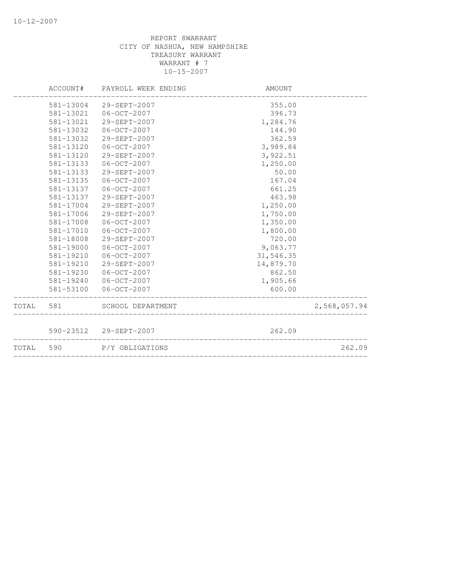| TOTAL 590 |           | P/Y OBLIGATIONS              |           | 262.09       |
|-----------|-----------|------------------------------|-----------|--------------|
|           |           | 590-23512 29-SEPT-2007       | 262.09    |              |
| TOTAL 581 |           | SCHOOL DEPARTMENT            |           | 2,568,057.94 |
|           | 581-53100 | 06-OCT-2007                  | 600.00    |              |
|           | 581-19240 | 06-OCT-2007                  | 1,905.66  |              |
|           | 581-19230 | 06-OCT-2007                  | 862.50    |              |
|           | 581-19210 | 29-SEPT-2007                 | 14,879.70 |              |
|           | 581-19210 | $06 - OCT - 2007$            | 31,546.35 |              |
|           | 581-19000 | $06 - OCT - 2007$            | 9,063.77  |              |
|           | 581-18008 | 29-SEPT-2007                 | 720.00    |              |
|           | 581-17010 | $06 - OCT - 2007$            | 1,800.00  |              |
|           | 581-17008 | $06 - OCT - 2007$            | 1,350.00  |              |
|           | 581-17006 | 29-SEPT-2007                 | 1,750.00  |              |
|           | 581-17004 | 29-SEPT-2007                 | 1,250.00  |              |
|           | 581-13137 | 29-SEPT-2007                 | 463.98    |              |
|           | 581-13137 | 06-OCT-2007                  | 661.25    |              |
|           | 581-13135 | $06 - OCT - 2007$            | 167.04    |              |
|           | 581-13133 | 29-SEPT-2007                 | 50.00     |              |
|           | 581-13133 | 06-OCT-2007                  | 1,250.00  |              |
|           | 581-13120 | 29-SEPT-2007                 | 3,922.51  |              |
|           | 581-13120 | $06 - OCT - 2007$            | 3,989.84  |              |
|           | 581-13032 | 29-SEPT-2007                 | 362.59    |              |
|           | 581-13032 | 06-OCT-2007                  | 144.90    |              |
|           | 581-13021 | 29-SEPT-2007                 | 1,284.76  |              |
|           | 581-13021 | 06-OCT-2007                  | 396.73    |              |
|           | 581-13004 | 29-SEPT-2007                 | 355.00    |              |
|           |           | ACCOUNT# PAYROLL WEEK ENDING | AMOUNT    |              |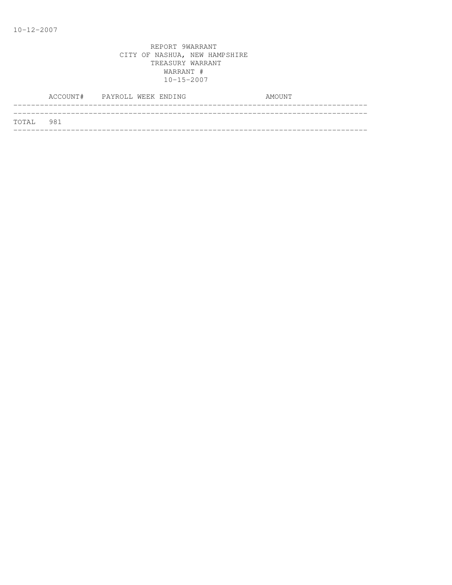|           | ACCOUNT# PAYROLL WEEK ENDING |  |  | AMOUNT |  |
|-----------|------------------------------|--|--|--------|--|
| TOTAL 981 |                              |  |  |        |  |
|           |                              |  |  |        |  |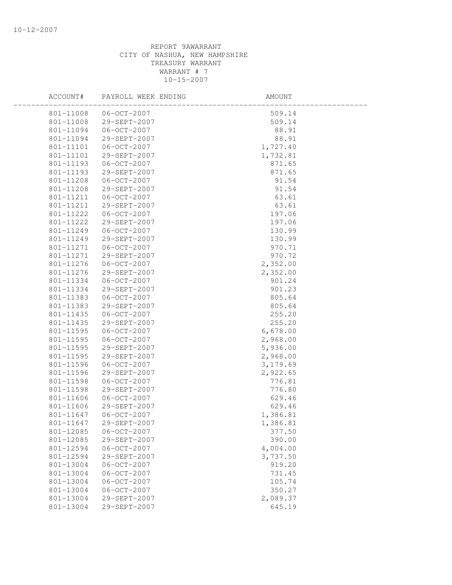| ACCOUNT#  | PAYROLL WEEK ENDING | AMOUNT   |  |
|-----------|---------------------|----------|--|
| 801-11008 | $06 - OCT - 2007$   | 509.14   |  |
| 801-11008 | 29-SEPT-2007        | 509.14   |  |
| 801-11094 | 06-OCT-2007         | 88.91    |  |
| 801-11094 | 29-SEPT-2007        | 88.91    |  |
| 801-11101 | $06 - OCT - 2007$   | 1,727.40 |  |
| 801-11101 | 29-SEPT-2007        | 1,732.81 |  |
| 801-11193 | $06 - OCT - 2007$   | 871.65   |  |
| 801-11193 | 29-SEPT-2007        | 871.65   |  |
| 801-11208 | $06 - OCT - 2007$   | 91.54    |  |
| 801-11208 | 29-SEPT-2007        | 91.54    |  |
| 801-11211 | $06 - OCT - 2007$   | 63.61    |  |
| 801-11211 | 29-SEPT-2007        | 63.61    |  |
| 801-11222 | $06 - OCT - 2007$   | 197.06   |  |
| 801-11222 | 29-SEPT-2007        | 197.06   |  |
| 801-11249 | $06 - OCT - 2007$   | 130.99   |  |
| 801-11249 | 29-SEPT-2007        | 130.99   |  |
| 801-11271 | 06-OCT-2007         | 970.71   |  |
| 801-11271 | 29-SEPT-2007        | 970.72   |  |
| 801-11276 | $06-0CT-2007$       | 2,352.00 |  |
| 801-11276 | 29-SEPT-2007        | 2,352.00 |  |
| 801-11334 | 06-OCT-2007         | 901.24   |  |
| 801-11334 | 29-SEPT-2007        | 901.23   |  |
| 801-11383 | $06 - OCT - 2007$   | 805.64   |  |
| 801-11383 | 29-SEPT-2007        | 805.64   |  |
| 801-11435 | $06 - OCT - 2007$   | 255.20   |  |
| 801-11435 | 29-SEPT-2007        | 255.20   |  |
| 801-11595 | $06 - OCT - 2007$   | 6,678.00 |  |
| 801-11595 | $06 - OCT - 2007$   | 2,968.00 |  |
| 801-11595 | 29-SEPT-2007        | 5,936.00 |  |
| 801-11595 | 29-SEPT-2007        | 2,968.00 |  |
| 801-11596 | $06 - OCT - 2007$   | 3,179.69 |  |
| 801-11596 | 29-SEPT-2007        | 2,922.65 |  |
| 801-11598 | $06 - OCT - 2007$   | 776.81   |  |
| 801-11598 | 29-SEPT-2007        | 776.80   |  |
| 801-11606 | $06 - OCT - 2007$   | 629.46   |  |
| 801-11606 | 29-SEPT-2007        | 629.46   |  |
| 801-11647 | $06 - OCT - 2007$   | 1,386.81 |  |
| 801-11647 | 29-SEPT-2007        | 1,386.81 |  |
| 801-12085 | $06 - OCT - 2007$   | 377.50   |  |
| 801-12085 | 29-SEPT-2007        | 390.00   |  |
| 801-12594 | $06 - OCT - 2007$   | 4,004.00 |  |
| 801-12594 | 29-SEPT-2007        | 3,737.50 |  |
| 801-13004 | $06 - OCT - 2007$   | 919.20   |  |
| 801-13004 | $06 - OCT - 2007$   | 731.45   |  |
| 801-13004 | $06 - OCT - 2007$   | 105.74   |  |
| 801-13004 | $06-0CT-2007$       | 350.27   |  |
| 801-13004 | 29-SEPT-2007        | 2,089.37 |  |
| 801-13004 | 29-SEPT-2007        | 645.19   |  |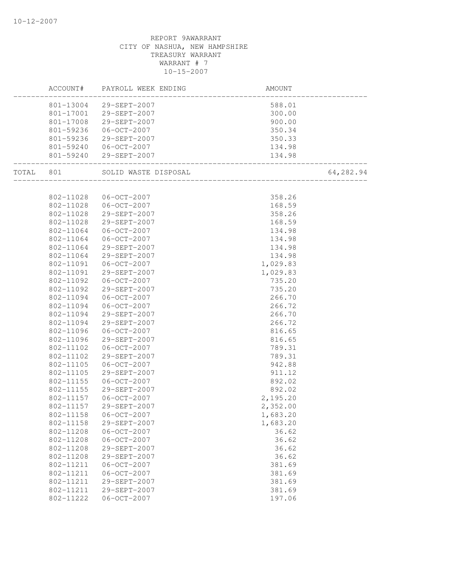|       | ACCOUNT#  | PAYROLL WEEK ENDING    | AMOUNT                           |           |
|-------|-----------|------------------------|----------------------------------|-----------|
|       |           | 801-13004 29-SEPT-2007 | 588.01                           |           |
|       |           | 801-17001 29-SEPT-2007 | 300.00                           |           |
|       | 801-17008 | 29-SEPT-2007           | 900.00                           |           |
|       | 801-59236 | 06-OCT-2007            | 350.34                           |           |
|       | 801-59236 | 29-SEPT-2007           | 350.33                           |           |
|       | 801-59240 | 06-OCT-2007            | 134.98                           |           |
|       |           | 801-59240 29-SEPT-2007 | 134.98<br>______________________ |           |
| TOTAL | 801       | SOLID WASTE DISPOSAL   | ________________________         | 64,282.94 |
|       |           |                        |                                  |           |
|       | 802-11028 | 06-OCT-2007            | 358.26                           |           |
|       | 802-11028 | 06-OCT-2007            | 168.59                           |           |
|       | 802-11028 | 29-SEPT-2007           | 358.26                           |           |
|       | 802-11028 | 29-SEPT-2007           | 168.59                           |           |
|       | 802-11064 | $06 - OCT - 2007$      | 134.98                           |           |
|       | 802-11064 | $06 - OCT - 2007$      | 134.98                           |           |
|       | 802-11064 | 29-SEPT-2007           | 134.98                           |           |
|       | 802-11064 | 29-SEPT-2007           | 134.98                           |           |
|       | 802-11091 | $06 - OCT - 2007$      | 1,029.83                         |           |
|       | 802-11091 | 29-SEPT-2007           | 1,029.83                         |           |
|       | 802-11092 | 06-OCT-2007            | 735.20                           |           |
|       | 802-11092 | 29-SEPT-2007           | 735.20                           |           |
|       | 802-11094 | $06 - OCT - 2007$      | 266.70                           |           |
|       | 802-11094 | $06 - OCT - 2007$      | 266.72                           |           |
|       | 802-11094 | 29-SEPT-2007           | 266.70                           |           |
|       | 802-11094 | 29-SEPT-2007           | 266.72                           |           |
|       | 802-11096 | 06-OCT-2007            | 816.65                           |           |
|       | 802-11096 | 29-SEPT-2007           | 816.65                           |           |
|       | 802-11102 | 06-OCT-2007            | 789.31                           |           |
|       | 802-11102 | 29-SEPT-2007           | 789.31                           |           |
|       | 802-11105 | $06 - OCT - 2007$      | 942.88                           |           |
|       | 802-11105 | 29-SEPT-2007           | 911.12                           |           |
|       | 802-11155 | $06 - OCT - 2007$      | 892.02                           |           |
|       | 802-11155 | 29-SEPT-2007           | 892.02                           |           |
|       | 802-11157 | 06-OCT-2007            | 2,195.20                         |           |
|       | 802-11157 | 29-SEPT-2007           | 2,352.00                         |           |
|       | 802-11158 | $06-0CT-2007$          | 1,683.20                         |           |
|       | 802-11158 | 29-SEPT-2007           | 1,683.20                         |           |
|       | 802-11208 | $06 - OCT - 2007$      | 36.62                            |           |
|       | 802-11208 | $06 - OCT - 2007$      | 36.62                            |           |
|       | 802-11208 | 29-SEPT-2007           | 36.62                            |           |
|       | 802-11208 | 29-SEPT-2007           | 36.62                            |           |
|       | 802-11211 | $06 - OCT - 2007$      | 381.69                           |           |
|       | 802-11211 | $06 - OCT - 2007$      | 381.69                           |           |
|       | 802-11211 | 29-SEPT-2007           | 381.69                           |           |
|       | 802-11211 | 29-SEPT-2007           | 381.69                           |           |
|       | 802-11222 | $06 - OCT - 2007$      | 197.06                           |           |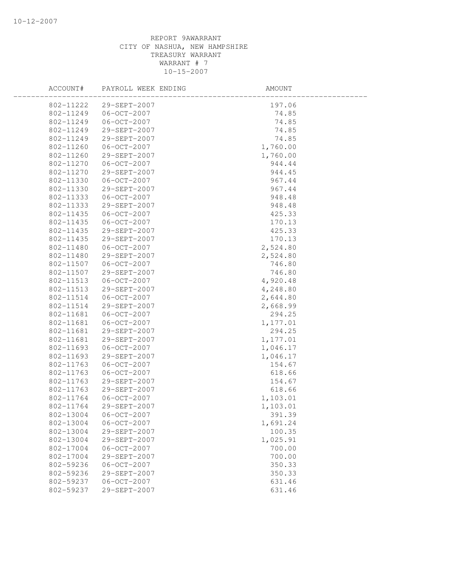| ACCOUNT#  | PAYROLL WEEK ENDING    | AMOUNT   |  |
|-----------|------------------------|----------|--|
|           | 802-11222 29-SEPT-2007 | 197.06   |  |
| 802-11249 | 06-OCT-2007            | 74.85    |  |
| 802-11249 | 06-OCT-2007            | 74.85    |  |
| 802-11249 | 29-SEPT-2007           | 74.85    |  |
| 802-11249 | 29-SEPT-2007           | 74.85    |  |
| 802-11260 | $06 - 0CT - 2007$      | 1,760.00 |  |
| 802-11260 | 29-SEPT-2007           | 1,760.00 |  |
| 802-11270 | $06 - OCT - 2007$      | 944.44   |  |
| 802-11270 | 29-SEPT-2007           | 944.45   |  |
| 802-11330 | $06 - OCT - 2007$      | 967.44   |  |
| 802-11330 | 29-SEPT-2007           | 967.44   |  |
| 802-11333 | 06-OCT-2007            | 948.48   |  |
| 802-11333 | 29-SEPT-2007           | 948.48   |  |
| 802-11435 | $06 - OCT - 2007$      | 425.33   |  |
| 802-11435 | $06 - 0CT - 2007$      | 170.13   |  |
| 802-11435 | 29-SEPT-2007           | 425.33   |  |
| 802-11435 | 29-SEPT-2007           | 170.13   |  |
| 802-11480 | 06-OCT-2007            | 2,524.80 |  |
| 802-11480 | 29-SEPT-2007           | 2,524.80 |  |
| 802-11507 | 06-OCT-2007            | 746.80   |  |
| 802-11507 | 29-SEPT-2007           | 746.80   |  |
| 802-11513 | $06 - OCT - 2007$      | 4,920.48 |  |
| 802-11513 | 29-SEPT-2007           | 4,248.80 |  |
| 802-11514 | $06 - 0CT - 2007$      | 2,644.80 |  |
| 802-11514 | 29-SEPT-2007           | 2,668.99 |  |
| 802-11681 | $06 - OCT - 2007$      | 294.25   |  |
| 802-11681 | 06-OCT-2007            | 1,177.01 |  |
| 802-11681 | 29-SEPT-2007           | 294.25   |  |
| 802-11681 | 29-SEPT-2007           | 1,177.01 |  |
| 802-11693 | 06-OCT-2007            | 1,046.17 |  |
| 802-11693 | 29-SEPT-2007           | 1,046.17 |  |
| 802-11763 | $06 - OCT - 2007$      | 154.67   |  |
| 802-11763 | $06 - OCT - 2007$      | 618.66   |  |
| 802-11763 | 29-SEPT-2007           | 154.67   |  |
| 802-11763 | 29-SEPT-2007           | 618.66   |  |
| 802-11764 | $06 - OCT - 2007$      | 1,103.01 |  |
| 802-11764 | 29-SEPT-2007           | 1,103.01 |  |
| 802-13004 | $06-0CT-2007$          | 391.39   |  |
| 802-13004 | $06 - OCT - 2007$      | 1,691.24 |  |
| 802-13004 | 29-SEPT-2007           | 100.35   |  |
| 802-13004 | 29-SEPT-2007           | 1,025.91 |  |
| 802-17004 | $06 - OCT - 2007$      | 700.00   |  |
| 802-17004 | 29-SEPT-2007           | 700.00   |  |
| 802-59236 | $06 - OCT - 2007$      | 350.33   |  |
| 802-59236 | 29-SEPT-2007           | 350.33   |  |
| 802-59237 | $06 - OCT - 2007$      | 631.46   |  |
| 802-59237 | 29-SEPT-2007           | 631.46   |  |